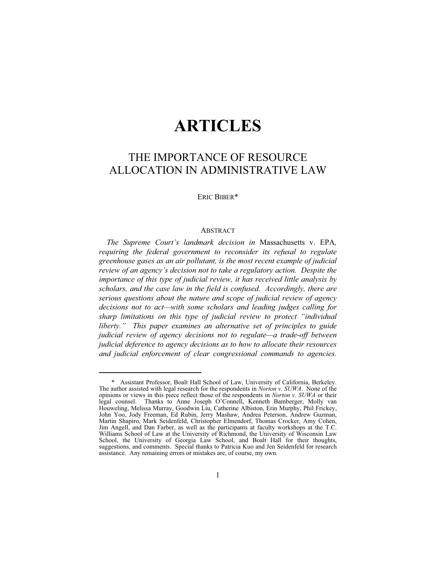# **ARTICLES**

# THE IMPORTANCE OF RESOURCE ALLOCATION IN ADMINISTRATIVE LAW

#### ERIC BIBER\*

#### ABSTRACT

 *The Supreme Court's landmark decision in* Massachusetts v. EPA*, requiring the federal government to reconsider its refusal to regulate greenhouse gases as an air pollutant, is the most recent example of judicial review of an agency's decision not to take a regulatory action. Despite the importance of this type of judicial review, it has received little analysis by scholars, and the case law in the field is confused. Accordingly, there are serious questions about the nature and scope of judicial review of agency decisions not to act—with some scholars and leading judges calling for sharp limitations on this type of judicial review to protect "individual liberty." This paper examines an alternative set of principles to guide judicial review of agency decisions not to regulate—a trade-off between judicial deference to agency decisions as to how to allocate their resources and judicial enforcement of clear congressional commands to agencies.* 

 <sup>\*</sup> Assistant Professor, Boalt Hall School of Law, University of California, Berkeley. The author assisted with legal research for the respondents in *Norton v. SUWA*. None of the opinions or views in this piece reflect those of the respondents in *Norton v. SUWA* or their legal counsel. Thanks to Anne Joseph O'Connell, Kenneth Bamberger, Molly van Houweling, Melissa Murray, Goodwin Liu, Catherine Albiston, Erin Murphy, Phil Frickey, John Yoo, Jody Freeman, Ed Rubin, Jerry Mashaw, Andrea Peterson, Andrew Guzman, Martin Shapiro, Mark Seidenfeld, Christopher Elmendorf, Thomas Crocker, Amy Cohen, Jim Angell, and Dan Farber, as well as the participants at faculty workshops at the T.C. Williams School of Law at the University of Richmond, the University of Wisconsin Law School, the University of Georgia Law School, and Boalt Hall for their thoughts, suggestions, and comments. Special thanks to Patricia Kuo and Jen Seidenfeld for research assistance. Any remaining errors or mistakes are, of course, my own.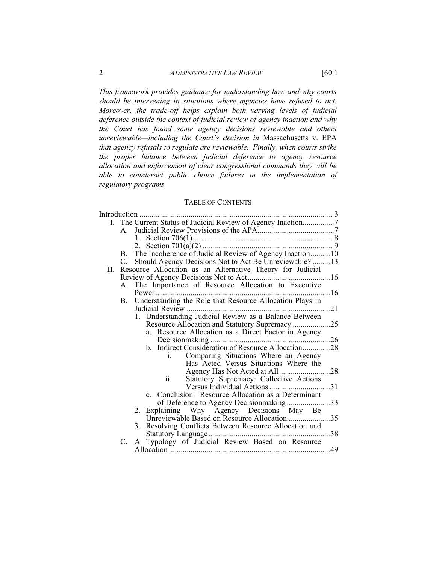*This framework provides guidance for understanding how and why courts should be intervening in situations where agencies have refused to act. Moreover, the trade-off helps explain both varying levels of judicial deference outside the context of judicial review of agency inaction and why the Court has found some agency decisions reviewable and others unreviewable—including the Court's decision in* Massachusetts v. EPA *that agency refusals to regulate are reviewable. Finally, when courts strike the proper balance between judicial deference to agency resource allocation and enforcement of clear congressional commands they will be able to counteract public choice failures in the implementation of regulatory programs.*

#### TABLE OF CONTENTS

|    |             | Introduction                                                 |    |  |
|----|-------------|--------------------------------------------------------------|----|--|
|    |             | I. The Current Status of Judicial Review of Agency Inaction7 |    |  |
|    | $A_{\cdot}$ |                                                              |    |  |
|    |             |                                                              |    |  |
|    |             |                                                              |    |  |
|    | B.          | The Incoherence of Judicial Review of Agency Inaction10      |    |  |
|    | C.          | Should Agency Decisions Not to Act Be Unreviewable?13        |    |  |
| П. |             | Resource Allocation as an Alternative Theory for Judicial    |    |  |
|    |             |                                                              |    |  |
|    | А.          | The Importance of Resource Allocation to Executive           |    |  |
|    |             |                                                              |    |  |
|    | B.          | Understanding the Role that Resource Allocation Plays in     |    |  |
|    |             |                                                              |    |  |
|    |             | 1. Understanding Judicial Review as a Balance Between        |    |  |
|    |             |                                                              |    |  |
|    |             | Resource Allocation as a Direct Factor in Agency<br>a.       |    |  |
|    |             |                                                              |    |  |
|    |             | b. Indirect Consideration of Resource Allocation28           |    |  |
|    |             | Comparing Situations Where an Agency<br>i.                   |    |  |
|    |             | Has Acted Versus Situations Where the                        |    |  |
|    |             |                                                              |    |  |
|    |             | ii.<br>Statutory Supremacy: Collective Actions               |    |  |
|    |             | Versus Individual Actions31                                  |    |  |
|    |             | c. Conclusion: Resource Allocation as a Determinant          |    |  |
|    |             | of Deference to Agency Decisionmaking33                      |    |  |
|    |             | 2. Explaining Why Agency Decisions May Be                    |    |  |
|    |             | Unreviewable Based on Resource Allocation                    | 35 |  |
|    |             | 3. Resolving Conflicts Between Resource Allocation and       |    |  |
|    |             |                                                              |    |  |
|    | C.          | Typology of Judicial Review Based on Resource<br>A           |    |  |
|    |             |                                                              |    |  |
|    |             |                                                              |    |  |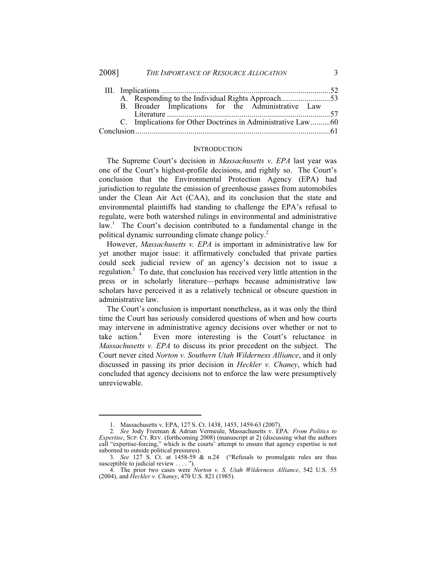| B. Broader Implications for the Administrative Law |  |  |  |  |
|----------------------------------------------------|--|--|--|--|
|                                                    |  |  |  |  |
|                                                    |  |  |  |  |
|                                                    |  |  |  |  |

#### **INTRODUCTION**

The Supreme Court's decision in *Massachusetts v. EPA* last year was one of the Court's highest-profile decisions, and rightly so. The Court's conclusion that the Environmental Protection Agency (EPA) had jurisdiction to regulate the emission of greenhouse gasses from automobiles under the Clean Air Act (CAA), and its conclusion that the state and environmental plaintiffs had standing to challenge the EPA's refusal to regulate, were both watershed rulings in environmental and administrative law.<sup>1</sup> The Court's decision contributed to a fundamental change in the political dynamic surrounding climate change policy.<sup>2</sup>

However, *Massachusetts v. EPA* is important in administrative law for yet another major issue: it affirmatively concluded that private parties could seek judicial review of an agency's decision not to issue a regulation.<sup>3</sup> To date, that conclusion has received very little attention in the press or in scholarly literature—perhaps because administrative law scholars have perceived it as a relatively technical or obscure question in administrative law.

The Court's conclusion is important nonetheless, as it was only the third time the Court has seriously considered questions of when and how courts may intervene in administrative agency decisions over whether or not to take  $\arctan^{4}$  Even more interesting is the Court's reluctance in *Massachusetts v. EPA* to discuss its prior precedent on the subject. The Court never cited *Norton v. Southern Utah Wilderness Alliance*, and it only discussed in passing its prior decision in *Heckler v. Chaney*, which had concluded that agency decisions not to enforce the law were presumptively unreviewable.

 <sup>1.</sup> Massachusetts v. EPA, 127 S. Ct. 1438, 1455, 1459-63 (2007).

<sup>2</sup>*. See* Jody Freeman & Adrian Vermeule, Massachusetts v. EPA*: From Politics to Expertise*, SUP. CT. REV. (forthcoming 2008) (manuscript at 2) (discussing what the authors call "expertise-forcing," which is the courts' attempt to ensure that agency expertise is not suborned to outside political pressures).

<sup>3</sup>*. See* 127 S. Ct. at 1458-59 & n.24 ("Refusals to promulgate rules are thus susceptible to judicial review . . . . ").

 <sup>4.</sup> The prior two cases were *Norton v. S. Utah Wilderness Alliance*, 542 U.S. 55 (2004), and *Heckler v. Chaney*, 470 U.S. 821 (1985).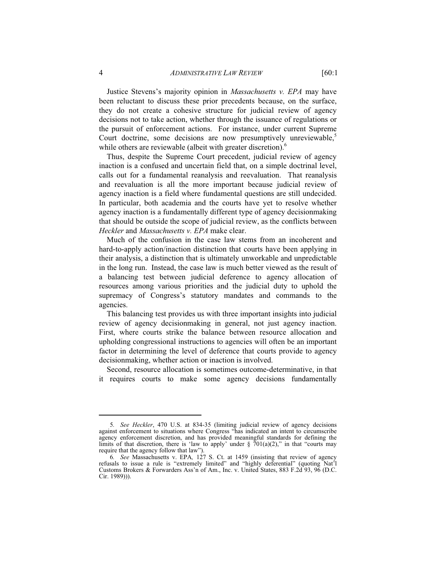Justice Stevens's majority opinion in *Massachusetts v. EPA* may have been reluctant to discuss these prior precedents because, on the surface, they do not create a cohesive structure for judicial review of agency decisions not to take action, whether through the issuance of regulations or the pursuit of enforcement actions. For instance, under current Supreme Court doctrine, some decisions are now presumptively unreviewable,<sup>5</sup> while others are reviewable (albeit with greater discretion).<sup>6</sup>

Thus, despite the Supreme Court precedent, judicial review of agency inaction is a confused and uncertain field that, on a simple doctrinal level, calls out for a fundamental reanalysis and reevaluation. That reanalysis and reevaluation is all the more important because judicial review of agency inaction is a field where fundamental questions are still undecided. In particular, both academia and the courts have yet to resolve whether agency inaction is a fundamentally different type of agency decisionmaking that should be outside the scope of judicial review, as the conflicts between *Heckler* and *Massachusetts v. EPA* make clear.

Much of the confusion in the case law stems from an incoherent and hard-to-apply action/inaction distinction that courts have been applying in their analysis, a distinction that is ultimately unworkable and unpredictable in the long run. Instead, the case law is much better viewed as the result of a balancing test between judicial deference to agency allocation of resources among various priorities and the judicial duty to uphold the supremacy of Congress's statutory mandates and commands to the agencies.

This balancing test provides us with three important insights into judicial review of agency decisionmaking in general, not just agency inaction. First, where courts strike the balance between resource allocation and upholding congressional instructions to agencies will often be an important factor in determining the level of deference that courts provide to agency decisionmaking, whether action or inaction is involved.

Second, resource allocation is sometimes outcome-determinative, in that it requires courts to make some agency decisions fundamentally

<sup>5</sup>*. See Heckler*, 470 U.S. at 834-35 (limiting judicial review of agency decisions against enforcement to situations where Congress "has indicated an intent to circumscribe agency enforcement discretion, and has provided meaningful standards for defining the limits of that discretion, there is 'law to apply' under  $\S$  701(a)(2)," in that "courts may require that the agency follow that law").

<sup>6</sup>*. See* Massachusetts v. EPA*,* 127 S. Ct. at 1459 (insisting that review of agency refusals to issue a rule is "extremely limited" and "highly deferential" (quoting Nat'l Customs Brokers & Forwarders Ass'n of Am., Inc. v. United States, 883 F.2d 93, 96 (D.C. Cir. 1989))).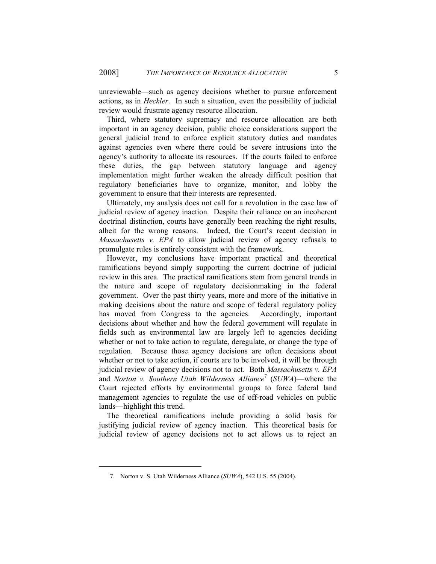unreviewable—such as agency decisions whether to pursue enforcement actions, as in *Heckler*. In such a situation, even the possibility of judicial review would frustrate agency resource allocation.

Third, where statutory supremacy and resource allocation are both important in an agency decision, public choice considerations support the general judicial trend to enforce explicit statutory duties and mandates against agencies even where there could be severe intrusions into the agency's authority to allocate its resources. If the courts failed to enforce these duties, the gap between statutory language and agency implementation might further weaken the already difficult position that regulatory beneficiaries have to organize, monitor, and lobby the government to ensure that their interests are represented.

Ultimately, my analysis does not call for a revolution in the case law of judicial review of agency inaction. Despite their reliance on an incoherent doctrinal distinction, courts have generally been reaching the right results, albeit for the wrong reasons. Indeed, the Court's recent decision in *Massachusetts v. EPA* to allow judicial review of agency refusals to promulgate rules is entirely consistent with the framework.

However, my conclusions have important practical and theoretical ramifications beyond simply supporting the current doctrine of judicial review in this area. The practical ramifications stem from general trends in the nature and scope of regulatory decisionmaking in the federal government. Over the past thirty years, more and more of the initiative in making decisions about the nature and scope of federal regulatory policy has moved from Congress to the agencies. Accordingly, important decisions about whether and how the federal government will regulate in fields such as environmental law are largely left to agencies deciding whether or not to take action to regulate, deregulate, or change the type of regulation. Because those agency decisions are often decisions about whether or not to take action, if courts are to be involved, it will be through judicial review of agency decisions not to act. Both *Massachusetts v. EPA* and *Norton v. Southern Utah Wilderness Alliance*<sup>7</sup> (*SUWA*)—where the Court rejected efforts by environmental groups to force federal land management agencies to regulate the use of off-road vehicles on public lands—highlight this trend.

The theoretical ramifications include providing a solid basis for justifying judicial review of agency inaction. This theoretical basis for judicial review of agency decisions not to act allows us to reject an

 <sup>7.</sup> Norton v. S. Utah Wilderness Alliance (*SUWA*), 542 U.S. 55 (2004).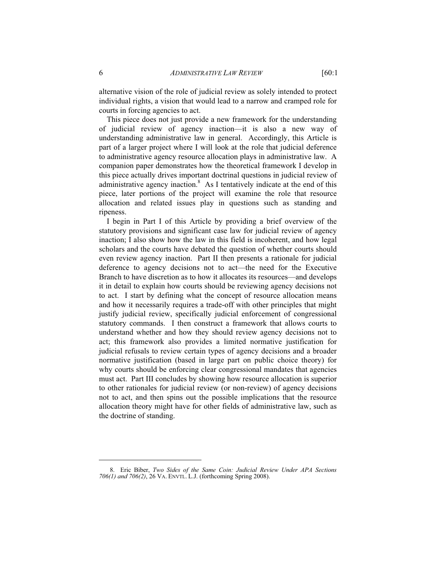alternative vision of the role of judicial review as solely intended to protect individual rights, a vision that would lead to a narrow and cramped role for courts in forcing agencies to act.

This piece does not just provide a new framework for the understanding of judicial review of agency inaction—it is also a new way of understanding administrative law in general. Accordingly, this Article is part of a larger project where I will look at the role that judicial deference to administrative agency resource allocation plays in administrative law. A companion paper demonstrates how the theoretical framework I develop in this piece actually drives important doctrinal questions in judicial review of administrative agency inaction.<sup>8</sup> As I tentatively indicate at the end of this piece, later portions of the project will examine the role that resource allocation and related issues play in questions such as standing and ripeness.

I begin in Part I of this Article by providing a brief overview of the statutory provisions and significant case law for judicial review of agency inaction; I also show how the law in this field is incoherent, and how legal scholars and the courts have debated the question of whether courts should even review agency inaction. Part II then presents a rationale for judicial deference to agency decisions not to act—the need for the Executive Branch to have discretion as to how it allocates its resources—and develops it in detail to explain how courts should be reviewing agency decisions not to act. I start by defining what the concept of resource allocation means and how it necessarily requires a trade-off with other principles that might justify judicial review, specifically judicial enforcement of congressional statutory commands. I then construct a framework that allows courts to understand whether and how they should review agency decisions not to act; this framework also provides a limited normative justification for judicial refusals to review certain types of agency decisions and a broader normative justification (based in large part on public choice theory) for why courts should be enforcing clear congressional mandates that agencies must act. Part III concludes by showing how resource allocation is superior to other rationales for judicial review (or non-review) of agency decisions not to act, and then spins out the possible implications that the resource allocation theory might have for other fields of administrative law, such as the doctrine of standing.

 <sup>8.</sup> Eric Biber, *Two Sides of the Same Coin: Judicial Review Under APA Sections 706(1) and 706(2)*, 26 VA. ENVTL. L.J. (forthcoming Spring 2008).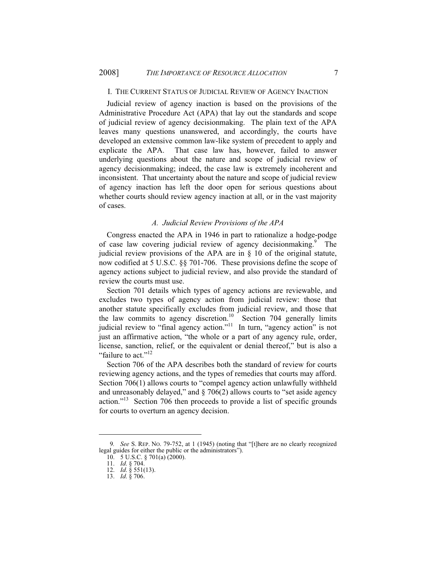#### I. THE CURRENT STATUS OF JUDICIAL REVIEW OF AGENCY INACTION

Judicial review of agency inaction is based on the provisions of the Administrative Procedure Act (APA) that lay out the standards and scope of judicial review of agency decisionmaking. The plain text of the APA leaves many questions unanswered, and accordingly, the courts have developed an extensive common law-like system of precedent to apply and explicate the APA. That case law has, however, failed to answer underlying questions about the nature and scope of judicial review of agency decisionmaking; indeed, the case law is extremely incoherent and inconsistent. That uncertainty about the nature and scope of judicial review of agency inaction has left the door open for serious questions about whether courts should review agency inaction at all, or in the vast majority of cases.

# *A. Judicial Review Provisions of the APA*

Congress enacted the APA in 1946 in part to rationalize a hodge-podge of case law covering judicial review of agency decisionmaking.<sup>9</sup> The judicial review provisions of the APA are in § 10 of the original statute, now codified at 5 U.S.C. §§ 701-706. These provisions define the scope of agency actions subject to judicial review, and also provide the standard of review the courts must use.

Section 701 details which types of agency actions are reviewable, and excludes two types of agency action from judicial review: those that another statute specifically excludes from judicial review, and those that the law commits to agency discretion.<sup>10</sup> Section 704 generally limits judicial review to "final agency action."11 In turn, "agency action" is not just an affirmative action, "the whole or a part of any agency rule, order, license, sanction, relief, or the equivalent or denial thereof," but is also a "failure to act."<sup>12</sup>

Section 706 of the APA describes both the standard of review for courts reviewing agency actions, and the types of remedies that courts may afford. Section 706(1) allows courts to "compel agency action unlawfully withheld and unreasonably delayed," and  $\S$  706(2) allows courts to "set aside agency action."<sup>13</sup> Section 706 then proceeds to provide a list of specific grounds for courts to overturn an agency decision.

<sup>9</sup>*. See* S. REP. NO. 79-752, at 1 (1945) (noting that "[t]here are no clearly recognized legal guides for either the public or the administrators").

 <sup>10. 5</sup> U.S.C. § 701(a) (2000).

 <sup>11.</sup> *Id*. § 704.

 <sup>12.</sup> *Id*. § 551(13).

 <sup>13.</sup> *Id*. § 706.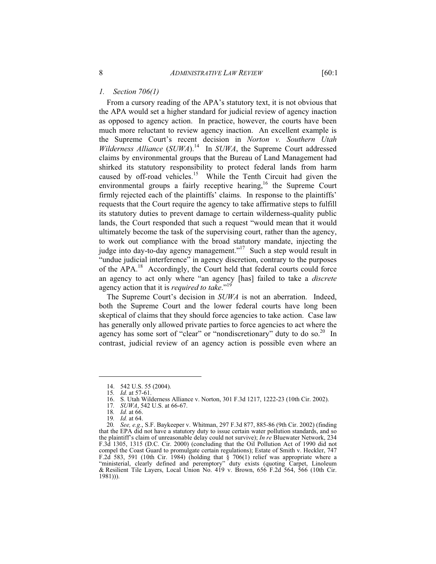#### *1. Section 706(1)*

From a cursory reading of the APA's statutory text, it is not obvious that the APA would set a higher standard for judicial review of agency inaction as opposed to agency action. In practice, however, the courts have been much more reluctant to review agency inaction. An excellent example is the Supreme Court's recent decision in *Norton v. Southern Utah Wilderness Alliance* (*SUWA*).<sup>14</sup> In *SUWA*, the Supreme Court addressed claims by environmental groups that the Bureau of Land Management had shirked its statutory responsibility to protect federal lands from harm caused by off-road vehicles.<sup>15</sup> While the Tenth Circuit had given the environmental groups a fairly receptive hearing,<sup>16</sup> the Supreme Court firmly rejected each of the plaintiffs' claims. In response to the plaintiffs' requests that the Court require the agency to take affirmative steps to fulfill its statutory duties to prevent damage to certain wilderness-quality public lands, the Court responded that such a request "would mean that it would ultimately become the task of the supervising court, rather than the agency, to work out compliance with the broad statutory mandate, injecting the judge into day-to-day agency management."<sup>17</sup> Such a step would result in "undue judicial interference" in agency discretion, contrary to the purposes of the APA.<sup>18</sup> Accordingly, the Court held that federal courts could force an agency to act only where "an agency [has] failed to take a *discrete* agency action that it is *required to take*."19

The Supreme Court's decision in *SUWA* is not an aberration. Indeed, both the Supreme Court and the lower federal courts have long been skeptical of claims that they should force agencies to take action. Case law has generally only allowed private parties to force agencies to act where the agency has some sort of "clear" or "nondiscretionary" duty to do so. $^{20}$  In contrast, judicial review of an agency action is possible even where an

 <sup>14. 542</sup> U.S. 55 (2004).

<sup>15</sup>*. Id.* at 57-61.

<sup>16.</sup> S. Utah Wilderness Alliance v. Norton, 301 F.3d 1217, 1222-23 (10th Cir. 2002).<br>17. *SUWA*, 542 U.S. at 66-67.

*SUWA*, 542 U.S. at 66-67.

<sup>18</sup>*. Id.* at 66.

<sup>19</sup>*. Id.* at 64.

<sup>20</sup>*. See, e.g*., S.F. Baykeeper v. Whitman, 297 F.3d 877, 885-86 (9th Cir. 2002) (finding that the EPA did not have a statutory duty to issue certain water pollution standards, and so the plaintiff's claim of unreasonable delay could not survive); *In re* Bluewater Network, 234 F.3d 1305, 1315 (D.C. Cir. 2000) (concluding that the Oil Pollution Act of 1990 did not compel the Coast Guard to promulgate certain regulations); Estate of Smith v. Heckler, 747 F.2d 583, 591 (10th Cir. 1984) (holding that § 706(1) relief was appropriate where a "ministerial, clearly defined and peremptory" duty exists (quoting Carpet, Linoleum & Resilient Tile Layers, Local Union No. 419 v. Brown, 656 F.2d 564, 566 (10th Cir. 1981))).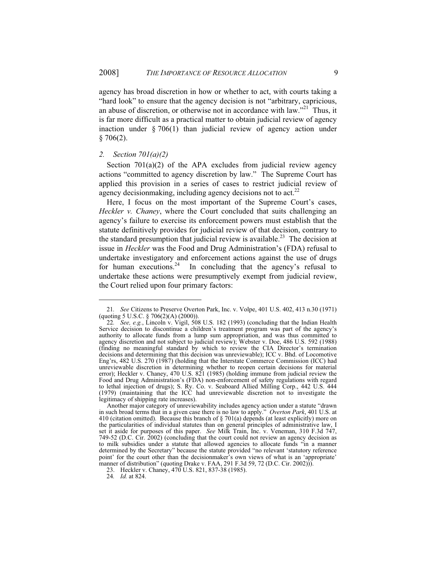agency has broad discretion in how or whether to act, with courts taking a "hard look" to ensure that the agency decision is not "arbitrary, capricious, an abuse of discretion, or otherwise not in accordance with law."<sup>21</sup> Thus, it is far more difficult as a practical matter to obtain judicial review of agency inaction under § 706(1) than judicial review of agency action under § 706(2).

#### *2. Section 701(a)(2)*

Section  $701(a)(2)$  of the APA excludes from judicial review agency actions "committed to agency discretion by law." The Supreme Court has applied this provision in a series of cases to restrict judicial review of agency decisionmaking, including agency decisions not to act.<sup>22</sup>

Here, I focus on the most important of the Supreme Court's cases, *Heckler v. Chaney*, where the Court concluded that suits challenging an agency's failure to exercise its enforcement powers must establish that the statute definitively provides for judicial review of that decision, contrary to the standard presumption that judicial review is available.<sup>23</sup> The decision at issue in *Heckler* was the Food and Drug Administration's (FDA) refusal to undertake investigatory and enforcement actions against the use of drugs for human executions.<sup>24</sup> In concluding that the agency's refusal to undertake these actions were presumptively exempt from judicial review, the Court relied upon four primary factors:

<sup>21</sup>*. See* Citizens to Preserve Overton Park, Inc. v. Volpe, 401 U.S. 402, 413 n.30 (1971) (quoting 5 U.S.C. § 706(2)(A) (2000)).

<sup>22.</sup> See, e.g., Lincoln v. Vigil, 508 U.S. 182 (1993) (concluding that the Indian Health Service decision to discontinue a children's treatment program was part of the agency's authority to allocate funds from a lump sum appropriation, and was thus committed to agency discretion and not subject to judicial review); Webster v. Doe, 486 U.S. 592 (1988) (finding no meaningful standard by which to review the CIA Director's termination decisions and determining that this decision was unreviewable); ICC v. Bhd. of Locomotive Eng'rs, 482 U.S. 270 (1987) (holding that the Interstate Commerce Commission (ICC) had unreviewable discretion in determining whether to reopen certain decisions for material error); Heckler v. Chaney, 470 U.S. 821 (1985) (holding immune from judicial review the Food and Drug Administration's (FDA) non-enforcement of safety regulations with regard to lethal injection of drugs); S. Ry. Co. v. Seaboard Allied Milling Corp., 442 U.S. 444 (1979) (maintaining that the ICC had unreviewable discretion not to investigate the legitimacy of shipping rate increases).

Another major category of unreviewability includes agency action under a statute "drawn in such broad terms that in a given case there is no law to apply." *Overton Park*, 401 U.S. at 410 (citation omitted). Because this branch of § 701(a) depends (at least explicitly) more on the particularities of individual statutes than on general principles of administrative law, I set it aside for purposes of this paper. *See* Milk Train, Inc. v. Veneman, 310 F.3d 747, 749-52 (D.C. Cir. 2002) (concluding that the court could not review an agency decision as to milk subsidies under a statute that allowed agencies to allocate funds "in a manner determined by the Secretary" because the statute provided "no relevant 'statutory reference point' for the court other than the decisionmaker's own views of what is an 'appropriate' manner of distribution" (quoting Drake v. FAA, 291 F.3d 59, 72 (D.C. Cir. 2002))).

 <sup>23.</sup> Heckler v. Chaney, 470 U.S. 821, 837-38 (1985).

<sup>24</sup>*. Id.* at 824.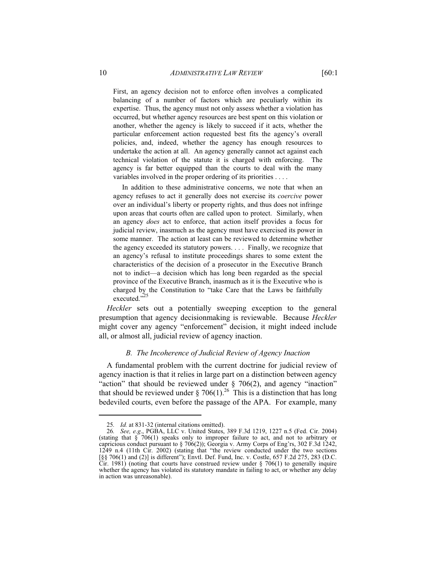First, an agency decision not to enforce often involves a complicated balancing of a number of factors which are peculiarly within its expertise. Thus, the agency must not only assess whether a violation has occurred, but whether agency resources are best spent on this violation or another, whether the agency is likely to succeed if it acts, whether the particular enforcement action requested best fits the agency's overall policies, and, indeed, whether the agency has enough resources to undertake the action at all. An agency generally cannot act against each technical violation of the statute it is charged with enforcing. The agency is far better equipped than the courts to deal with the many variables involved in the proper ordering of its priorities . . . .

 In addition to these administrative concerns, we note that when an agency refuses to act it generally does not exercise its *coercive* power over an individual's liberty or property rights, and thus does not infringe upon areas that courts often are called upon to protect. Similarly, when an agency *does* act to enforce, that action itself provides a focus for judicial review, inasmuch as the agency must have exercised its power in some manner. The action at least can be reviewed to determine whether the agency exceeded its statutory powers. . . . Finally, we recognize that an agency's refusal to institute proceedings shares to some extent the characteristics of the decision of a prosecutor in the Executive Branch not to indict—a decision which has long been regarded as the special province of the Executive Branch, inasmuch as it is the Executive who is charged by the Constitution to "take Care that the Laws be faithfully executed."

*Heckler* sets out a potentially sweeping exception to the general presumption that agency decisionmaking is reviewable. Because *Heckler* might cover any agency "enforcement" decision, it might indeed include all, or almost all, judicial review of agency inaction.

#### *B. The Incoherence of Judicial Review of Agency Inaction*

A fundamental problem with the current doctrine for judicial review of agency inaction is that it relies in large part on a distinction between agency "action" that should be reviewed under § 706(2), and agency "inaction" that should be reviewed under  $\frac{6}{9}$  706(1).<sup>26</sup> This is a distinction that has long bedeviled courts, even before the passage of the APA. For example, many

<sup>25.</sup> *Id.* at 831-32 (internal citations omitted).<br>26. *See, e.g.*, PGBA, LLC v. United States,

<sup>26</sup>*. See, e.g*., PGBA, LLC v. United States, 389 F.3d 1219, 1227 n.5 (Fed. Cir. 2004) (stating that § 706(1) speaks only to improper failure to act, and not to arbitrary or capricious conduct pursuant to § 706(2)); Georgia v. Army Corps of Eng'rs, 302 F.3d 1242, 1249 n.4 (11th Cir. 2002) (stating that "the review conducted under the two sections [§§ 706(1) and (2)] is different"); Envtl. Def. Fund, Inc. v. Costle, 657 F.2d 275, 283 (D.C. Cir. 1981) (noting that courts have construed review under  $\S 706(1)$  to generally inquire whether the agency has violated its statutory mandate in failing to act, or whether any delay in action was unreasonable).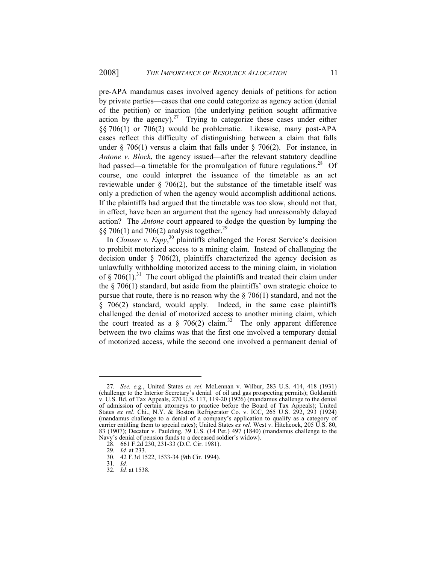pre-APA mandamus cases involved agency denials of petitions for action by private parties—cases that one could categorize as agency action (denial of the petition) or inaction (the underlying petition sought affirmative action by the agency).<sup>27</sup> Trying to categorize these cases under either §§ 706(1) or 706(2) would be problematic. Likewise, many post-APA cases reflect this difficulty of distinguishing between a claim that falls under  $\S$  706(1) versus a claim that falls under  $\S$  706(2). For instance, in *Antone v. Block*, the agency issued—after the relevant statutory deadline had passed—a timetable for the promulgation of future regulations.<sup>28</sup> Of course, one could interpret the issuance of the timetable as an act reviewable under § 706(2), but the substance of the timetable itself was only a prediction of when the agency would accomplish additional actions. If the plaintiffs had argued that the timetable was too slow, should not that, in effect, have been an argument that the agency had unreasonably delayed action? The *Antone* court appeared to dodge the question by lumping the §§ 706(1) and 706(2) analysis together.<sup>29</sup>

In *Clouser v. Espy*, 30 plaintiffs challenged the Forest Service's decision to prohibit motorized access to a mining claim. Instead of challenging the decision under § 706(2), plaintiffs characterized the agency decision as unlawfully withholding motorized access to the mining claim, in violation of § 706(1).<sup>31</sup> The court obliged the plaintiffs and treated their claim under the  $\S$  706(1) standard, but aside from the plaintiffs' own strategic choice to pursue that route, there is no reason why the  $\S 706(1)$  standard, and not the § 706(2) standard, would apply. Indeed, in the same case plaintiffs challenged the denial of motorized access to another mining claim, which the court treated as a  $\S$  706(2) claim.<sup>32</sup> The only apparent difference between the two claims was that the first one involved a temporary denial of motorized access, while the second one involved a permanent denial of

<sup>27</sup>*. See, e.g.*, United States *ex rel.* McLennan v. Wilbur, 283 U.S. 414, 418 (1931) (challenge to the Interior Secretary's denial of oil and gas prospecting permits); Goldsmith v. U.S. Bd. of Tax Appeals, 270 U.S. 117, 119-20 (1926) (mandamus challenge to the denial of admission of certain attorneys to practice before the Board of Tax Appeals); United States *ex rel.* Chi., N.Y. & Boston Refrigerator Co. v. ICC, 265 U.S. 292, 293 (1924) (mandamus challenge to a denial of a company's application to qualify as a category of carrier entitling them to special rates); United States *ex rel.* West v. Hitchcock, 205 U.S. 80, 83 (1907); Decatur v. Paulding, 39 U.S. (14 Pet.) 497 (1840) (mandamus challenge to the Navy's denial of pension funds to a deceased soldier's widow).

 <sup>28. 661</sup> F.2d 230, 231-33 (D.C. Cir. 1981).

<sup>29</sup>*. Id.* at 233.

 <sup>30. 42</sup> F.3d 1522, 1533-34 (9th Cir. 1994).

<sup>31</sup>*. Id.*

<sup>32</sup>*. Id.* at 1538.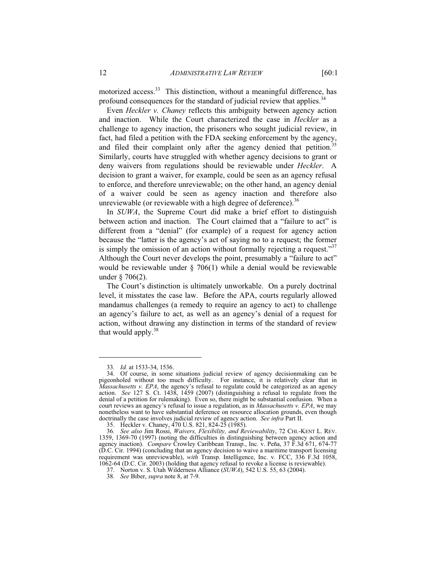motorized access.<sup>33</sup> This distinction, without a meaningful difference, has profound consequences for the standard of judicial review that applies.<sup>34</sup>

Even *Heckler v. Chaney* reflects this ambiguity between agency action and inaction. While the Court characterized the case in *Heckler* as a challenge to agency inaction, the prisoners who sought judicial review, in fact, had filed a petition with the FDA seeking enforcement by the agency, and filed their complaint only after the agency denied that petition.<sup>35</sup> Similarly, courts have struggled with whether agency decisions to grant or deny waivers from regulations should be reviewable under *Heckler*. A decision to grant a waiver, for example, could be seen as an agency refusal to enforce, and therefore unreviewable; on the other hand, an agency denial of a waiver could be seen as agency inaction and therefore also unreviewable (or reviewable with a high degree of deference).<sup>36</sup>

In *SUWA*, the Supreme Court did make a brief effort to distinguish between action and inaction. The Court claimed that a "failure to act" is different from a "denial" (for example) of a request for agency action because the "latter is the agency's act of saying no to a request; the former is simply the omission of an action without formally rejecting a request."<sup>37</sup> Although the Court never develops the point, presumably a "failure to act" would be reviewable under § 706(1) while a denial would be reviewable under § 706(2).

The Court's distinction is ultimately unworkable. On a purely doctrinal level, it misstates the case law. Before the APA, courts regularly allowed mandamus challenges (a remedy to require an agency to act) to challenge an agency's failure to act, as well as an agency's denial of a request for action, without drawing any distinction in terms of the standard of review that would apply. $38$ 

<sup>33</sup>*. Id.* at 1533-34, 1536.

 <sup>34.</sup> Of course, in some situations judicial review of agency decisionmaking can be pigeonholed without too much difficulty. For instance, it is relatively clear that in *Massachusetts v. EPA*, the agency's refusal to regulate could be categorized as an agency action. *See* 127 S. Ct. 1438, 1459 (2007) (distinguishing a refusal to regulate from the denial of a petition for rulemaking). Even so, there might be substantial confusion. When a court reviews an agency's refusal to issue a regulation, as in *Massachusetts v. EPA*, we may nonetheless want to have substantial deference on resource allocation grounds, even though doctrinally the case involves judicial review of agency action. *See infra* Part II.

 <sup>35.</sup> Heckler v. Chaney, 470 U.S. 821, 824-25 (1985).

<sup>36</sup>*. See also* Jim Rossi, *Waivers, Flexibility, and Reviewability*, 72 CHI.-KENT L. REV. 1359, 1369-70 (1997) (noting the difficulties in distinguishing between agency action and agency inaction). *Compare* Crowley Caribbean Transp., Inc. v. Peña, 37 F.3d 671, 674-77 (D.C. Cir. 1994) (concluding that an agency decision to waive a maritime transport licensing requirement was unreviewable), *with* Transp. Intelligence, Inc. v*.* FCC, 336 F.3d 1058, 1062-64 (D.C. Cir. 2003) (holding that agency refusal to revoke a license is reviewable).

 <sup>37.</sup> Norton v. S. Utah Wilderness Alliance (*SUWA*), 542 U.S. 55, 63 (2004).

<sup>38</sup>*. See* Biber, *supra* note 8, at 7-9.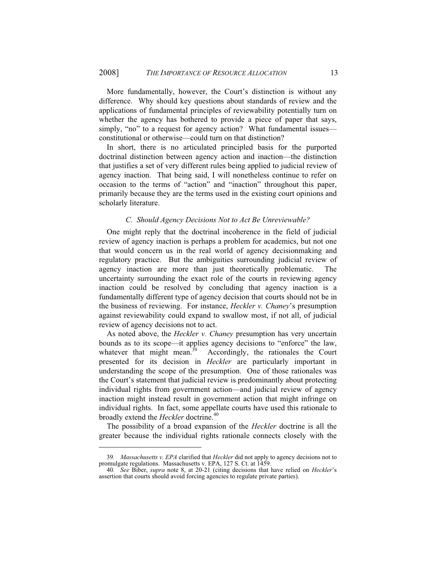More fundamentally, however, the Court's distinction is without any difference. Why should key questions about standards of review and the applications of fundamental principles of reviewability potentially turn on whether the agency has bothered to provide a piece of paper that says, simply, "no" to a request for agency action? What fundamental issues constitutional or otherwise—could turn on that distinction?

In short, there is no articulated principled basis for the purported doctrinal distinction between agency action and inaction—the distinction that justifies a set of very different rules being applied to judicial review of agency inaction. That being said, I will nonetheless continue to refer on occasion to the terms of "action" and "inaction" throughout this paper, primarily because they are the terms used in the existing court opinions and scholarly literature.

#### *C. Should Agency Decisions Not to Act Be Unreviewable?*

One might reply that the doctrinal incoherence in the field of judicial review of agency inaction is perhaps a problem for academics, but not one that would concern us in the real world of agency decisionmaking and regulatory practice. But the ambiguities surrounding judicial review of agency inaction are more than just theoretically problematic. The uncertainty surrounding the exact role of the courts in reviewing agency inaction could be resolved by concluding that agency inaction is a fundamentally different type of agency decision that courts should not be in the business of reviewing. For instance, *Heckler v. Chaney*'s presumption against reviewability could expand to swallow most, if not all, of judicial review of agency decisions not to act.

As noted above, the *Heckler v. Chaney* presumption has very uncertain bounds as to its scope—it applies agency decisions to "enforce" the law, whatever that might mean.<sup>39</sup> Accordingly, the rationales the Court presented for its decision in *Heckler* are particularly important in understanding the scope of the presumption. One of those rationales was the Court's statement that judicial review is predominantly about protecting individual rights from government action—and judicial review of agency inaction might instead result in government action that might infringe on individual rights. In fact, some appellate courts have used this rationale to broadly extend the *Heckler* doctrine.<sup>40</sup>

The possibility of a broad expansion of the *Heckler* doctrine is all the greater because the individual rights rationale connects closely with the

<sup>39</sup>*. Massachusetts v. EPA* clarified that *Heckler* did not apply to agency decisions not to promulgate regulations. Massachusetts v. EPA, 127 S. Ct. at 1459.

<sup>40</sup>*. See* Biber, *supra* note 8, at 20-21 (citing decisions that have relied on *Heckler*'s assertion that courts should avoid forcing agencies to regulate private parties).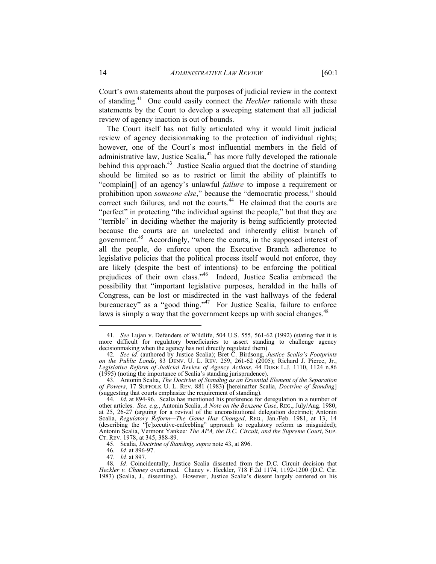Court's own statements about the purposes of judicial review in the context of standing.41 One could easily connect the *Heckler* rationale with these statements by the Court to develop a sweeping statement that all judicial review of agency inaction is out of bounds.

The Court itself has not fully articulated why it would limit judicial review of agency decisionmaking to the protection of individual rights; however, one of the Court's most influential members in the field of administrative law, Justice Scalia, $42$  has more fully developed the rationale behind this approach.<sup>43</sup> Justice Scalia argued that the doctrine of standing should be limited so as to restrict or limit the ability of plaintiffs to "complain[] of an agency's unlawful *failure* to impose a requirement or prohibition upon *someone else*," because the "democratic process," should correct such failures, and not the courts.<sup>44</sup> He claimed that the courts are "perfect" in protecting "the individual against the people," but that they are "terrible" in deciding whether the majority is being sufficiently protected because the courts are an unelected and inherently elitist branch of government.45 Accordingly, "where the courts, in the supposed interest of all the people, do enforce upon the Executive Branch adherence to legislative policies that the political process itself would not enforce, they are likely (despite the best of intentions) to be enforcing the political prejudices of their own class."46 Indeed, Justice Scalia embraced the possibility that "important legislative purposes, heralded in the halls of Congress, can be lost or misdirected in the vast hallways of the federal bureaucracy" as a "good thing."<sup>47</sup> For Justice Scalia, failure to enforce laws is simply a way that the government keeps up with social changes.<sup>48</sup>

<sup>41</sup>*. See* Lujan v. Defenders of Wildlife, 504 U.S. 555, 561-62 (1992) (stating that it is more difficult for regulatory beneficiaries to assert standing to challenge agency decisionmaking when the agency has not directly regulated them).

<sup>42</sup>*. See id.* (authored by Justice Scalia); Bret C. Birdsong, *Justice Scalia's Footprints on the Public Lands*, 83 DENV. U. L. REV. 259, 261-62 (2005); Richard J. Pierce, Jr., *Legislative Reform of Judicial Review of Agency Actions*, 44 DUKE L.J. 1110, 1124 n.86 (1995) (noting the importance of Scalia's standing jurisprudence).

 <sup>43.</sup> Antonin Scalia, *The Doctrine of Standing as an Essential Element of the Separation of Powers*, 17 SUFFOLK U. L. REV. 881 (1983) [hereinafter Scalia, *Doctrine of Standing*] (suggesting that courts emphasize the requirement of standing).

<sup>44</sup>*. Id*. at 894-96. Scalia has mentioned his preference for deregulation in a number of other articles. *See, e.g.*, Antonin Scalia, *A Note on the Benzene Case*, REG., July/Aug. 1980, at 25, 26-27 (arguing for a revival of the unconstitutional delegation doctrine); Antonin Scalia, *Regulatory Reform—The Game Has Changed*, REG., Jan./Feb. 1981, at 13, 14 (describing the "[e]xecutive-enfeebling" approach to regulatory reform as misguided); Antonin Scalia, Vermont Yankee*: The APA, the D.C. Circuit, and the Supreme Court*, SUP. CT. REV. 1978, at 345, 388-89.

 <sup>45.</sup> Scalia, *Doctrine of Standing*, *supra* note 43, at 896.

<sup>46</sup>*. Id.* at 896-97.

<sup>47</sup>*. Id.* at 897.

<sup>48</sup>*. Id.* Coincidentally, Justice Scalia dissented from the D.C. Circuit decision that *Heckler v. Chaney* overturned. Chaney v. Heckler, 718 F.2d 1174, 1192-1200 (D.C. Cir. 1983) (Scalia, J., dissenting). However, Justice Scalia's dissent largely centered on his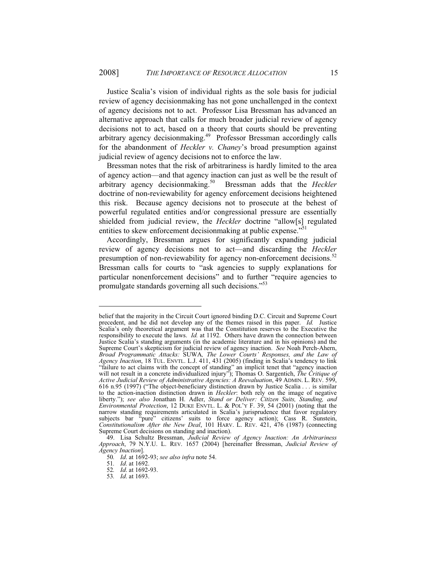Justice Scalia's vision of individual rights as the sole basis for judicial review of agency decisionmaking has not gone unchallenged in the context of agency decisions not to act. Professor Lisa Bressman has advanced an alternative approach that calls for much broader judicial review of agency decisions not to act, based on a theory that courts should be preventing arbitrary agency decisionmaking.<sup>49</sup> Professor Bressman accordingly calls for the abandonment of *Heckler v. Chaney*'s broad presumption against judicial review of agency decisions not to enforce the law.

Bressman notes that the risk of arbitrariness is hardly limited to the area of agency action—and that agency inaction can just as well be the result of arbitrary agency decision making.<sup>50</sup> Bressman adds that the *Heckler* arbitrary agency decisionmaking.<sup>50</sup> doctrine of non-reviewability for agency enforcement decisions heightened this risk. Because agency decisions not to prosecute at the behest of powerful regulated entities and/or congressional pressure are essentially shielded from judicial review, the *Heckler* doctrine "allow[s] regulated entities to skew enforcement decisionmaking at public expense."<sup>51</sup>

Accordingly, Bressman argues for significantly expanding judicial review of agency decisions not to act—and discarding the *Heckler* presumption of non-reviewability for agency non-enforcement decisions.<sup>52</sup> Bressman calls for courts to "ask agencies to supply explanations for particular nonenforcement decisions" and to further "require agencies to promulgate standards governing all such decisions."<sup>53</sup>

belief that the majority in the Circuit Court ignored binding D.C. Circuit and Supreme Court precedent, and he did not develop any of the themes raised in this paper. *Id.* Justice Scalia's only theoretical argument was that the Constitution reserves to the Executive the responsibility to execute the laws. *Id.* at 1192. Others have drawn the connection between Justice Scalia's standing arguments (in the academic literature and in his opinions) and the Supreme Court's skepticism for judicial review of agency inaction. *See* Noah Perch-Ahern, *Broad Programmatic Attacks:* SUWA*, The Lower Courts' Responses, and the Law of Agency Inaction*, 18 TUL. ENVTL. L.J. 411, 431 (2005) (finding in Scalia's tendency to link "failure to act claims with the concept of standing" an implicit tenet that "agency inaction will not result in a concrete individualized injury"); Thomas O. Sargentich, *The Critique of Active Judicial Review of Administrative Agencies: A Reevaluation*, 49 ADMIN. L. REV. 599, 616 n.95 (1997) ("The object-beneficiary distinction drawn by Justice Scalia . . . is similar to the action-inaction distinction drawn in *Heckler*: both rely on the image of negative liberty."); *see also* Jonathan H. Adler, *Stand or Deliver: Citizen Suits, Standing, and Environmental Protection*, 12 DUKE ENVTL. L. & POL'Y F. 39, 54 (2001) (noting that the narrow standing requirements articulated in Scalia's jurisprudence that favor regulatory subjects bar "pure" citizens' suits to force agency action); Cass R. Sunstein, *Constitutionalism After the New Deal*, 101 HARV. L. REV. 421, 476 (1987) (connecting Supreme Court decisions on standing and inaction).

 <sup>49.</sup> Lisa Schultz Bressman, *Judicial Review of Agency Inaction: An Arbitrariness Approach*, 79 N.Y.U. L. REV. 1657 (2004) [hereinafter Bressman, *Judicial Review of Agency Inaction*].

<sup>50</sup>*. Id*. at 1692-93; *see also infra* note 54.

<sup>51</sup>*. Id*. at 1692.

<sup>52</sup>*. Id*. at 1692-93.

<sup>53</sup>*. Id*. at 1693.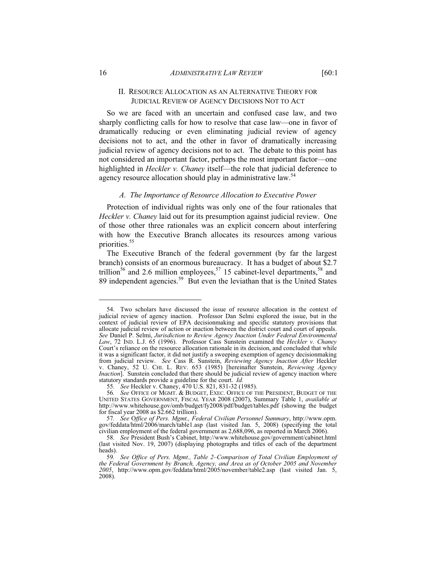So we are faced with an uncertain and confused case law, and two sharply conflicting calls for how to resolve that case law—one in favor of dramatically reducing or even eliminating judicial review of agency decisions not to act, and the other in favor of dramatically increasing judicial review of agency decisions not to act. The debate to this point has not considered an important factor, perhaps the most important factor—one highlighted in *Heckler v. Chaney* itself—the role that judicial deference to agency resource allocation should play in administrative law.<sup>54</sup>

#### *A. The Importance of Resource Allocation to Executive Power*

Protection of individual rights was only one of the four rationales that *Heckler v. Chaney* laid out for its presumption against judicial review. One of those other three rationales was an explicit concern about interfering with how the Executive Branch allocates its resources among various priorities.<sup>55</sup>

The Executive Branch of the federal government (by far the largest branch) consists of an enormous bureaucracy. It has a budget of about \$2.7 trillion<sup>56</sup> and 2.6 million employees,<sup>57</sup> 15 cabinet-level departments,<sup>58</sup> and 89 independent agencies.<sup>59</sup> But even the leviathan that is the United States

 <sup>54.</sup> Two scholars have discussed the issue of resource allocation in the context of judicial review of agency inaction. Professor Dan Selmi explored the issue, but in the context of judicial review of EPA decisionmaking and specific statutory provisions that allocate judicial review of action or inaction between the district court and court of appeals. *See* Daniel P. Selmi, *Jurisdiction to Review Agency Inaction Under Federal Environmental Law*, 72 IND. L.J. 65 (1996). Professor Cass Sunstein examined the *Heckler v. Chaney* Court's reliance on the resource allocation rationale in its decision, and concluded that while it was a significant factor, it did not justify a sweeping exemption of agency decisionmaking from judicial review. *See* Cass R. Sunstein, *Reviewing Agency Inaction After* Heckler v. Chaney, 52 U. CHI. L. REV. 653 (1985) [hereinafter Sunstein, *Reviewing Agency Inaction*]. Sunstein concluded that there should be judicial review of agency inaction where statutory standards provide a guideline for the court. *Id.*

<sup>55</sup>*. See* Heckler v. Chaney, 470 U.S. 821, 831-32 (1985).

<sup>56</sup>*. See* OFFICE OF MGMT.&BUDGET, EXEC. OFFICE OF THE PRESIDENT, BUDGET OF THE UNITED STATES GOVERNMENT, FISCAL YEAR 2008 (2007), Summary Table 1, *available at* http://www.whitehouse.gov/omb/budget/fy2008/pdf/budget/tables.pdf (showing the budget for fiscal year 2008 as \$2.662 trillion).

<sup>57</sup>*. See* O*ffice of Pers. Mgmt., Federal Civilian Personnel Summary*, http://www.opm. gov/feddata/html/2006/march/table1.asp (last visited Jan. 5, 2008) (specifying the total civilian employment of the federal government as 2,688,096, as reported in March 2006).

 <sup>58.</sup> *See* President Bush's Cabinet, http://www.whitehouse.gov/government/cabinet.html (last visited Nov. 19, 2007) (displaying photographs and titles of each of the department heads).

<sup>59</sup>*. See Office of Pers. Mgmt., Table 2–Comparison of Total Civilian Employment of the Federal Government by Branch, Agency, and Area as of October 2005 and November 2005*, http://www.opm.gov/feddata/html/2005/november/table2.asp (last visited Jan. 5, 2008).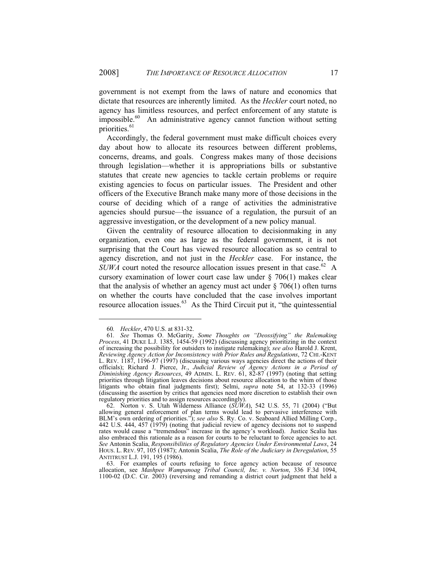government is not exempt from the laws of nature and economics that dictate that resources are inherently limited. As the *Heckler* court noted, no agency has limitless resources, and perfect enforcement of any statute is impossible. $60$  An administrative agency cannot function without setting priorities.<sup>61</sup>

Accordingly, the federal government must make difficult choices every day about how to allocate its resources between different problems, concerns, dreams, and goals. Congress makes many of those decisions through legislation—whether it is appropriations bills or substantive statutes that create new agencies to tackle certain problems or require existing agencies to focus on particular issues. The President and other officers of the Executive Branch make many more of those decisions in the course of deciding which of a range of activities the administrative agencies should pursue—the issuance of a regulation, the pursuit of an aggressive investigation, or the development of a new policy manual.

Given the centrality of resource allocation to decisionmaking in any organization, even one as large as the federal government, it is not surprising that the Court has viewed resource allocation as so central to agency discretion, and not just in the *Heckler* case. For instance, the  $SUMA$  court noted the resource allocation issues present in that case.<sup>62</sup> A cursory examination of lower court case law under § 706(1) makes clear that the analysis of whether an agency must act under  $\S$  706(1) often turns on whether the courts have concluded that the case involves important resource allocation issues. $63$  As the Third Circuit put it, "the quintessential

<sup>60</sup>*. Heckler*, 470 U.S. at 831-32.

<sup>61</sup>*. See* Thomas O. McGarity, *Some Thoughts on "Deossifying" the Rulemaking Process*, 41 DUKE L.J. 1385, 1454-59 (1992) (discussing agency prioritizing in the context of increasing the possibility for outsiders to instigate rulemaking); *see also* Harold J. Krent, *Reviewing Agency Action for Inconsistency with Prior Rules and Regulations*, 72 CHI.-KENT L. REV. 1187, 1196-97 (1997) (discussing various ways agencies direct the actions of their officials); Richard J. Pierce, Jr., *Judicial Review of Agency Actions in a Period of Diminishing Agency Resources*, 49 ADMIN. L. REV. 61, 82-87 (1997) (noting that setting priorities through litigation leaves decisions about resource allocation to the whim of those litigants who obtain final judgments first); Selmi, *supra* note 54, at 132-33 (1996) (discussing the assertion by critics that agencies need more discretion to establish their own regulatory priorities and to assign resources accordingly).

 <sup>62.</sup> Norton v. S. Utah Wilderness Alliance (*SUWA*), 542 U.S. 55, 71 (2004) ("But allowing general enforcement of plan terms would lead to pervasive interference with BLM's own ordering of priorities."); *see also* S. Ry. Co. v. Seaboard Allied Milling Corp*.*, 442 U.S. 444, 457 (1979) (noting that judicial review of agency decisions not to suspend rates would cause a "tremendous" increase in the agency's workload). Justice Scalia has also embraced this rationale as a reason for courts to be reluctant to force agencies to act. *See* Antonin Scalia, *Responsibilities of Regulatory Agencies Under Environmental Laws*, 24 HOUS. L. REV. 97, 105 (1987); Antonin Scalia, *The Role of the Judiciary in Deregulation*, 55 ANTITRUST L.J. 191, 195 (1986).

 <sup>63.</sup> For examples of courts refusing to force agency action because of resource allocation, see *Mashpee Wampanoag Tribal Council, Inc. v. Norton*, 336 F.3d 1094, 1100-02 (D.C. Cir. 2003) (reversing and remanding a district court judgment that held a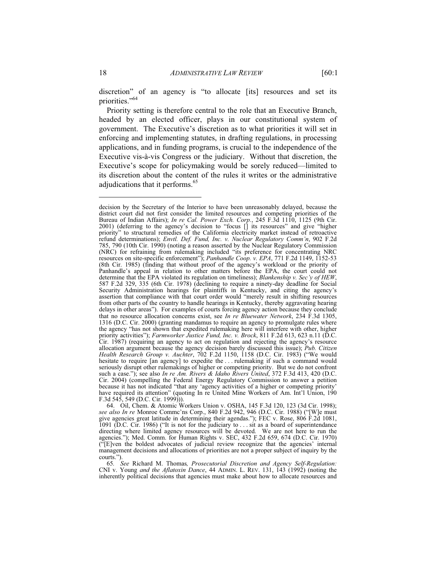discretion" of an agency is "to allocate [its] resources and set its priorities."<sup>64</sup>

Priority setting is therefore central to the role that an Executive Branch, headed by an elected officer, plays in our constitutional system of government. The Executive's discretion as to what priorities it will set in enforcing and implementing statutes, in drafting regulations, in processing applications, and in funding programs, is crucial to the independence of the Executive vis-à-vis Congress or the judiciary. Without that discretion, the Executive's scope for policymaking would be sorely reduced—limited to its discretion about the content of the rules it writes or the administrative adjudications that it performs.<sup>65</sup>

decision by the Secretary of the Interior to have been unreasonably delayed, because the district court did not first consider the limited resources and competing priorities of the Bureau of Indian Affairs); *In re Cal. Power Exch. Corp.*, 245 F.3d 1110, 1125 (9th Cir. 2001) (deferring to the agency's decision to "focus [] its resources" and give "higher priority" to structural remedies of the California electricity market instead of retroactive refund determinations); *Envtl. Def. Fund, Inc. v. Nuclear Regulatory Comm'n*, 902 F.2d 785, 790 (10th Cir. 1990) (noting a reason asserted by the Nuclear Regulatory Commission (NRC) for refraining from rulemaking included "its preference for concentrating NRC resources on site-specific enforcement"); *Panhandle Coop. v. EPA*, 771 F.2d 1149, 1152-53 (8th Cir. 1985) (finding that without proof of the agency's workload or the priority of Panhandle's appeal in relation to other matters before the EPA, the court could not determine that the EPA violated its regulation on timeliness); *Blankenship v. Sec'y of HEW*, 587 F.2d 329, 335 (6th Cir. 1978) (declining to require a ninety-day deadline for Social Security Administration hearings for plaintiffs in Kentucky, and citing the agency's assertion that compliance with that court order would "merely result in shifting resources from other parts of the country to handle hearings in Kentucky, thereby aggravating hearing delays in other areas"). For examples of courts forcing agency action because they conclude that no resource allocation concerns exist, see *In re Bluewater Network*, 234 F.3d 1305, 1316 (D.C. Cir. 2000) (granting mandamus to require an agency to promulgate rules where the agency "has not shown that expedited rulemaking here will interfere with other, higher priority activities"); *Farmworker Justice Fund, Inc. v. Brock*, 811 F.2d 613, 623 n.11 (D.C. Cir. 1987) (requiring an agency to act on regulation and rejecting the agency's resource allocation argument because the agency decision barely discussed this issue); *Pub. Citizen Health Research Group v. Auchter*, 702 F.2d 1150, 1158 (D.C. Cir. 1983) ("We would hesitate to require [an agency] to expedite the . . . rulemaking if such a command would seriously disrupt other rulemakings of higher or competing priority. But we do not confront such a case."); see also *In re Am. Rivers & Idaho Rivers United*, 372 F.3d 413, 420 (D.C. Cir. 2004) (compelling the Federal Energy Regulatory Commission to answer a petition because it has not indicated "that any 'agency activities of a higher or competing priority' have required its attention" (quoting In re United Mine Workers of Am. Int'l Union, 190 F.3d 545, 549 (D.C. Cir. 1999))).

 <sup>64.</sup> Oil, Chem. & Atomic Workers Union v. OSHA, 145 F.3d 120, 123 (3d Cir. 1998); *see also In re* Monroe Commc'ns Corp., 840 F.2d 942, 946 (D.C. Cir. 1988) ("[W]e must give agencies great latitude in determining their agendas."); FEC v. Rose, 806 F.2d 1081, 1091 (D.C. Cir. 1986) ("It is not for the judiciary to . . . sit as a board of superintendance directing where limited agency resources will be devoted. We are not here to run the agencies."); Med. Comm. for Human Rights v. SEC, 432 F.2d 659, 674 (D.C. Cir. 1970) ("[E]ven the boldest advocates of judicial review recognize that the agencies' internal management decisions and allocations of priorities are not a proper subject of inquiry by the courts.").

<sup>65</sup>*. See* Richard M. Thomas*, Prosecutorial Discretion and Agency Self-Regulation:*  CNI v. Young *and the Aflatoxin Dance*, 44 ADMIN. L. REV. 131, 143 (1992) (noting the inherently political decisions that agencies must make about how to allocate resources and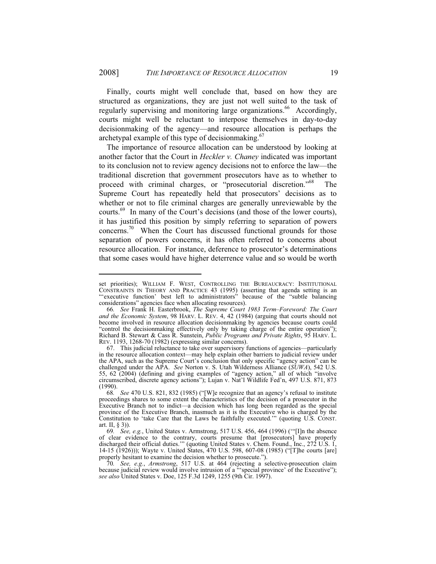Finally, courts might well conclude that, based on how they are structured as organizations, they are just not well suited to the task of regularly supervising and monitoring large organizations.<sup>66</sup> Accordingly, courts might well be reluctant to interpose themselves in day-to-day decisionmaking of the agency—and resource allocation is perhaps the archetypal example of this type of decision making.<sup>67</sup>

The importance of resource allocation can be understood by looking at another factor that the Court in *Heckler v. Chaney* indicated was important to its conclusion not to review agency decisions not to enforce the law—the traditional discretion that government prosecutors have as to whether to proceed with criminal charges, or "prosecutorial discretion."<sup>68</sup> The Supreme Court has repeatedly held that prosecutors' decisions as to whether or not to file criminal charges are generally unreviewable by the courts.<sup>69</sup> In many of the Court's decisions (and those of the lower courts), it has justified this position by simply referring to separation of powers concerns.<sup>70</sup> When the Court has discussed functional grounds for those separation of powers concerns, it has often referred to concerns about resource allocation. For instance, deference to prosecutor's determinations that some cases would have higher deterrence value and so would be worth

set priorities); WILLIAM F. WEST, CONTROLLING THE BUREAUCRACY: INSTITUTIONAL CONSTRAINTS IN THEORY AND PRACTICE 43 (1995) (asserting that agenda setting is an "'executive function' best left to administrators" because of the "subtle balancing considerations" agencies face when allocating resources).

<sup>66</sup>*. See* Frank H. Easterbrook, *The Supreme Court 1983 Term–Foreword: The Court*  and the Economic System, 98 HARV. L. REV. 4, 42 (1984) (arguing that courts should not become involved in resource allocation decisionmaking by agencies because courts could "control the decisionmaking effectively only by taking charge of the entire operation"); Richard B. Stewart & Cass R. Sunstein, *Public Programs and Private Rights*, 95 HARV. L. REV. 1193, 1268-70 (1982) (expressing similar concerns).

 <sup>67.</sup> This judicial reluctance to take over supervisory functions of agencies—particularly in the resource allocation context—may help explain other barriers to judicial review under the APA, such as the Supreme Court's conclusion that only specific "agency action" can be challenged under the APA. *See* Norton v. S. Utah Wilderness Alliance (*SUWA*), 542 U.S. 55, 62 (2004) (defining and giving examples of "agency action," all of which "involve circumscribed, discrete agency actions"); Lujan v. Nat'l Wildlife Fed'n, 497 U.S. 871, 873 (1990).

<sup>68</sup>*. See* 470 U.S. 821, 832 (1985) ("[W]e recognize that an agency's refusal to institute proceedings shares to some extent the characteristics of the decision of a prosecutor in the Executive Branch not to indict—a decision which has long been regarded as the special province of the Executive Branch, inasmuch as it is the Executive who is charged by the Constitution to 'take Care that the Laws be faithfully executed.'" (quoting U.S. CONST. art. II, § 3)).

<sup>69</sup>*. See, e.g.*, United States v. Armstrong, 517 U.S. 456, 464 (1996) ('"[I]n the absence of clear evidence to the contrary, courts presume that [prosecutors] have properly discharged their official duties.'" (quoting United States v. Chem. Found., Inc., 272 U.S. 1, 14-15 (1926))); Wayte v. United States, 470 U.S. 598, 607-08 (1985) ("[T]he courts [are] properly hesitant to examine the decision whether to prosecute.").

<sup>70</sup>*. See, e.g.*, *Armstrong*, 517 U.S. at 464 (rejecting a selective-prosecution claim because judicial review would involve intrusion of a "'special province' of the Executive"); *see also* United States v. Doe, 125 F.3d 1249, 1255 (9th Cir. 1997).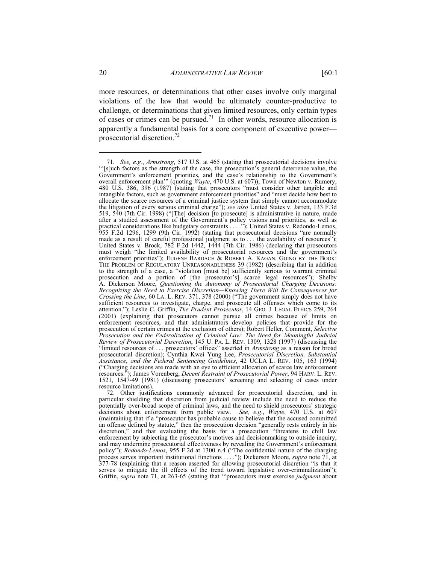more resources, or determinations that other cases involve only marginal violations of the law that would be ultimately counter-productive to challenge, or determinations that given limited resources, only certain types of cases or crimes can be pursued.<sup>71</sup> In other words, resource allocation is apparently a fundamental basis for a core component of executive power prosecutorial discretion.72

<sup>71</sup>*. See, e.g.*, *Armstrong*, 517 U.S. at 465 (stating that prosecutorial decisions involve "'[s]uch factors as the strength of the case, the prosecution's general deterrence value, the Government's enforcement priorities, and the case's relationship to the Government's overall enforcement plan'" (quoting *Wayte*, 470 U.S. at 607)); Town of Newton v. Rumery, 480 U.S. 386, 396 (1987) (stating that prosecutors "must consider other tangible and intangible factors, such as government enforcement priorities" and "must decide how best to allocate the scarce resources of a criminal justice system that simply cannot accommodate the litigation of every serious criminal charge"); *see also* United States v. Jarrett, 133 F.3d 519, 540 (7th Cir. 1998) ("[The] decision [to prosecute] is administrative in nature, made after a studied assessment of the Government's policy visions and priorities, as well as practical considerations like budgetary constraints . . . ."); United States v. Redondo-Lemos, 955 F.2d 1296, 1299 (9th Cir. 1992) (stating that prosecutorial decisions "are normally made as a result of careful professional judgment as to . . . the availability of resources"); United States v. Brock, 782 F.2d 1442, 1444 (7th Cir. 1986) (declaring that prosecutors must weigh "the limited availability of prosecutorial resources and the government's enforcement priorities"); EUGENE BARDACH & ROBERT A. KAGAN, GOING BY THE BOOK: THE PROBLEM OF REGULATORY UNREASONABLENESS 39 (1982) (describing that in addition to the strength of a case, a "violation [must be] sufficiently serious to warrant criminal prosecution and a portion of [the prosecutor's] scarce legal resources"); Shelby A. Dickerson Moore, *Questioning the Autonomy of Prosecutorial Charging Decisions: Recognizing the Need to Exercise Discretion—Knowing There Will Be Consequences for Crossing the Line*, 60 LA. L. REV. 371, 378 (2000) ("The government simply does not have sufficient resources to investigate, charge, and prosecute all offenses which come to its attention."); Leslie C. Griffin, *The Prudent Prosecutor*, 14 GEO. J. LEGAL ETHICS 259, 264 (2001) (explaining that prosecutors cannot pursue all crimes because of limits on enforcement resources, and that administrators develop policies that provide for the prosecution of certain crimes at the exclusion of others); Robert Heller, Comment, *Selective Prosecution and the Federalization of Criminal Law: The Need for Meaningful Judicial Review of Prosecutorial Discretion*, 145 U. PA. L. REV. 1309, 1328 (1997) (discussing the "limited resources of . . . prosecutors' offices" asserted in *Armstrong* as a reason for broad prosecutorial discretion); Cynthia Kwei Yung Lee, *Prosecutorial Discretion, Substantial Assistance, and the Federal Sentencing Guidelines*, 42 UCLA L. REV. 105, 163 (1994) ("Charging decisions are made with an eye to efficient allocation of scarce law enforcement resources."); James Vorenberg, *Decent Restraint of Prosecutorial Power*, 94 HARV. L. REV. 1521, 1547-49 (1981) (discussing prosecutors' screening and selecting of cases under resource limitations).

 <sup>72.</sup> Other justifications commonly advanced for prosecutorial discretion, and in particular shielding that discretion from judicial review include the need to reduce the potentially over-broad scope of criminal laws, and the need to shield prosecutors' strategic decisions about enforcement from public view. *See, e.g*., *Wayte*, 470 U.S. at 607 (maintaining that if a "prosecutor has probable cause to believe that the accused committed an offense defined by statute," then the prosecution decision "generally rests entirely in his discretion," and that evaluating the basis for a prosecution "threatens to chill law enforcement by subjecting the prosecutor's motives and decisionmaking to outside inquiry, and may undermine prosecutorial effectiveness by revealing the Government's enforcement policy"); *Redondo-Lemos*, 955 F.2d at 1300 n.4 ("The confidential nature of the charging process serves important institutional functions . . . ."); Dickerson Moore, *supra* note 71, at 377-78 (explaining that a reason asserted for allowing prosecutorial discretion "is that it serves to mitigate the ill effects of the trend toward legislative over-criminalization"); Griffin, *supra* note 71, at 263-65 (stating that '"prosecutors must exercise *judgment* about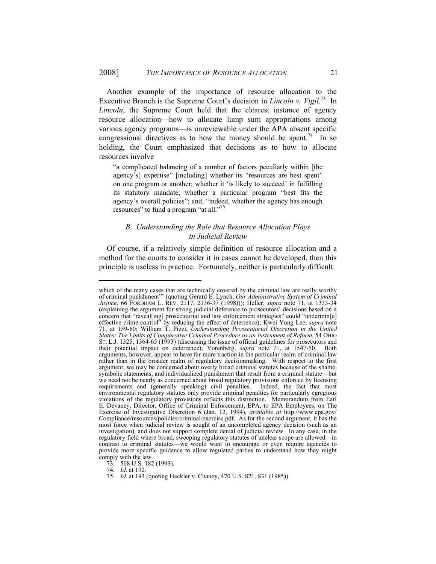Another example of the importance of resource allocation to the Executive Branch is the Supreme Court's decision in *Lincoln v. Vigil*. 73 In *Lincoln*, the Supreme Court held that the clearest instance of agency resource allocation—how to allocate lump sum appropriations among various agency programs—is unreviewable under the APA absent specific congressional directives as to how the money should be spent.<sup>74</sup> In so holding, the Court emphasized that decisions as to how to allocate resources involve

"a complicated balancing of a number of factors peculiarly within [the agency's] expertise" [including] whether its "resources are best spent" on one program or another; whether it 'is likely to succeed' in fulfilling its statutory mandate; whether a particular program "best fits the agency's overall policies"; and, "indeed, whether the agency has enough resources" to fund a program "at all."<sup>75</sup>

# *B. Understanding the Role that Resource Allocation Plays in Judicial Review*

Of course, if a relatively simple definition of resource allocation and a method for the courts to consider it in cases cannot be developed, then this principle is useless in practice. Fortunately, neither is particularly difficult.

which of the many cases that are technically covered by the criminal law are really worthy of criminal punishment"' (quoting Gerard E. Lynch, *Our Administrative System of Criminal Justice*, 66 FORDHAM L. REV. 2117, 2136-37 (1998))); Heller, *supra* note 71, at 1333-34 (explaining the argument for strong judicial deference to prosecutors' decisions based on a concern that "reveal[ing] prosecutorial and law enforcement strategies" could "undermin[e] effective crime control" by reducing the effect of deterrence); Kwei Yung Lee, *supra* note 71, at 159-60; William T. Pizzi, *Understanding Prosecutorial Discretion in the United States: The Limits of Comparative Criminal Procedure as an Instrument of Reform*, 54 OHIO ST. L.J. 1325, 1364-65 (1993) (discussing the issue of official guidelines for prosecutors and their potential impact on deterrence); Vorenberg, *supra* note 71, at 1547-50. Both arguments, however, appear to have far more traction in the particular realm of criminal law rather than in the broader realm of regulatory decisionmaking. With respect to the first argument, we may be concerned about overly broad criminal statutes because of the shame, symbolic statements, and individualized punishment that result from a criminal statute—but we need not be nearly as concerned about broad regulatory provisions enforced by licensing requirements and (generally speaking) civil penalties. Indeed, the fact that most requirements and (generally speaking) civil penalties. environmental regulatory statutes only provide criminal penalties for particularly egregious violations of the regulatory provisions reflects this distinction. Memorandum from Earl E. Devaney, Director, Office of Criminal Enforcement, EPA, to EPA Employees, on The Exercise of Investigative Discretion 6 (Jan. 12, 1994), *available at* http://www.epa.gov/ Compliance/resources/policies/criminal/exercise.pdf. As for the second argument, it has the most force when judicial review is sought of an uncompleted agency decision (such as an investigation), and does not support complete denial of judicial review. In any case, in the regulatory field where broad, sweeping regulatory statutes of unclear scope are allowed—in contrast to criminal statutes—we would want to encourage or even require agencies to provide more specific guidance to allow regulated parties to understand how they might comply with the law.

 <sup>73. 508</sup> U.S. 182 (1993).

<sup>74</sup>*. Id*. at 192.

<sup>75</sup>*. Id*. at 193 (quoting Heckler v. Chaney, 470 U.S. 821, 831 (1985)).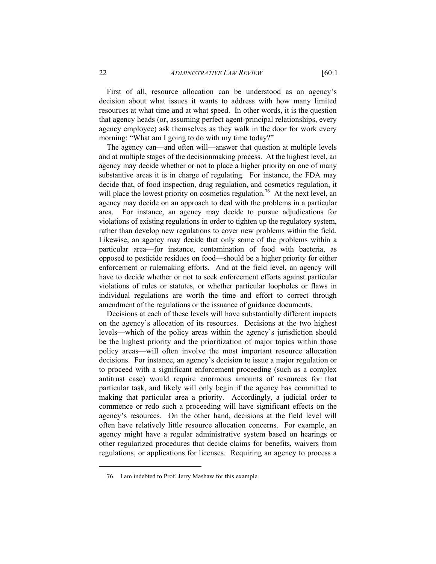First of all, resource allocation can be understood as an agency's decision about what issues it wants to address with how many limited resources at what time and at what speed. In other words, it is the question that agency heads (or, assuming perfect agent-principal relationships, every agency employee) ask themselves as they walk in the door for work every morning: "What am I going to do with my time today?"

The agency can—and often will—answer that question at multiple levels and at multiple stages of the decisionmaking process. At the highest level, an agency may decide whether or not to place a higher priority on one of many substantive areas it is in charge of regulating. For instance, the FDA may decide that, of food inspection, drug regulation, and cosmetics regulation, it will place the lowest priority on cosmetics regulation.<sup>76</sup> At the next level, an agency may decide on an approach to deal with the problems in a particular area. For instance, an agency may decide to pursue adjudications for violations of existing regulations in order to tighten up the regulatory system, rather than develop new regulations to cover new problems within the field. Likewise, an agency may decide that only some of the problems within a particular area—for instance, contamination of food with bacteria, as opposed to pesticide residues on food—should be a higher priority for either enforcement or rulemaking efforts. And at the field level, an agency will have to decide whether or not to seek enforcement efforts against particular violations of rules or statutes, or whether particular loopholes or flaws in individual regulations are worth the time and effort to correct through amendment of the regulations or the issuance of guidance documents.

Decisions at each of these levels will have substantially different impacts on the agency's allocation of its resources. Decisions at the two highest levels—which of the policy areas within the agency's jurisdiction should be the highest priority and the prioritization of major topics within those policy areas—will often involve the most important resource allocation decisions. For instance, an agency's decision to issue a major regulation or to proceed with a significant enforcement proceeding (such as a complex antitrust case) would require enormous amounts of resources for that particular task, and likely will only begin if the agency has committed to making that particular area a priority. Accordingly, a judicial order to commence or redo such a proceeding will have significant effects on the agency's resources. On the other hand, decisions at the field level will often have relatively little resource allocation concerns. For example, an agency might have a regular administrative system based on hearings or other regularized procedures that decide claims for benefits, waivers from regulations, or applications for licenses. Requiring an agency to process a

 <sup>76.</sup> I am indebted to Prof. Jerry Mashaw for this example.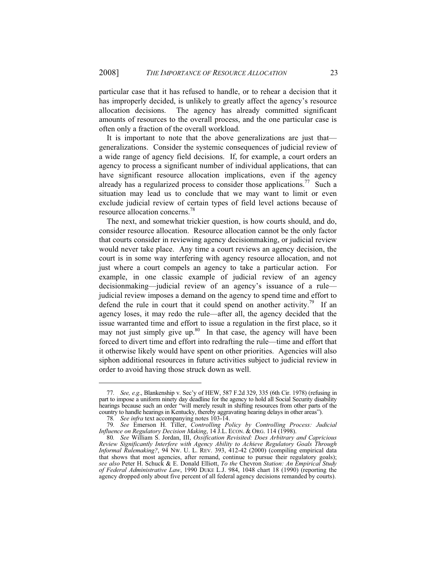particular case that it has refused to handle, or to rehear a decision that it has improperly decided, is unlikely to greatly affect the agency's resource allocation decisions. The agency has already committed significant amounts of resources to the overall process, and the one particular case is often only a fraction of the overall workload.

It is important to note that the above generalizations are just that generalizations. Consider the systemic consequences of judicial review of a wide range of agency field decisions. If, for example, a court orders an agency to process a significant number of individual applications, that can have significant resource allocation implications, even if the agency already has a regularized process to consider those applications.<sup>77</sup> Such a situation may lead us to conclude that we may want to limit or even exclude judicial review of certain types of field level actions because of resource allocation concerns.<sup>78</sup>

The next, and somewhat trickier question, is how courts should, and do, consider resource allocation. Resource allocation cannot be the only factor that courts consider in reviewing agency decisionmaking, or judicial review would never take place. Any time a court reviews an agency decision, the court is in some way interfering with agency resource allocation, and not just where a court compels an agency to take a particular action. For example, in one classic example of judicial review of an agency decisionmaking—judicial review of an agency's issuance of a rule judicial review imposes a demand on the agency to spend time and effort to defend the rule in court that it could spend on another activity.<sup>79</sup> If an agency loses, it may redo the rule—after all, the agency decided that the issue warranted time and effort to issue a regulation in the first place, so it may not just simply give up. $80$  In that case, the agency will have been forced to divert time and effort into redrafting the rule—time and effort that it otherwise likely would have spent on other priorities. Agencies will also siphon additional resources in future activities subject to judicial review in order to avoid having those struck down as well.

<sup>77</sup>*. See, e.g*., Blankenship v. Sec'y of HEW, 587 F.2d 329, 335 (6th Cir. 1978) (refusing in part to impose a uniform ninety day deadline for the agency to hold all Social Security disability hearings because such an order "will merely result in shifting resources from other parts of the country to handle hearings in Kentucky, thereby aggravating hearing delays in other areas").

<sup>78</sup>*. See infra* text accompanying notes 103-14.

<sup>79</sup>*. See* Emerson H. Tiller, *Controlling Policy by Controlling Process: Judicial Influence on Regulatory Decision Making*, 14 J.L. ECON.&ORG. 114 (1998).

<sup>80</sup>*. See* William S. Jordan, III, *Ossification Revisited: Does Arbitrary and Capricious Review Significantly Interfere with Agency Ability to Achieve Regulatory Goals Through Informal Rulemaking?*, 94 NW. U. L. REV. 393, 412-42 (2000) (compiling empirical data that shows that most agencies, after remand, continue to pursue their regulatory goals); *see also* Peter H. Schuck & E. Donald Elliott, *To the* Chevron *Station: An Empirical Study of Federal Administrative Law*, 1990 DUKE L.J. 984, 1048 chart 18 (1990) (reporting the agency dropped only about five percent of all federal agency decisions remanded by courts).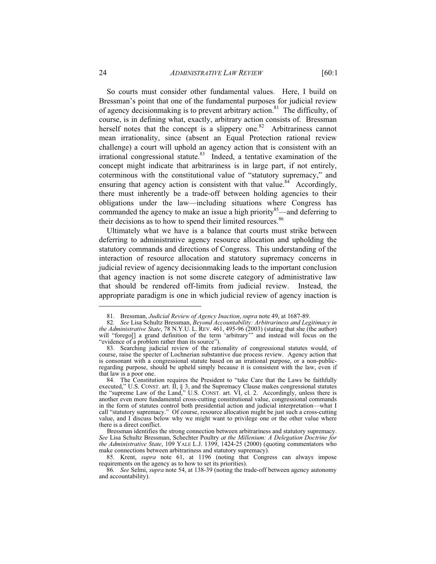So courts must consider other fundamental values. Here, I build on Bressman's point that one of the fundamental purposes for judicial review of agency decision making is to prevent arbitrary action.<sup>81</sup> The difficulty, of course, is in defining what, exactly, arbitrary action consists of. Bressman herself notes that the concept is a slippery one. $82$  Arbitrariness cannot mean irrationality, since (absent an Equal Protection rational review challenge) a court will uphold an agency action that is consistent with an  $\overline{\text{irrational}}$  congressional statute.<sup>83</sup> Indeed, a tentative examination of the concept might indicate that arbitrariness is in large part, if not entirely, coterminous with the constitutional value of "statutory supremacy," and ensuring that agency action is consistent with that value.<sup>84</sup> Accordingly, there must inherently be a trade-off between holding agencies to their obligations under the law—including situations where Congress has commanded the agency to make an issue a high priority<sup>85</sup>—and deferring to

Ultimately what we have is a balance that courts must strike between deferring to administrative agency resource allocation and upholding the statutory commands and directions of Congress. This understanding of the interaction of resource allocation and statutory supremacy concerns in judicial review of agency decisionmaking leads to the important conclusion that agency inaction is not some discrete category of administrative law that should be rendered off-limits from judicial review. Instead, the appropriate paradigm is one in which judicial review of agency inaction is

their decisions as to how to spend their limited resources.<sup>86</sup>

 <sup>81.</sup> Bressman, *Judicial Review of Agency Inaction*, *supra* note 49, at 1687-89.

<sup>82</sup>*. See* Lisa Schultz Bressman, *Beyond Accountability: Arbitrariness and Legitimacy in the Administrative State*, 78 N.Y.U. L. REV. 461, 495-96 (2003) (stating that she (the author) will "forego[] a grand definition of the term 'arbitrary'" and instead will focus on the "evidence of a problem rather than its source").

 <sup>83.</sup> Searching judicial review of the rationality of congressional statutes would, of course, raise the specter of Lochnerian substantive due process review. Agency action that is consonant with a congressional statute based on an irrational purpose, or a non-publicregarding purpose, should be upheld simply because it is consistent with the law, even if that law is a poor one.

 <sup>84.</sup> The Constitution requires the President to "take Care that the Laws be faithfully executed," U.S. CONST. art. II, § 3, and the Supremacy Clause makes congressional statutes the "supreme Law of the Land," U.S. CONST. art. VI, cl. 2. Accordingly, unless there is another even more fundamental cross-cutting constitutional value, congressional commands in the form of statutes control both presidential action and judicial interpretation—what I call "statutory supremacy." Of course, resource allocation might be just such a cross-cutting value, and I discuss below why we might want to privilege one or the other value where there is a direct conflict.

Bressman identifies the strong connection between arbitrariness and statutory supremacy. *See* Lisa Schultz Bressman, Schechter Poultry *at the Millenium: A Delegation Doctrine for the Administrative State*, 109 YALE L.J. 1399, 1424-25 (2000) (quoting commentators who make connections between arbitrariness and statutory supremacy).

 <sup>85.</sup> Krent, *supra* note 61, at 1196 (noting that Congress can always impose requirements on the agency as to how to set its priorities).

<sup>86</sup>*. See* Selmi, *supra* note 54, at 138-39 (noting the trade-off between agency autonomy and accountability).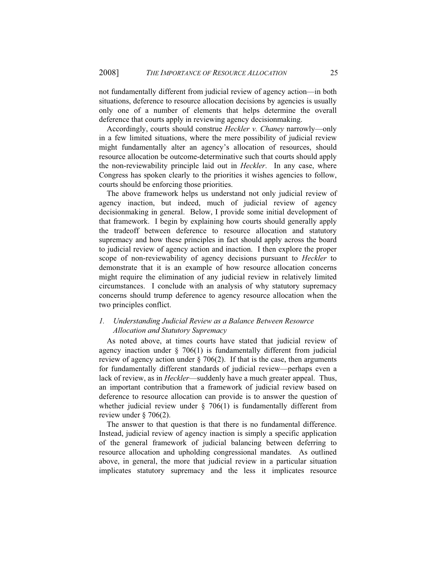not fundamentally different from judicial review of agency action—in both situations, deference to resource allocation decisions by agencies is usually only one of a number of elements that helps determine the overall deference that courts apply in reviewing agency decisionmaking.

Accordingly, courts should construe *Heckler v. Chaney* narrowly—only in a few limited situations, where the mere possibility of judicial review might fundamentally alter an agency's allocation of resources, should resource allocation be outcome-determinative such that courts should apply the non-reviewability principle laid out in *Heckler*. In any case, where Congress has spoken clearly to the priorities it wishes agencies to follow, courts should be enforcing those priorities.

The above framework helps us understand not only judicial review of agency inaction, but indeed, much of judicial review of agency decisionmaking in general. Below, I provide some initial development of that framework. I begin by explaining how courts should generally apply the tradeoff between deference to resource allocation and statutory supremacy and how these principles in fact should apply across the board to judicial review of agency action and inaction. I then explore the proper scope of non-reviewability of agency decisions pursuant to *Heckler* to demonstrate that it is an example of how resource allocation concerns might require the elimination of any judicial review in relatively limited circumstances. I conclude with an analysis of why statutory supremacy concerns should trump deference to agency resource allocation when the two principles conflict.

# *1. Understanding Judicial Review as a Balance Between Resource Allocation and Statutory Supremacy*

As noted above, at times courts have stated that judicial review of agency inaction under  $\S$  706(1) is fundamentally different from judicial review of agency action under  $\S 706(2)$ . If that is the case, then arguments for fundamentally different standards of judicial review—perhaps even a lack of review, as in *Heckler*—suddenly have a much greater appeal. Thus, an important contribution that a framework of judicial review based on deference to resource allocation can provide is to answer the question of whether judicial review under  $\S$  706(1) is fundamentally different from review under § 706(2).

The answer to that question is that there is no fundamental difference. Instead, judicial review of agency inaction is simply a specific application of the general framework of judicial balancing between deferring to resource allocation and upholding congressional mandates. As outlined above, in general, the more that judicial review in a particular situation implicates statutory supremacy and the less it implicates resource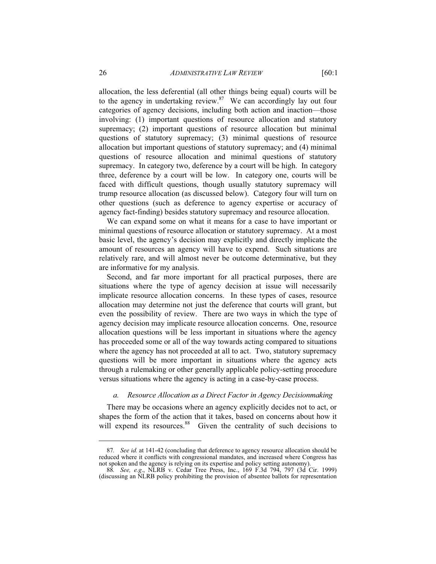allocation, the less deferential (all other things being equal) courts will be to the agency in undertaking review. $87$  We can accordingly lay out four categories of agency decisions, including both action and inaction—those involving: (1) important questions of resource allocation and statutory supremacy; (2) important questions of resource allocation but minimal questions of statutory supremacy; (3) minimal questions of resource allocation but important questions of statutory supremacy; and (4) minimal questions of resource allocation and minimal questions of statutory supremacy. In category two, deference by a court will be high. In category three, deference by a court will be low. In category one, courts will be faced with difficult questions, though usually statutory supremacy will trump resource allocation (as discussed below). Category four will turn on other questions (such as deference to agency expertise or accuracy of agency fact-finding) besides statutory supremacy and resource allocation.

We can expand some on what it means for a case to have important or minimal questions of resource allocation or statutory supremacy. At a most basic level, the agency's decision may explicitly and directly implicate the amount of resources an agency will have to expend. Such situations are relatively rare, and will almost never be outcome determinative, but they are informative for my analysis.

Second, and far more important for all practical purposes, there are situations where the type of agency decision at issue will necessarily implicate resource allocation concerns. In these types of cases, resource allocation may determine not just the deference that courts will grant, but even the possibility of review. There are two ways in which the type of agency decision may implicate resource allocation concerns. One, resource allocation questions will be less important in situations where the agency has proceeded some or all of the way towards acting compared to situations where the agency has not proceeded at all to act. Two, statutory supremacy questions will be more important in situations where the agency acts through a rulemaking or other generally applicable policy-setting procedure versus situations where the agency is acting in a case-by-case process.

## *a. Resource Allocation as a Direct Factor in Agency Decisionmaking*

There may be occasions where an agency explicitly decides not to act, or shapes the form of the action that it takes, based on concerns about how it will expend its resources. $88$  Given the centrality of such decisions to

<sup>87</sup>*. See id.* at 141-42 (concluding that deference to agency resource allocation should be reduced where it conflicts with congressional mandates, and increased where Congress has not spoken and the agency is relying on its expertise and policy setting autonomy).

<sup>88</sup>*. See, e.g*., NLRB v. Cedar Tree Press, Inc., 169 F.3d 794, 797 (3d Cir. 1999) (discussing an NLRB policy prohibiting the provision of absentee ballots for representation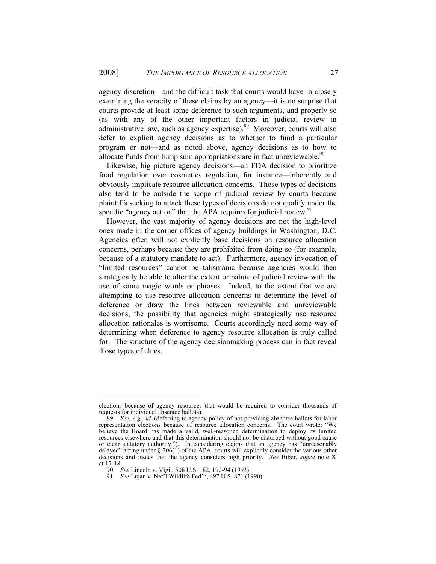agency discretion—and the difficult task that courts would have in closely examining the veracity of these claims by an agency—it is no surprise that courts provide at least some deference to such arguments, and properly so (as with any of the other important factors in judicial review in administrative law, such as agency expertise).<sup>89</sup> Moreover, courts will also defer to explicit agency decisions as to whether to fund a particular program or not—and as noted above, agency decisions as to how to allocate funds from lump sum appropriations are in fact unreviewable. $90$ 

Likewise, big picture agency decisions—an FDA decision to prioritize food regulation over cosmetics regulation, for instance—inherently and obviously implicate resource allocation concerns. Those types of decisions also tend to be outside the scope of judicial review by courts because plaintiffs seeking to attack these types of decisions do not qualify under the specific "agency action" that the APA requires for judicial review.<sup>91</sup>

However, the vast majority of agency decisions are not the high-level ones made in the corner offices of agency buildings in Washington, D.C. Agencies often will not explicitly base decisions on resource allocation concerns, perhaps because they are prohibited from doing so (for example, because of a statutory mandate to act). Furthermore, agency invocation of "limited resources" cannot be talismanic because agencies would then strategically be able to alter the extent or nature of judicial review with the use of some magic words or phrases. Indeed, to the extent that we are attempting to use resource allocation concerns to determine the level of deference or draw the lines between reviewable and unreviewable decisions, the possibility that agencies might strategically use resource allocation rationales is worrisome. Courts accordingly need some way of determining when deference to agency resource allocation is truly called for. The structure of the agency decisionmaking process can in fact reveal those types of clues.

elections because of agency resources that would be required to consider thousands of requests for individual absentee ballots).

<sup>89</sup>*. See, e.g*., *id*. (deferring to agency policy of not providing absentee ballots for labor representation elections because of resource allocation concerns. The court wrote: "We believe the Board has made a valid, well-reasoned determination to deploy its limited resources elsewhere and that this determination should not be disturbed without good cause or clear statutory authority."). In considering claims that an agency has "unreasonably delayed" acting under § 706(1) of the APA, courts will explicitly consider the various other decisions and issues that the agency considers high priority. *See* Biber, *supra* note 8, at 17-18.

<sup>90</sup>*. See* Lincoln v. Vigil, 508 U.S. 182, 192-94 (1993).

<sup>91</sup>*. See* Lujan v. Nat'l Wildlife Fed'n, 497 U.S. 871 (1990).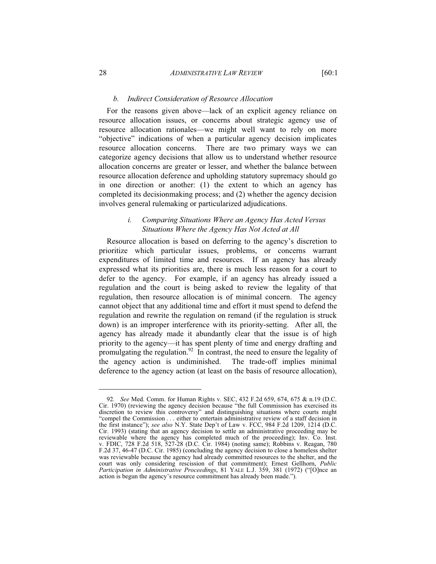## *b. Indirect Consideration of Resource Allocation*

For the reasons given above—lack of an explicit agency reliance on resource allocation issues, or concerns about strategic agency use of resource allocation rationales—we might well want to rely on more "objective" indications of when a particular agency decision implicates resource allocation concerns. There are two primary ways we can categorize agency decisions that allow us to understand whether resource allocation concerns are greater or lesser, and whether the balance between resource allocation deference and upholding statutory supremacy should go in one direction or another: (1) the extent to which an agency has completed its decisionmaking process; and (2) whether the agency decision involves general rulemaking or particularized adjudications.

# *i. Comparing Situations Where an Agency Has Acted Versus Situations Where the Agency Has Not Acted at All*

Resource allocation is based on deferring to the agency's discretion to prioritize which particular issues, problems, or concerns warrant expenditures of limited time and resources. If an agency has already expressed what its priorities are, there is much less reason for a court to defer to the agency. For example, if an agency has already issued a regulation and the court is being asked to review the legality of that regulation, then resource allocation is of minimal concern. The agency cannot object that any additional time and effort it must spend to defend the regulation and rewrite the regulation on remand (if the regulation is struck down) is an improper interference with its priority-setting. After all, the agency has already made it abundantly clear that the issue is of high priority to the agency—it has spent plenty of time and energy drafting and promulgating the regulation.<sup>92</sup> In contrast, the need to ensure the legality of the agency action is undiminished. The trade-off implies minimal deference to the agency action (at least on the basis of resource allocation),

<sup>92</sup>*. See* Med. Comm. for Human Rights v. SEC, 432 F.2d 659, 674, 675 & n.19 (D.C. Cir. 1970) (reviewing the agency decision because "the full Commission has exercised its discretion to review this controversy" and distinguishing situations where courts might "compel the Commission . . . either to entertain administrative review of a staff decision in the first instance"); *see also* N.Y. State Dep't of Law v. FCC, 984 F.2d 1209, 1214 (D.C. Cir. 1993) (stating that an agency decision to settle an administrative proceeding may be reviewable where the agency has completed much of the proceeding); Inv. Co. Inst. v. FDIC, 728 F.2d 518, 527-28 (D.C. Cir. 1984) (noting same); Robbins v. Reagan, 780 F.2d 37, 46-47 (D.C. Cir. 1985) (concluding the agency decision to close a homeless shelter was reviewable because the agency had already committed resources to the shelter, and the court was only considering rescission of that commitment); Ernest Gellhorn, *Public Participation in Administrative Proceedings*, 81 YALE L.J. 359, 381 (1972) ("[O]nce an action is begun the agency's resource commitment has already been made.").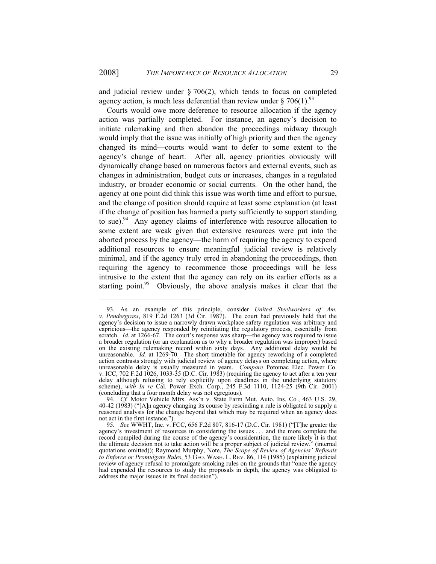and judicial review under  $\S 706(2)$ , which tends to focus on completed agency action, is much less deferential than review under  $\S 706(1)$ .<sup>93</sup>

Courts would owe more deference to resource allocation if the agency action was partially completed. For instance, an agency's decision to initiate rulemaking and then abandon the proceedings midway through would imply that the issue was initially of high priority and then the agency changed its mind—courts would want to defer to some extent to the agency's change of heart. After all, agency priorities obviously will dynamically change based on numerous factors and external events, such as changes in administration, budget cuts or increases, changes in a regulated industry, or broader economic or social currents. On the other hand, the agency at one point did think this issue was worth time and effort to pursue, and the change of position should require at least some explanation (at least if the change of position has harmed a party sufficiently to support standing to sue).<sup>94</sup> Any agency claims of interference with resource allocation to some extent are weak given that extensive resources were put into the aborted process by the agency—the harm of requiring the agency to expend additional resources to ensure meaningful judicial review is relatively minimal, and if the agency truly erred in abandoning the proceedings, then requiring the agency to recommence those proceedings will be less intrusive to the extent that the agency can rely on its earlier efforts as a starting point.<sup>95</sup> Obviously, the above analysis makes it clear that the

 <sup>93.</sup> As an example of this principle, consider *United Steelworkers of Am. v. Pendergrass*, 819 F.2d 1263 (3d Cir. 1987). The court had previously held that the agency's decision to issue a narrowly drawn workplace safety regulation was arbitrary and capricious—the agency responded by reinitiating the regulatory process, essentially from scratch. *Id*. at 1266-67. The court's response was sharp—the agency was required to issue a broader regulation (or an explanation as to why a broader regulation was improper) based on the existing rulemaking record within sixty days. Any additional delay would be unreasonable. *Id.* at 1269-70. The short timetable for agency reworking of a completed action contrasts strongly with judicial review of agency delays on completing action, where unreasonable delay is usually measured in years. *Compare* Potomac Elec. Power Co. v. ICC,  $702$  F.2d  $1026$ ,  $1033-35$  (D.C. Cir. 1983) (requiring the agency to act after a ten year delay although refusing to rely explicitly upon deadlines in the underlying statutory scheme), *with In re* Cal. Power Exch. Corp*.*, 245 F.3d 1110, 1124-25 (9th Cir. 2001) (concluding that a four month delay was not egregious).

<sup>94</sup>*. Cf.* Motor Vehicle Mfrs. Ass'n v. State Farm Mut. Auto. Ins. Co*.*, 463 U.S. 29, 40-42 (1983) ("[A]n agency changing its course by rescinding a rule is obligated to supply a reasoned analysis for the change beyond that which may be required when an agency does not act in the first instance.").

<sup>95</sup>*. See* WWHT, Inc. v. FCC, 656 F.2d 807, 816-17 (D.C. Cir. 1981) ("[T]he greater the agency's investment of resources in considering the issues . . . and the more complete the record compiled during the course of the agency's consideration, the more likely it is that the ultimate decision not to take action will be a proper subject of judicial review." (internal quotations omitted)); Raymond Murphy, Note, *The Scope of Review of Agencies' Refusals to Enforce or Promulgate Rules*, 53 GEO. WASH. L. REV. 86, 114 (1985) (explaining judicial review of agency refusal to promulgate smoking rules on the grounds that "once the agency had expended the resources to study the proposals in depth, the agency was obligated to address the major issues in its final decision").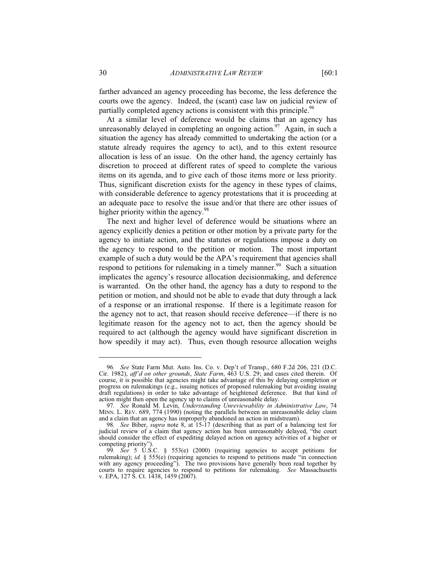partially completed agency actions is consistent with this principle.<sup>96</sup>

farther advanced an agency proceeding has become, the less deference the courts owe the agency. Indeed, the (scant) case law on judicial review of

At a similar level of deference would be claims that an agency has unreasonably delayed in completing an ongoing action.<sup>97</sup> Again, in such a situation the agency has already committed to undertaking the action (or a statute already requires the agency to act), and to this extent resource allocation is less of an issue. On the other hand, the agency certainly has discretion to proceed at different rates of speed to complete the various items on its agenda, and to give each of those items more or less priority. Thus, significant discretion exists for the agency in these types of claims, with considerable deference to agency protestations that it is proceeding at an adequate pace to resolve the issue and/or that there are other issues of higher priority within the agency.<sup>98</sup>

The next and higher level of deference would be situations where an agency explicitly denies a petition or other motion by a private party for the agency to initiate action, and the statutes or regulations impose a duty on the agency to respond to the petition or motion. The most important example of such a duty would be the APA's requirement that agencies shall respond to petitions for rulemaking in a timely manner.<sup>99</sup> Such a situation implicates the agency's resource allocation decisionmaking, and deference is warranted. On the other hand, the agency has a duty to respond to the petition or motion, and should not be able to evade that duty through a lack of a response or an irrational response. If there is a legitimate reason for the agency not to act, that reason should receive deference—if there is no legitimate reason for the agency not to act, then the agency should be required to act (although the agency would have significant discretion in how speedily it may act). Thus, even though resource allocation weighs

<sup>96</sup>*. See* State Farm Mut. Auto. Ins. Co. v. Dep't of Transp., 680 F.2d 206, 221 (D.C. Cir. 1982), *aff'd on other grounds*, *State Farm*, 463 U.S. 29; and cases cited therein. Of course, it is possible that agencies might take advantage of this by delaying completion or progress on rulemakings (e.g., issuing notices of proposed rulemaking but avoiding issuing draft regulations) in order to take advantage of heightened deference. But that kind of action might then open the agency up to claims of unreasonable delay.

<sup>97</sup>*. See* Ronald M. Levin, *Understanding Unreviewability in Administrative Law*, 74 MINN. L. REV. 689, 774 (1990) (noting the parallels between an unreasonable delay claim and a claim that an agency has improperly abandoned an action in midstream).

<sup>98</sup>*. See* Biber, *supra* note 8, at 15-17 (describing that as part of a balancing test for judicial review of a claim that agency action has been unreasonably delayed, "the court should consider the effect of expediting delayed action on agency activities of a higher or competing priority").

<sup>99</sup>*. See* 5 U.S.C. § 553(e) (2000) (requiring agencies to accept petitions for rulemaking); *id.* § 555(e) (requiring agencies to respond to petitions made "in connection with any agency proceeding"). The two provisions have generally been read together by courts to require agencies to respond to petitions for rulemaking. *See* Massachusetts v. EPA, 127 S. Ct. 1438, 1459 (2007).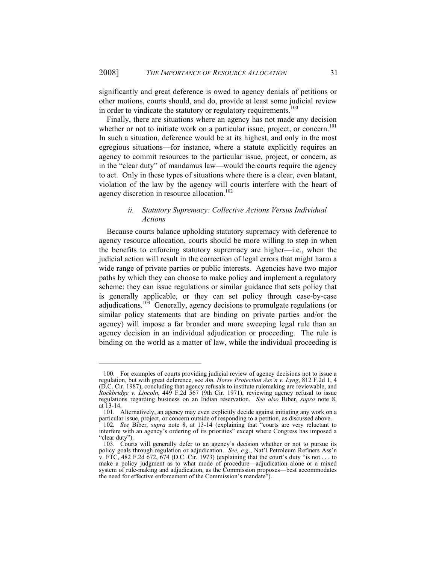significantly and great deference is owed to agency denials of petitions or other motions, courts should, and do, provide at least some judicial review in order to vindicate the statutory or regulatory requirements.<sup>100</sup>

Finally, there are situations where an agency has not made any decision whether or not to initiate work on a particular issue, project, or concern.<sup>101</sup> In such a situation, deference would be at its highest, and only in the most egregious situations—for instance, where a statute explicitly requires an agency to commit resources to the particular issue, project, or concern, as in the "clear duty" of mandamus law—would the courts require the agency to act. Only in these types of situations where there is a clear, even blatant, violation of the law by the agency will courts interfere with the heart of agency discretion in resource allocation.<sup>102</sup>

# *ii. Statutory Supremacy: Collective Actions Versus Individual Actions*

Because courts balance upholding statutory supremacy with deference to agency resource allocation, courts should be more willing to step in when the benefits to enforcing statutory supremacy are higher—i.e., when the judicial action will result in the correction of legal errors that might harm a wide range of private parties or public interests. Agencies have two major paths by which they can choose to make policy and implement a regulatory scheme: they can issue regulations or similar guidance that sets policy that is generally applicable, or they can set policy through case-by-case adjudications.<sup>103</sup> Generally, agency decisions to promulgate regulations (or similar policy statements that are binding on private parties and/or the agency) will impose a far broader and more sweeping legal rule than an agency decision in an individual adjudication or proceeding. The rule is binding on the world as a matter of law, while the individual proceeding is

 <sup>100.</sup> For examples of courts providing judicial review of agency decisions not to issue a regulation, but with great deference, see *Am. Horse Protection Ass'n v. Lyng*, 812 F.2d 1, 4 (D.C. Cir. 1987), concluding that agency refusals to institute rulemaking are reviewable, and *Rockbridge v. Lincoln*, 449 F.2d 567 (9th Cir. 1971), reviewing agency refusal to issue regulations regarding business on an Indian reservation. *See also* Biber, *supra* note 8, at 13-14.

 <sup>101.</sup> Alternatively, an agency may even explicitly decide against initiating any work on a particular issue, project, or concern outside of responding to a petition, as discussed above.

<sup>102</sup>*. See* Biber, *supra* note 8, at 13-14 (explaining that "courts are very reluctant to interfere with an agency's ordering of its priorities" except where Congress has imposed a "clear duty").

 <sup>103.</sup> Courts will generally defer to an agency's decision whether or not to pursue its policy goals through regulation or adjudication. *See, e.g*., Nat'l Petroleum Refiners Ass'n v. FTC, 482 F.2d  $\overline{672}$ ,  $\overline{674}$  (D.C. Cir. 1973) (explaining that the court's duty "is not . . . to make a policy judgment as to what mode of procedure—adjudication alone or a mixed system of rule-making and adjudication, as the Commission proposes—best accommodates the need for effective enforcement of the Commission's mandate").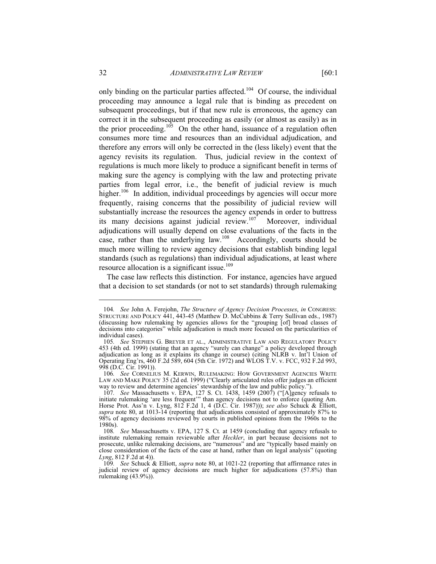only binding on the particular parties affected.<sup>104</sup> Of course, the individual proceeding may announce a legal rule that is binding as precedent on subsequent proceedings, but if that new rule is erroneous, the agency can correct it in the subsequent proceeding as easily (or almost as easily) as in the prior proceeding.<sup>105</sup> On the other hand, issuance of a regulation often consumes more time and resources than an individual adjudication, and therefore any errors will only be corrected in the (less likely) event that the agency revisits its regulation. Thus, judicial review in the context of regulations is much more likely to produce a significant benefit in terms of making sure the agency is complying with the law and protecting private parties from legal error, i.e., the benefit of judicial review is much higher.<sup>106</sup> In addition, individual proceedings by agencies will occur more frequently, raising concerns that the possibility of judicial review will substantially increase the resources the agency expends in order to buttress its many decisions against judicial review.<sup>107</sup> Moreover, individual adjudications will usually depend on close evaluations of the facts in the case, rather than the underlying law.<sup>108</sup> Accordingly, courts should be much more willing to review agency decisions that establish binding legal standards (such as regulations) than individual adjudications, at least where resource allocation is a significant issue.<sup>109</sup>

The case law reflects this distinction. For instance, agencies have argued that a decision to set standards (or not to set standards) through rulemaking

<sup>104</sup>*. See* John A. Ferejohn, *The Structure of Agency Decision Processes*, *in* CONGRESS: STRUCTURE AND POLICY 441, 443-45 (Matthew D. McCubbins & Terry Sullivan eds., 1987) (discussing how rulemaking by agencies allows for the "grouping [of] broad classes of decisions into categories" while adjudication is much more focused on the particularities of individual cases).

<sup>105</sup>*. See* STEPHEN G. BREYER ET AL., ADMINISTRATIVE LAW AND REGULATORY POLICY 453 (4th ed. 1999) (stating that an agency "surely can change" a policy developed through adjudication as long as it explains its change in course) (citing NLRB v. Int'l Union of Operating Eng'rs, 460 F.2d 589, 604 (5th Cir. 1972) and WLOS T.V. v. FCC, 932 F.2d 993, 998 (D.C. Cir. 1991)).

<sup>106</sup>*. See* CORNELIUS M. KERWIN, RULEMAKING: HOW GOVERNMENT AGENCIES WRITE LAW AND MAKE POLICY 35 (2d ed. 1999) ("Clearly articulated rules offer judges an efficient way to review and determine agencies' stewardship of the law and public policy.").

<sup>107</sup>*. See* Massachusetts v. EPA, 127 S. Ct. 1438, 1459 (2007) ("[A]gency refusals to initiate rulemaking 'are less frequent'" than agency decisions not to enforce (quoting Am. Horse Prot. Ass'n v. Lyng, 812 F.2d 1, 4 (D.C. Cir. 1987))); *see also* Schuck & Elliott, *supra* note 80, at 1013-14 (reporting that adjudications consisted of approximately 87% to 98% of agency decisions reviewed by courts in published opinions from the 1960s to the 1980s).

<sup>108</sup>*. See* Massachusetts v. EPA, 127 S. Ct*.* at 1459 (concluding that agency refusals to institute rulemaking remain reviewable after *Heckler*, in part because decisions not to prosecute, unlike rulemaking decisions, are "numerous" and are "typically based mainly on close consideration of the facts of the case at hand, rather than on legal analysis" (quoting *Lyng*, 812 F.2d at 4)).

<sup>109</sup>*. See* Schuck & Elliott, *supra* note 80, at 1021-22 (reporting that affirmance rates in judicial review of agency decisions are much higher for adjudications (57.8%) than rulemaking (43.9%)).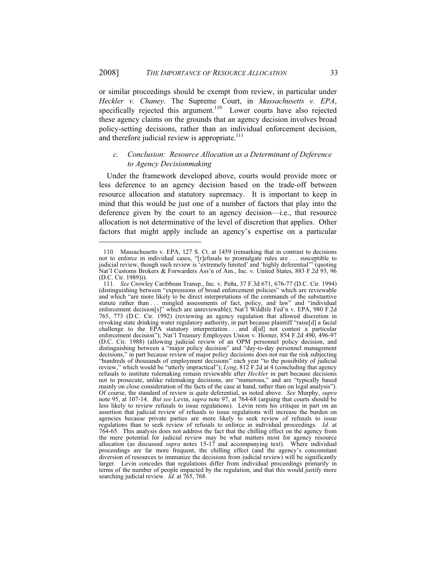or similar proceedings should be exempt from review, in particular under *Heckler v. Chaney*. The Supreme Court, in *Massachusetts v. EPA*, specifically rejected this argument.<sup>110</sup> Lower courts have also rejected these agency claims on the grounds that an agency decision involves broad policy-setting decisions, rather than an individual enforcement decision, and therefore judicial review is appropriate. $111$ 

# *c. Conclusion: Resource Allocation as a Determinant of Deference to Agency Decisionmaking*

Under the framework developed above, courts would provide more or less deference to an agency decision based on the trade-off between resource allocation and statutory supremacy. It is important to keep in mind that this would be just one of a number of factors that play into the deference given by the court to an agency decision—i.e., that resource allocation is not determinative of the level of discretion that applies. Other factors that might apply include an agency's expertise on a particular

<sup>110</sup>*.* Massachusetts v. EPA, 127 S. Ct. at 1459 (remarking that in contrast to decisions not to enforce in individual cases, "[r]efusals to promulgate rules are . . . susceptible to judicial review, though such review is 'extremely limited' and 'highly deferential'" (quoting Nat'l Customs Brokers & Forwarders Ass'n of Am., Inc. v. United States, 883 F.2d 93, 96 (D.C. Cir. 1989))).

<sup>111</sup>*. See* Crowley Caribbean Transp., Inc. v. Peña, 37 F.3d 671, 676-77 (D.C. Cir. 1994) (distinguishing between "expressions of broad enforcement policies" which are reviewable and which "are more likely to be direct interpretations of the commands of the substantive statute rather than . . . mingled assessments of fact, policy, and law" and "individual enforcement decision[s]" which are unreviewable); Nat'l Wildlife Fed'n v. EPA, 980 F.2d 765, 773 (D.C. Cir. 1992) (reviewing an agency regulation that allowed discretion in revoking state drinking water regulatory authority, in part because plaintiff "raise[d] a facial challenge to the EPA statutory interpretation . . . and d[id] not contest a particular enforcement decision"); Nat'l Treasury Employees Union v. Horner, 854 F.2d 490, 496-97 (D.C. Cir. 1988) (allowing judicial review of an OPM personnel policy decision, and distinguishing between a "major policy decision" and "day-to-day personnel management decisions," in part because review of major policy decisions does not run the risk subjecting "hundreds of thousands of employment decisions" each year "to the possibility of judicial review," which would be "utterly impractical"); *Lyng*, 812 F.2d at 4 (concluding that agency refusals to institute rulemaking remain reviewable after *Heckler* in part because decisions not to prosecute, unlike rulemaking decisions, are "numerous," and are "typically based mainly on close consideration of the facts of the case at hand, rather than on legal analysis"). Of course, the standard of review is quite deferential, as noted above. *See* Murphy, *supra*  note 95, at 107-14. *But see* Levin, *supra* note 97, at 764-68 (arguing that courts should be less likely to review refusals to issue regulations). Levin rests his critique in part on an assertion that judicial review of refusals to issue regulations will increase the burden on agencies because private parties are more likely to seek review of refusals to issue regulations than to seek review of refusals to enforce in individual proceedings. *Id.* at 764-65. This analysis does not address the fact that the chilling effect on the agency from the mere potential for judicial review may be what matters most for agency resource allocation (as discussed *supra* notes 15-17 and accompanying text). Where individual proceedings are far more frequent, the chilling effect (and the agency's concomitant diversion of resources to immunize the decisions from judicial review) will be significantly larger. Levin concedes that regulations differ from individual proceedings primarily in terms of the number of people impacted by the regulation, and that this would justify more searching judicial review. *Id.* at 765, 768.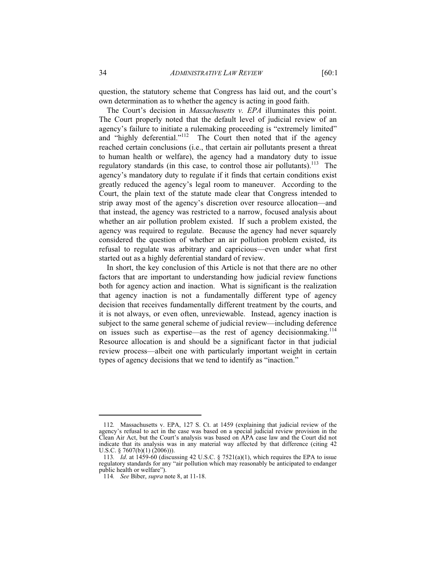question, the statutory scheme that Congress has laid out, and the court's own determination as to whether the agency is acting in good faith.

The Court's decision in *Massachusetts v. EPA* illuminates this point. The Court properly noted that the default level of judicial review of an agency's failure to initiate a rulemaking proceeding is "extremely limited" and "highly deferential."<sup>112</sup> The Court then noted that if the agency reached certain conclusions (i.e., that certain air pollutants present a threat to human health or welfare), the agency had a mandatory duty to issue regulatory standards (in this case, to control those air pollutants).<sup>113</sup> The agency's mandatory duty to regulate if it finds that certain conditions exist greatly reduced the agency's legal room to maneuver. According to the Court, the plain text of the statute made clear that Congress intended to strip away most of the agency's discretion over resource allocation—and that instead, the agency was restricted to a narrow, focused analysis about whether an air pollution problem existed. If such a problem existed, the agency was required to regulate. Because the agency had never squarely considered the question of whether an air pollution problem existed, its refusal to regulate was arbitrary and capricious—even under what first started out as a highly deferential standard of review.

In short, the key conclusion of this Article is not that there are no other factors that are important to understanding how judicial review functions both for agency action and inaction. What is significant is the realization that agency inaction is not a fundamentally different type of agency decision that receives fundamentally different treatment by the courts, and it is not always, or even often, unreviewable. Instead, agency inaction is subject to the same general scheme of judicial review—including deference on issues such as expertise—as the rest of agency decisionmaking.<sup>114</sup> Resource allocation is and should be a significant factor in that judicial review process—albeit one with particularly important weight in certain types of agency decisions that we tend to identify as "inaction."

<sup>112</sup>*.* Massachusetts v. EPA, 127 S. Ct. at 1459 (explaining that judicial review of the agency's refusal to act in the case was based on a special judicial review provision in the Clean Air Act, but the Court's analysis was based on APA case law and the Court did not indicate that its analysis was in any material way affected by that difference (citing 42 U.S.C. § 7607(b)(1) (2006))).

<sup>113</sup>*. Id*. at 1459-60 (discussing 42 U.S.C. § 7521(a)(1), which requires the EPA to issue regulatory standards for any "air pollution which may reasonably be anticipated to endanger public health or welfare").

<sup>114</sup>*. See* Biber, *supra* note 8, at 11-18.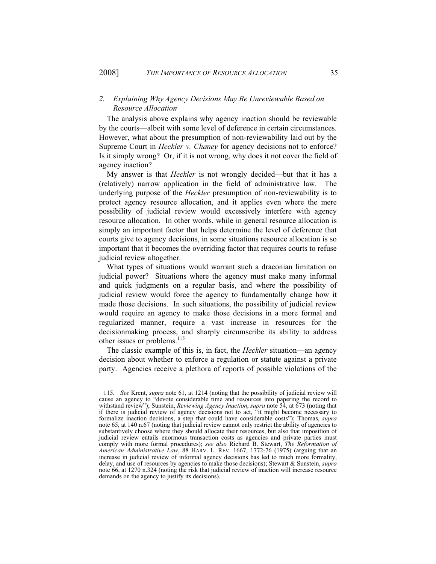# *2. Explaining Why Agency Decisions May Be Unreviewable Based on Resource Allocation*

The analysis above explains why agency inaction should be reviewable by the courts—albeit with some level of deference in certain circumstances. However, what about the presumption of non-reviewability laid out by the Supreme Court in *Heckler v. Chaney* for agency decisions not to enforce? Is it simply wrong? Or, if it is not wrong, why does it not cover the field of agency inaction?

My answer is that *Heckler* is not wrongly decided—but that it has a (relatively) narrow application in the field of administrative law. The underlying purpose of the *Heckler* presumption of non-reviewability is to protect agency resource allocation, and it applies even where the mere possibility of judicial review would excessively interfere with agency resource allocation. In other words, while in general resource allocation is simply an important factor that helps determine the level of deference that courts give to agency decisions, in some situations resource allocation is so important that it becomes the overriding factor that requires courts to refuse judicial review altogether.

What types of situations would warrant such a draconian limitation on judicial power? Situations where the agency must make many informal and quick judgments on a regular basis, and where the possibility of judicial review would force the agency to fundamentally change how it made those decisions. In such situations, the possibility of judicial review would require an agency to make those decisions in a more formal and regularized manner, require a vast increase in resources for the decisionmaking process, and sharply circumscribe its ability to address other issues or problems.<sup>115</sup>

The classic example of this is, in fact, the *Heckler* situation—an agency decision about whether to enforce a regulation or statute against a private party. Agencies receive a plethora of reports of possible violations of the

<sup>115</sup>*. See* Krent, *supra* note 61, at 1214 (noting that the possibility of judicial review will cause an agency to "devote considerable time and resources into papering the record to withstand review"); Sunstein, *Reviewing Agency Inaction*, *supra* note 54, at 673 (noting that if there is judicial review of agency decisions not to act, "it might become necessary to formalize inaction decisions, a step that could have considerable costs"); Thomas, *supra* note 65, at 140 n.67 (noting that judicial review cannot only restrict the ability of agencies to substantively choose where they should allocate their resources, but also that imposition of judicial review entails enormous transaction costs as agencies and private parties must comply with more formal procedures); *see also* Richard B. Stewart, *The Reformation of American Administrative Law*, 88 HARV. L. REV. 1667, 1772-76 (1975) (arguing that an increase in judicial review of informal agency decisions has led to much more formality, delay, and use of resources by agencies to make those decisions); Stewart & Sunstein, *supra* note 66, at 1270 n.324 (noting the risk that judicial review of inaction will increase resource demands on the agency to justify its decisions).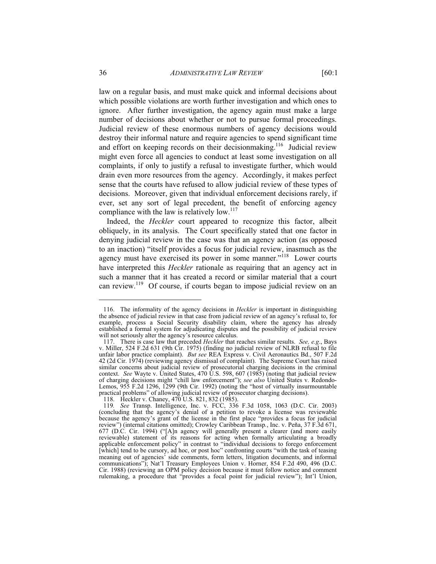law on a regular basis, and must make quick and informal decisions about which possible violations are worth further investigation and which ones to ignore. After further investigation, the agency again must make a large number of decisions about whether or not to pursue formal proceedings. Judicial review of these enormous numbers of agency decisions would destroy their informal nature and require agencies to spend significant time and effort on keeping records on their decisionmaking.<sup>116</sup> Judicial review might even force all agencies to conduct at least some investigation on all complaints, if only to justify a refusal to investigate further, which would drain even more resources from the agency. Accordingly, it makes perfect sense that the courts have refused to allow judicial review of these types of decisions. Moreover, given that individual enforcement decisions rarely, if ever, set any sort of legal precedent, the benefit of enforcing agency compliance with the law is relatively low.<sup>117</sup>

Indeed, the *Heckler* court appeared to recognize this factor, albeit obliquely, in its analysis. The Court specifically stated that one factor in denying judicial review in the case was that an agency action (as opposed to an inaction) "itself provides a focus for judicial review, inasmuch as the agency must have exercised its power in some manner."<sup>118</sup> Lower courts have interpreted this *Heckler* rationale as requiring that an agency act in such a manner that it has created a record or similar material that a court can review.<sup>119</sup> Of course, if courts began to impose judicial review on an

 <sup>116.</sup> The informality of the agency decisions in *Heckler* is important in distinguishing the absence of judicial review in that case from judicial review of an agency's refusal to, for example, process a Social Security disability claim, where the agency has already established a formal system for adjudicating disputes and the possibility of judicial review will not seriously alter the agency's resource calculus.

 <sup>117.</sup> There is case law that preceded *Heckler* that reaches similar results. *See, e.g*., Bays v. Miller, 524 F.2d 631 (9th Cir. 1975) (finding no judicial review of NLRB refusal to file unfair labor practice complaint). *But see* REA Express v. Civil Aeronautics Bd., 507 F.2d 42 (2d Cir. 1974) (reviewing agency dismissal of complaint). The Supreme Court has raised similar concerns about judicial review of prosecutorial charging decisions in the criminal context. *See* Wayte v. United States, 470 U.S. 598, 607 (1985) (noting that judicial review of charging decisions might "chill law enforcement"); *see also* United States v. Redondo-Lemos, 955 F.2d 1296, 1299 (9th Cir. 1992) (noting the "host of virtually insurmountable practical problems" of allowing judicial review of prosecutor charging decisions).

 <sup>118.</sup> Heckler v. Chaney, 470 U.S. 821, 832 (1985).

<sup>119</sup>*. See* Transp. Intelligence, Inc. v. FCC, 336 F.3d 1058, 1063 (D.C. Cir. 2003) (concluding that the agency's denial of a petition to revoke a license was reviewable because the agency's grant of the license in the first place "provides a focus for judicial review") (internal citations omitted); Crowley Caribbean Transp*.*, Inc. v. Peña, 37 F.3d 671, 677 (D.C. Cir. 1994) ("[A]n agency will generally present a clearer (and more easily reviewable) statement of its reasons for acting when formally articulating a broadly applicable enforcement policy" in contrast to "individual decisions to forego enforcement [which] tend to be cursory, ad hoc, or post hoc" confronting courts "with the task of teasing meaning out of agencies' side comments, form letters, litigation documents, and informal communications"); Nat'l Treasury Employees Union v. Horner, 854 F.2d 490, 496 (D.C. Cir. 1988) (reviewing an OPM policy decision because it must follow notice and comment rulemaking, a procedure that "provides a focal point for judicial review"); Int'l Union,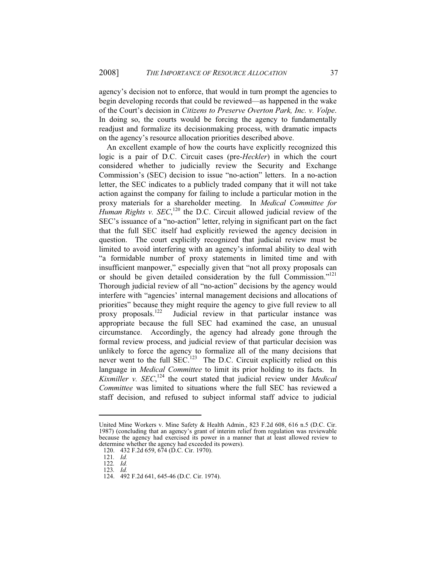agency's decision not to enforce, that would in turn prompt the agencies to begin developing records that could be reviewed—as happened in the wake of the Court's decision in *Citizens to Preserve Overton Park, Inc. v. Volpe*. In doing so, the courts would be forcing the agency to fundamentally readjust and formalize its decisionmaking process, with dramatic impacts on the agency's resource allocation priorities described above.

An excellent example of how the courts have explicitly recognized this logic is a pair of D.C. Circuit cases (pre-*Heckler*) in which the court considered whether to judicially review the Security and Exchange Commission's (SEC) decision to issue "no-action" letters. In a no-action letter, the SEC indicates to a publicly traded company that it will not take action against the company for failing to include a particular motion in the proxy materials for a shareholder meeting. In *Medical Committee for Human Rights v. SEC*,<sup>120</sup> the D.C. Circuit allowed judicial review of the SEC's issuance of a "no-action" letter, relying in significant part on the fact that the full SEC itself had explicitly reviewed the agency decision in question. The court explicitly recognized that judicial review must be limited to avoid interfering with an agency's informal ability to deal with "a formidable number of proxy statements in limited time and with insufficient manpower," especially given that "not all proxy proposals can or should be given detailed consideration by the full Commission."<sup>121</sup> Thorough judicial review of all "no-action" decisions by the agency would interfere with "agencies' internal management decisions and allocations of priorities" because they might require the agency to give full review to all proxy proposals.<sup>122</sup> Judicial review in that particular instance was Judicial review in that particular instance was appropriate because the full SEC had examined the case, an unusual circumstance. Accordingly, the agency had already gone through the formal review process, and judicial review of that particular decision was unlikely to force the agency to formalize all of the many decisions that never went to the full  $SEC.<sup>123</sup>$  The D.C. Circuit explicitly relied on this language in *Medical Committee* to limit its prior holding to its facts. In *Kixmiller v. SEC*, 124 the court stated that judicial review under *Medical Committee* was limited to situations where the full SEC has reviewed a staff decision, and refused to subject informal staff advice to judicial

United Mine Workers v. Mine Safety & Health Admin., 823 F.2d 608, 616 n.5 (D.C. Cir. 1987) (concluding that an agency's grant of interim relief from regulation was reviewable because the agency had exercised its power in a manner that at least allowed review to determine whether the agency had exceeded its powers).

 <sup>120. 432</sup> F.2d 659, 674 (D.C. Cir. 1970).

<sup>121</sup>*. Id.*

<sup>122</sup>*. Id.*

<sup>123</sup>*. Id.*

 <sup>124. 492</sup> F.2d 641, 645-46 (D.C. Cir. 1974).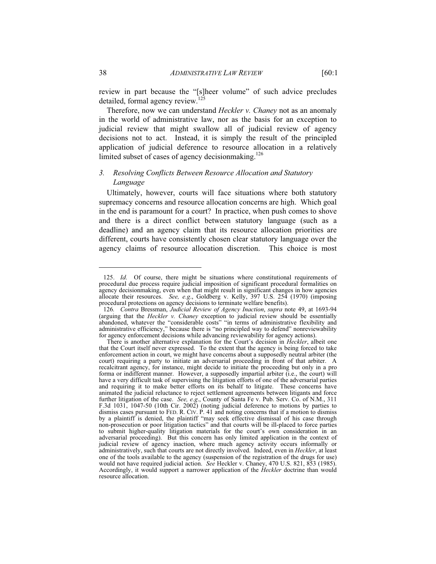review in part because the "[s]heer volume" of such advice precludes detailed, formal agency review.<sup>125</sup>

Therefore, now we can understand *Heckler v. Chaney* not as an anomaly in the world of administrative law, nor as the basis for an exception to judicial review that might swallow all of judicial review of agency decisions not to act. Instead, it is simply the result of the principled application of judicial deference to resource allocation in a relatively limited subset of cases of agency decision making.<sup>126</sup>

# *3. Resolving Conflicts Between Resource Allocation and Statutory Language*

Ultimately, however, courts will face situations where both statutory supremacy concerns and resource allocation concerns are high. Which goal in the end is paramount for a court? In practice, when push comes to shove and there is a direct conflict between statutory language (such as a deadline) and an agency claim that its resource allocation priorities are different, courts have consistently chosen clear statutory language over the agency claims of resource allocation discretion. This choice is most

 <sup>125.</sup> *Id*. Of course, there might be situations where constitutional requirements of procedural due process require judicial imposition of significant procedural formalities on agency decisionmaking, even when that might result in significant changes in how agencies allocate their resources. *See, e.g*., Goldberg v. Kelly, 397 U.S. 254 (1970) (imposing procedural protections on agency decisions to terminate welfare benefits).

<sup>126</sup>*. Contra* Bressman, *Judicial Review of Agency Inaction*, *supra* note 49, at 1693-94 (arguing that the *Heckler v. Chaney* exception to judicial review should be essentially abandoned, whatever the "considerable costs" "in terms of administrative flexibility and administrative efficiency," because there is "no principled way to defend" nonreviewability for agency enforcement decisions while advancing reviewability for agency actions).

There is another alternative explanation for the Court's decision in *Heckler*, albeit one that the Court itself never expressed. To the extent that the agency is being forced to take enforcement action in court, we might have concerns about a supposedly neutral arbiter (the court) requiring a party to initiate an adversarial proceeding in front of that arbiter. A recalcitrant agency, for instance, might decide to initiate the proceeding but only in a pro forma or indifferent manner. However, a supposedly impartial arbiter (i.e., the court) will have a very difficult task of supervising the litigation efforts of one of the adversarial parties and requiring it to make better efforts on its behalf to litigate. These concerns have animated the judicial reluctance to reject settlement agreements between litigants and force further litigation of the case. *See, e.g*., County of Santa Fe v. Pub. Serv. Co. of N.M., 311 F.3d 1031, 1047-50 (10th Cir. 2002) (noting judicial deference to motions by parties to dismiss cases pursuant to FED. R. CIV. P. 41 and noting concerns that if a motion to dismiss by a plaintiff is denied, the plaintiff "may seek effective dismissal of his case through non-prosecution or poor litigation tactics" and that courts will be ill-placed to force parties to submit higher-quality litigation materials for the court's own consideration in an adversarial proceeding). But this concern has only limited application in the context of judicial review of agency inaction, where much agency activity occurs informally or administratively, such that courts are not directly involved. Indeed, even in *Heckler*, at least one of the tools available to the agency (suspension of the registration of the drugs for use) would not have required judicial action. *See* Heckler v. Chaney, 470 U.S. 821, 853 (1985). Accordingly, it would support a narrower application of the *Heckler* doctrine than would resource allocation.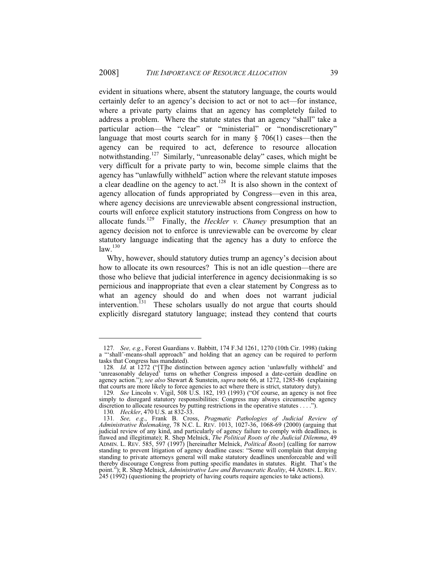evident in situations where, absent the statutory language, the courts would certainly defer to an agency's decision to act or not to act—for instance, where a private party claims that an agency has completely failed to address a problem. Where the statute states that an agency "shall" take a particular action—the "clear" or "ministerial" or "nondiscretionary" language that most courts search for in many  $\S$  706(1) cases—then the agency can be required to act, deference to resource allocation notwithstanding.<sup>127</sup> Similarly, "unreasonable delay" cases, which might be very difficult for a private party to win, become simple claims that the agency has "unlawfully withheld" action where the relevant statute imposes a clear deadline on the agency to act.<sup>128</sup> It is also shown in the context of agency allocation of funds appropriated by Congress—even in this area, where agency decisions are unreviewable absent congressional instruction, courts will enforce explicit statutory instructions from Congress on how to allocate funds.129 Finally, the *Heckler v. Chaney* presumption that an agency decision not to enforce is unreviewable can be overcome by clear statutory language indicating that the agency has a duty to enforce the  $law.$ <sup>130</sup>

Why, however, should statutory duties trump an agency's decision about how to allocate its own resources? This is not an idle question—there are those who believe that judicial interference in agency decisionmaking is so pernicious and inappropriate that even a clear statement by Congress as to what an agency should do and when does not warrant judicial intervention.<sup>131</sup> These scholars usually do not argue that courts should explicitly disregard statutory language; instead they contend that courts

<sup>127</sup>*. See, e.g.*, Forest Guardians v. Babbitt, 174 F.3d 1261, 1270 (10th Cir. 1998) (taking a "'shall'-means-shall approach" and holding that an agency can be required to perform tasks that Congress has mandated).

<sup>128</sup>*. Id*. at 1272 ("[T]he distinction between agency action 'unlawfully withheld' and 'unreasonably delayed' turns on whether Congress imposed a date-certain deadline on agency action."); *see also* Stewart & Sunstein, *supra* note 66, at 1272, 1285-86 (explaining that courts are more likely to force agencies to act where there is strict, statutory duty).

<sup>129</sup>*. See* Lincoln v. Vigil, 508 U.S. 182, 193 (1993) ("Of course, an agency is not free simply to disregard statutory responsibilities: Congress may always circumscribe agency discretion to allocate resources by putting restrictions in the operative statutes . . . .").

<sup>130</sup>*. Heckler*, 470 U.S. at 832-33.

<sup>131</sup>*. See, e.g*., Frank B. Cross, *Pragmatic Pathologies of Judicial Review of Administrative Rulemaking*, 78 N.C. L. REV. 1013, 1027-36, 1068-69 (2000) (arguing that judicial review of any kind, and particularly of agency failure to comply with deadlines, is flawed and illegitimate); R. Shep Melnick, *The Political Roots of the Judicial Dilemma*, 49 ADMIN. L. REV. 585, 597 (1997) [hereinafter Melnick, *Political Roots*] (calling for narrow standing to prevent litigation of agency deadline cases: "Some will complain that denying standing to private attorneys general will make statutory deadlines unenforceable and will thereby discourage Congress from putting specific mandates in statutes. Right. That's the point."); R. Shep Melnick, *Administrative Law and Bureaucratic Reality*, 44 ADMIN. L. REV. 245 (1992) (questioning the propriety of having courts require agencies to take actions).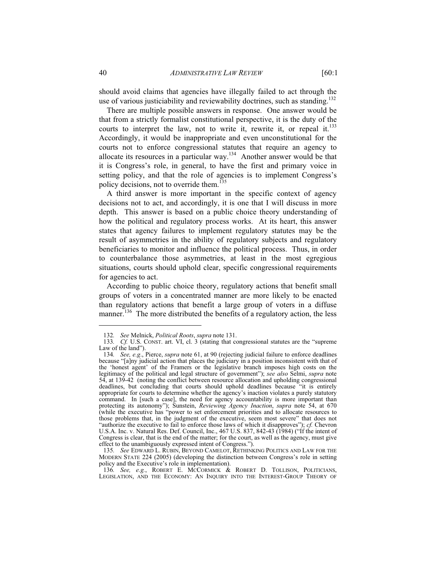should avoid claims that agencies have illegally failed to act through the use of various justiciability and reviewability doctrines, such as standing.<sup>132</sup>

There are multiple possible answers in response. One answer would be that from a strictly formalist constitutional perspective, it is the duty of the courts to interpret the law, not to write it, rewrite it, or repeal it. $^{133}$ Accordingly, it would be inappropriate and even unconstitutional for the courts not to enforce congressional statutes that require an agency to allocate its resources in a particular way.<sup>134</sup> Another answer would be that it is Congress's role, in general, to have the first and primary voice in setting policy, and that the role of agencies is to implement Congress's policy decisions, not to override them.<sup>135</sup>

A third answer is more important in the specific context of agency decisions not to act, and accordingly, it is one that I will discuss in more depth. This answer is based on a public choice theory understanding of how the political and regulatory process works. At its heart, this answer states that agency failures to implement regulatory statutes may be the result of asymmetries in the ability of regulatory subjects and regulatory beneficiaries to monitor and influence the political process. Thus, in order to counterbalance those asymmetries, at least in the most egregious situations, courts should uphold clear, specific congressional requirements for agencies to act.

According to public choice theory, regulatory actions that benefit small groups of voters in a concentrated manner are more likely to be enacted than regulatory actions that benefit a large group of voters in a diffuse manner.<sup>136</sup> The more distributed the benefits of a regulatory action, the less

135*. See* EDWARD L. RUBIN, BEYOND CAMELOT, RETHINKING POLITICS AND LAW FOR THE MODERN STATE 224 (2005) (developing the distinction between Congress's role in setting policy and the Executive's role in implementation).

136*. See, e.g.*, ROBERT E. MCCORMICK & ROBERT D. TOLLISON, POLITICIANS, LEGISLATION, AND THE ECONOMY: AN INQUIRY INTO THE INTEREST-GROUP THEORY OF

<sup>132</sup>*. See* Melnick, *Political Roots*, *supra* note 131.

<sup>133</sup>*. Cf.* U.S. CONST. art. VI, cl. 3 (stating that congressional statutes are the "supreme Law of the land").

<sup>134</sup>*. See, e.g*., Pierce, *supra* note 61, at 90 (rejecting judicial failure to enforce deadlines because "[a]ny judicial action that places the judiciary in a position inconsistent with that of the 'honest agent' of the Framers or the legislative branch imposes high costs on the legitimacy of the political and legal structure of government"); *see also* Selmi, *supra* note 54, at 139-42 (noting the conflict between resource allocation and upholding congressional deadlines, but concluding that courts should uphold deadlines because "it is entirely appropriate for courts to determine whether the agency's inaction violates a purely statutory command. In [such a case], the need for agency accountability is more important than protecting its autonomy"); Sunstein, *Reviewing Agency Inaction*, *supra* note 54, at 670 (while the executive has "power to set enforcement priorities and to allocate resources to those problems that, in the judgment of the executive, seem most severe" that does not "authorize the executive to fail to enforce those laws of which it disapproves"); *cf.* Chevron U.S.A. Inc. v. Natural Res. Def. Council, Inc., 467 U.S. 837, 842-43 (1984) ("If the intent of Congress is clear, that is the end of the matter; for the court, as well as the agency, must give effect to the unambiguously expressed intent of Congress.").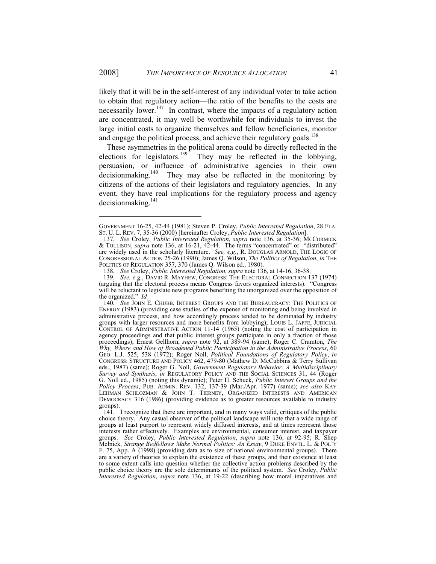likely that it will be in the self-interest of any individual voter to take action to obtain that regulatory action—the ratio of the benefits to the costs are necessarily lower.<sup>137</sup> In contrast, where the impacts of a regulatory action are concentrated, it may well be worthwhile for individuals to invest the large initial costs to organize themselves and fellow beneficiaries, monitor and engage the political process, and achieve their regulatory goals.<sup>138</sup>

These asymmetries in the political arena could be directly reflected in the elections for legislators.<sup>139</sup> They may be reflected in the lobbying, persuasion, or influence of administrative agencies in their own decisionmaking.<sup>140</sup> They may also be reflected in the monitoring by citizens of the actions of their legislators and regulatory agencies. In any event, they have real implications for the regulatory process and agency decisionmaking.<sup>141</sup>

GOVERNMENT 16-25, 42-44 (1981); Steven P. Croley, *Public Interested Regulation*, 28 FLA. ST. U. L. REV. 7, 35-36 (2000) [hereinafter Croley, *Public Interested Regulation*].

<sup>137</sup>*. See* Croley, *Public Interested Regulation*, *supra* note 136, at 35-36; MCCORMICK & TOLLISON, *supra* note 136, at 16-21, 42-44. The terms "concentrated" or "distributed" are widely used in the scholarly literature. *See, e.g*., R. DOUGLAS ARNOLD, THE LOGIC OF CONGRESSIONAL ACTION 25-26 (1990); James Q. Wilson, *The Politics of Regulation*, *in* THE POLITICS OF REGULATION 357, 370 (James Q. Wilson ed., 1980).

<sup>138</sup>*. See* Croley, *Public Interested Regulation*, *supra* note 136, at 14-16, 36-38.

<sup>139</sup>*. See, e.g*., DAVID R. MAYHEW, CONGRESS: THE ELECTORAL CONNECTION 137 (1974) (arguing that the electoral process means Congress favors organized interests). "Congress will be reluctant to legislate new programs benefiting the unorganized over the opposition of the organized." *Id.*

<sup>140</sup>*. See* JOHN E. CHUBB, INTEREST GROUPS AND THE BUREAUCRACY: THE POLITICS OF ENERGY (1983) (providing case studies of the expense of monitoring and being involved in administrative process, and how accordingly process tended to be dominated by industry groups with larger resources and more benefits from lobbying); LOUIS L. JAFFE, JUDICIAL CONTROL OF ADMINISTRATIVE ACTION 11-14 (1965) (noting the cost of participation in agency proceedings and that public interest groups participate in only a fraction of those proceedings); Ernest Gellhorn, *supra* note 92, at 389-94 (same); Roger C. Cramton, *The Why, Where and How of Broadened Public Participation in the Administrative Process*, 60 GEO. L.J. 525, 538 (1972); Roger Noll, *Political Foundations of Regulatory Policy*, *in* CONGRESS: STRUCTURE AND POLICY 462, 479-80 (Mathew D. McCubbins & Terry Sullivan eds., 1987) (same); Roger G. Noll, *Government Regulatory Behavior: A Multidisciplinary Survey and Synthesis*, *in* REGULATORY POLICY AND THE SOCIAL SCIENCES 31, 44 (Roger G. Noll ed., 1985) (noting this dynamic); Peter H. Schuck, *Public Interest Groups and the Policy Process*, PUB. ADMIN. REV. 132, 137-39 (Mar./Apr. 1977) (same); *see also* KAY LEHMAN SCHLOZMAN & JOHN T. TIERNEY, ORGANIZED INTERESTS AND AMERICAN DEMOCRACY 316 (1986) (providing evidence as to greater resources available to industry groups).

 <sup>141.</sup> I recognize that there are important, and in many ways valid, critiques of the public choice theory. Any casual observer of the political landscape will note that a wide range of groups at least purport to represent widely diffused interests, and at times represent those interests rather effectively. Examples are environmental, consumer interest, and taxpayer groups. *See* Croley, *Public Interested Regulation*, *supra* note 136, at 92-95; R. Shep Melnick, *Strange Bedfellows Make Normal Politics: An Essay*, 9 DUKE ENVTL. L. & POL'Y F. 75, App. A (1998) (providing data as to size of national environmental groups). There are a variety of theories to explain the existence of these groups, and their existence at least to some extent calls into question whether the collective action problems described by the public choice theory are the sole determinants of the political system. *See* Croley, *Public Interested Regulation*, *supra* note 136, at 19-22 (describing how moral imperatives and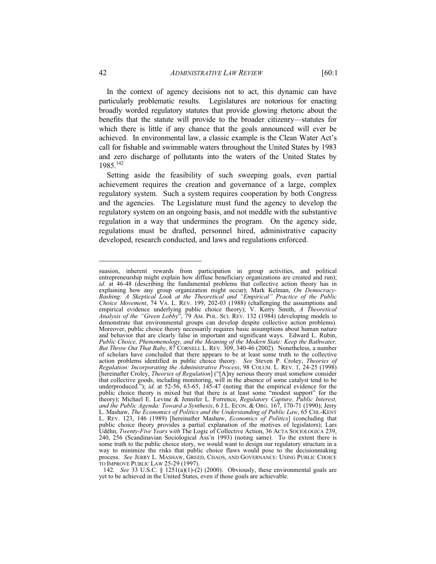In the context of agency decisions not to act, this dynamic can have particularly problematic results. Legislatures are notorious for enacting broadly worded regulatory statutes that provide glowing rhetoric about the benefits that the statute will provide to the broader citizenry—statutes for which there is little if any chance that the goals announced will ever be achieved. In environmental law, a classic example is the Clean Water Act's call for fishable and swimmable waters throughout the United States by 1983 and zero discharge of pollutants into the waters of the United States by 1985.142

Setting aside the feasibility of such sweeping goals, even partial achievement requires the creation and governance of a large, complex regulatory system. Such a system requires cooperation by both Congress and the agencies. The Legislature must fund the agency to develop the regulatory system on an ongoing basis, and not meddle with the substantive regulation in a way that undermines the program. On the agency side, regulations must be drafted, personnel hired, administrative capacity developed, research conducted, and laws and regulations enforced.

suasion, inherent rewards from participation in group activities, and political entrepreneurship might explain how diffuse beneficiary organizations are created and run); *id*. at 46-48 (describing the fundamental problems that collective action theory has in explaining how any group organization might occur); Mark Kelman, *On Democracy-Bashing: A Skeptical Look at the Theoretical and "Empirical" Practice of the Public Choice Movement*, 74 VA. L. REV. 199, 202-03 (1988) (challenging the assumptions and empirical evidence underlying public choice theory); V. Kerry Smith, *A Theoretical Analysis of the "Green Lobby*", 79 AM. POL. SCI. REV. 132 (1984) (developing models to demonstrate that environmental groups can develop despite collective action problems). Moreover, public choice theory necessarily requires basic assumptions about human nature and behavior that are clearly false in important and significant ways. Edward L. Rubin, *Public Choice, Phenomenology, and the Meaning of the Modern State: Keep the Bathwater, But Throw Out That Baby*, 87 CORNELL L. REV. 309, 340-46 (2002). Nonetheless, a number of scholars have concluded that there appears to be at least some truth to the collective action problems identified in public choice theory. *See* Steven P. Croley, *Theories of Regulation: Incorporating the Administrative Process*, 98 COLUM. L. REV. 1, 24-25 (1998) [hereinafter Croley, *Theories of Regulation*] ("[A]ny serious theory must somehow consider that collective goods, including monitoring, will in the absence of some catalyst tend to be underproduced."); *id*. at 52-56, 63-65, 145-47 (noting that the empirical evidence for the public choice theory is mixed but that there is at least some "modest support" for the theory); Michael E. Levine & Jennifer L. Forrence, *Regulatory Capture, Public Interest, and the Public Agenda: Toward a Synthesis*, 6 J.L. ECON.&ORG. 167, 170-71 (1990); Jerry L. Mashaw, *The Economics of Politics and the Understanding of Public Law*, 65 CHI.-KENT L. REV. 123, 146 (1989) [hereinafter Mashaw, *Economics of Politics*] (concluding that public choice theory provides a partial explanation of the motives of legislators); Lars Udéhn, *Twenty-Five Years with* The Logic of Collective Action, 36 ACTA SOCIOLOGICA 239, 240, 256 (Scandinavian Sociological Ass'n 1993) (noting same). To the extent there is some truth to the public choice story, we would want to design our regulatory structure in a way to minimize the risks that public choice flaws would pose to the decisionmaking process. *See* JERRY L. MASHAW, GREED, CHAOS, AND GOVERNANCE: USING PUBLIC CHOICE TO IMPROVE PUBLIC LAW 25-29 (1997).

<sup>142</sup>*. See* 33 U.S.C. § 1251(a)(1)-(2) (2000). Obviously, these environmental goals are yet to be achieved in the United States, even if those goals are achievable.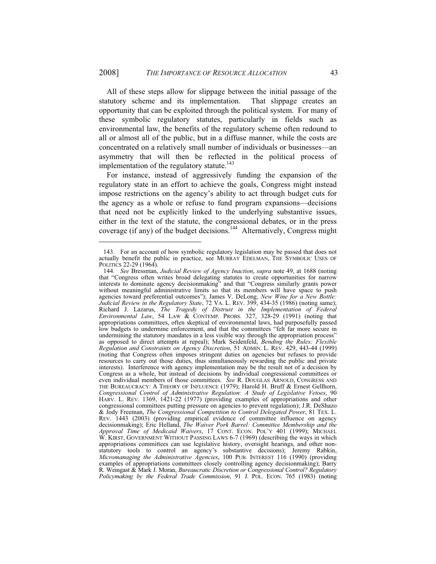All of these steps allow for slippage between the initial passage of the statutory scheme and its implementation. That slippage creates an opportunity that can be exploited through the political system. For many of these symbolic regulatory statutes, particularly in fields such as environmental law, the benefits of the regulatory scheme often redound to all or almost all of the public, but in a diffuse manner, while the costs are concentrated on a relatively small number of individuals or businesses—an asymmetry that will then be reflected in the political process of implementation of the regulatory statute. $143$ 

For instance, instead of aggressively funding the expansion of the regulatory state in an effort to achieve the goals, Congress might instead impose restrictions on the agency's ability to act through budget cuts for the agency as a whole or refuse to fund program expansions—decisions that need not be explicitly linked to the underlying substantive issues, either in the text of the statute, the congressional debates, or in the press coverage (if any) of the budget decisions.<sup>144</sup> Alternatively, Congress might

 <sup>143.</sup> For an account of how symbolic regulatory legislation may be passed that does not actually benefit the public in practice, see MURRAY EDELMAN, THE SYMBOLIC USES OF POLITICS 22-29 (1964).

<sup>144</sup>*. See* Bressman, *Judicial Review of Agency Inaction*, *supra* note 49, at 1688 (noting that "Congress often writes broad delegating statutes to create opportunities for narrow interests to dominate agency decisionmaking" and that "Congress similarly grants power without meaningful administrative limits so that its members will have space to push agencies toward preferential outcomes"); James V. DeLong, *New Wine for a New Bottle: Judicial Review in the Regulatory State*, 72 VA. L. REV. 399, 434-35 (1986) (noting same); Richard J. Lazarus, *The Tragedy of Distrust in the Implementation of Federal Environmental Law*, 54 LAW & CONTEMP. PROBS. 327, 328-29 (1991) (noting that appropriations committees, often skeptical of environmental laws, had purposefully passed low budgets to undermine enforcement, and that the committees "felt far more secure in undermining the statutory mandates in a less visible way through the appropriation process" as opposed to direct attempts at repeal); Mark Seidenfeld, *Bending the Rules: Flexible Regulation and Constraints on Agency Discretion*, 51 ADMIN. L. REV. 429, 443-44 (1999) (noting that Congress often imposes stringent duties on agencies but refuses to provide resources to carry out those duties, thus simultaneously rewarding the public and private interests). Interference with agency implementation may be the result not of a decision by Congress as a whole, but instead of decisions by individual congressional committees or even individual members of those committees. *See* R. DOUGLAS ARNOLD, CONGRESS AND THE BUREAUCRACY: A THEORY OF INFLUENCE (1979); Harold H. Bruff & Ernest Gellhorn, *Congressional Control of Administrative Regulation: A Study of Legislative Vetoes*, 90 HARV. L. REV. 1369, 1421-22 (1977) (providing examples of appropriations and other congressional committees putting pressure on agencies to prevent regulation); J.R. DeShazo & Jody Freeman, *The Congressional Competition to Control Delegated Power*, 81 TEX. L. REV. 1443 (2003) (providing empirical evidence of committee influence on agency decisionmaking); Eric Helland, *The Waiver Pork Barrel: Committee Membership and the Approval Time of Medicaid Waivers*, 17 CONT. ECON. POL'Y 401 (1999); MICHAEL W. KIRST, GOVERNMENT WITHOUT PASSING LAWS 6-7 (1969) (describing the ways in which appropriations committees can use legislative history, oversight hearings, and other nonstatutory tools to control an agency's substantive decisions); Jeremy Rabkin, *Micromanaging the Administrative Agencies*, 100 PUB. INTEREST 116 (1990) (providing examples of appropriations committees closely controlling agency decisionmaking); Barry R. Weingast & Mark J. Moran, *Bureaucratic Discretion or Congressional Control? Regulatory Policymaking by the Federal Trade Commission*, 91 J. POL. ECON. 765 (1983) (noting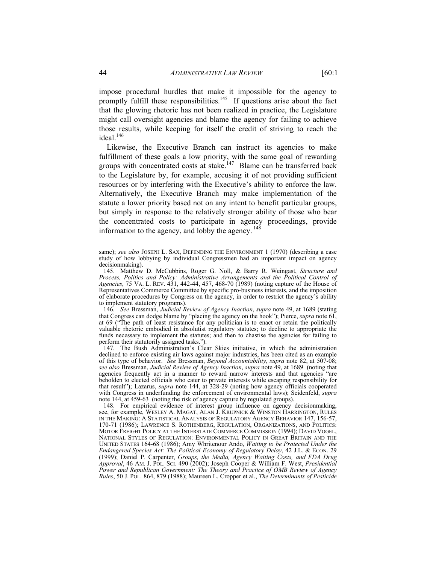impose procedural hurdles that make it impossible for the agency to promptly fulfill these responsibilities.<sup>145</sup> If questions arise about the fact that the glowing rhetoric has not been realized in practice, the Legislature might call oversight agencies and blame the agency for failing to achieve those results, while keeping for itself the credit of striving to reach the ideal. $146$ 

Likewise, the Executive Branch can instruct its agencies to make fulfillment of these goals a low priority, with the same goal of rewarding groups with concentrated costs at stake.<sup>147</sup> Blame can be transferred back to the Legislature by, for example, accusing it of not providing sufficient resources or by interfering with the Executive's ability to enforce the law. Alternatively, the Executive Branch may make implementation of the statute a lower priority based not on any intent to benefit particular groups, but simply in response to the relatively stronger ability of those who bear the concentrated costs to participate in agency proceedings, provide information to the agency, and lobby the agency.  $148$ 

same); *see also* JOSEPH L. SAX, DEFENDING THE ENVIRONMENT 1 (1970) (describing a case study of how lobbying by individual Congressmen had an important impact on agency decisionmaking).

 <sup>145.</sup> Matthew D. McCubbins, Roger G. Noll, & Barry R. Weingast, *Structure and*  Process, Politics and Policy: Administrative Arrangements and the Political Control of *Agencies*, 75 VA. L. REV. 431, 442-44, 457, 468-70 (1989) (noting capture of the House of Representatives Commerce Committee by specific pro-business interests, and the imposition of elaborate procedures by Congress on the agency, in order to restrict the agency's ability to implement statutory programs).

<sup>146</sup>*. See* Bressman, *Judicial Review of Agency Inaction*, *supra* note 49, at 1689 (stating that Congress can dodge blame by "placing the agency on the hook"); Pierce, *supra* note 61, at 69 ("The path of least resistance for any politician is to enact or retain the politically valuable rhetoric embodied in absolutist regulatory statutes; to decline to appropriate the funds necessary to implement the statutes; and then to chastise the agencies for failing to perform their statutorily assigned tasks.").

 <sup>147.</sup> The Bush Administration's Clear Skies initiative, in which the administration declined to enforce existing air laws against major industries, has been cited as an example of this type of behavior. *See* Bressman, *Beyond Accountability*, *supra* note 82, at 507-08; *see also* Bressman, *Judicial Review of Agency Inaction*, *supra* note 49, at 1689 (noting that agencies frequently act in a manner to reward narrow interests and that agencies "are beholden to elected officials who cater to private interests while escaping responsibility for that result"); Lazarus, *supra* note 144, at 328-29 (noting how agency officials cooperated with Congress in underfunding the enforcement of environmental laws); Seidenfeld, *supra*  note 144, at 459-63 (noting the risk of agency capture by regulated groups).

 <sup>148.</sup> For empirical evidence of interest group influence on agency decisionmaking, see, for example, WESLEY A. MAGAT, ALAN J. KRUPNICK & WINSTON HARRINGTON, RULES IN THE MAKING: A STATISTICAL ANALYSIS OF REGULATORY AGENCY BEHAVIOR 147, 156-57, 170-71 (1986); LAWRENCE S. ROTHENBERG, REGULATION, ORGANIZATIONS, AND POLITICS: MOTOR FREIGHT POLICY AT THE INTERSTATE COMMERCE COMMISSION (1994); DAVID VOGEL, NATIONAL STYLES OF REGULATION: ENVIRONMENTAL POLICY IN GREAT BRITAIN AND THE UNITED STATES 164-68 (1986); Amy Whritenour Ando, *Waiting to be Protected Under the Endangered Species Act: The Political Economy of Regulatory Delay*, 42 J.L. & ECON. 29 (1999); Daniel P. Carpenter, *Groups, the Media, Agency Waiting Costs, and FDA Drug Approval*, 46 AM. J. POL. SCI. 490 (2002); Joseph Cooper & William F. West, *Presidential Power and Republican Government: The Theory and Practice of OMB Review of Agency Rules*, 50 J. POL. 864, 879 (1988); Maureen L. Cropper et al., *The Determinants of Pesticide*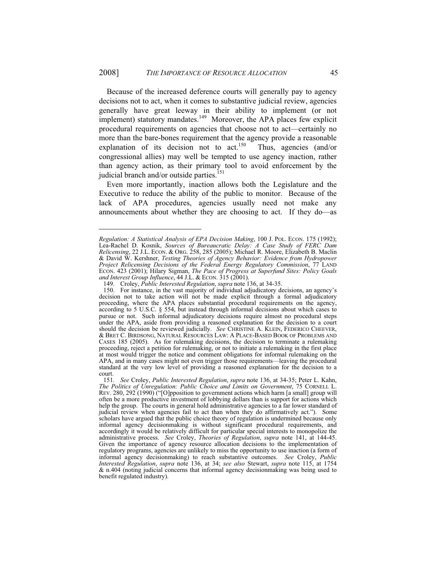Because of the increased deference courts will generally pay to agency decisions not to act, when it comes to substantive judicial review, agencies generally have great leeway in their ability to implement (or not implement) statutory mandates.<sup>149</sup> Moreover, the APA places few explicit procedural requirements on agencies that choose not to act—certainly no more than the bare-bones requirement that the agency provide a reasonable explanation of its decision not to act.<sup>150</sup> Thus, agencies (and/or congressional allies) may well be tempted to use agency inaction, rather than agency action, as their primary tool to avoid enforcement by the judicial branch and/or outside parties. $151$ 

Even more importantly, inaction allows both the Legislature and the Executive to reduce the ability of the public to monitor. Because of the lack of APA procedures, agencies usually need not make any announcements about whether they are choosing to act. If they do—as

*Regulation: A Statistical Analysis of EPA Decision Making*, 100 J. POL. ECON. 175 (1992); Lea-Rachel D. Kosnik, *Sources of Bureaucratic Delay: A Case Study of FERC Dam Relicensing*, 22 J.L. ECON.&ORG. 258, 285 (2005); Michael R. Moore, Elizabeth B. Maclin & David W. Kershner, *Testing Theories of Agency Behavior: Evidence from Hydropower Project Relicensing Decisions of the Federal Energy Regulatory Commission*, 77 LAND ECON. 423 (2001); Hilary Sigman, *The Pace of Progress at Superfund Sites: Policy Goals and Interest Group Influence*, 44 J.L. & ECON. 315 (2001).

 <sup>149.</sup> Croley, *Public Interested Regulation*, *supra* note 136, at 34-35.

 <sup>150.</sup> For instance, in the vast majority of individual adjudicatory decisions, an agency's decision not to take action will not be made explicit through a formal adjudicatory proceeding, where the APA places substantial procedural requirements on the agency, according to 5 U.S.C. § 554, but instead through informal decisions about which cases to pursue or not. Such informal adjudicatory decisions require almost no procedural steps under the APA, aside from providing a reasoned explanation for the decision to a court should the decision be reviewed judicially. *See* CHRISTINE A. KLEIN, FEDERICO CHEEVER, & BRET C. BIRDSONG, NATURAL RESOURCES LAW:APLACE-BASED BOOK OF PROBLEMS AND CASES 185 (2005). As for rulemaking decisions, the decision to terminate a rulemaking proceeding, reject a petition for rulemaking, or not to initiate a rulemaking in the first place at most would trigger the notice and comment obligations for informal rulemaking on the APA, and in many cases might not even trigger those requirements—leaving the procedural standard at the very low level of providing a reasoned explanation for the decision to a court.

<sup>151</sup>*. See* Croley, *Public Interested Regulation*, *supra* note 136, at 34-35; Peter L. Kahn, *The Politics of Unregulation: Public Choice and Limits on Government*, 75 CORNELL L. REV. 280, 292 (1990) ("[O]pposition to government actions which harm [a small] group will often be a more productive investment of lobbying dollars than is support for actions which help the group. The courts in general hold administrative agencies to a far lower standard of judicial review when agencies fail to act than when they do affirmatively act."). Some scholars have argued that the public choice theory of regulation is undermined because only informal agency decisionmaking is without significant procedural requirements, and accordingly it would be relatively difficult for particular special interests to monopolize the administrative process. *See* Croley, *Theories of Regulation*, *supra* note 141, at 144-45. Given the importance of agency resource allocation decisions to the implementation of regulatory programs, agencies are unlikely to miss the opportunity to use inaction (a form of informal agency decisionmaking) to reach substantive outcomes. *See* Croley, *Public Interested Regulation*, *supra* note 136, at 34; *see also* Stewart, *supra* note 115, at 1754 & n.404 (noting judicial concerns that informal agency decisionmaking was being used to benefit regulated industry).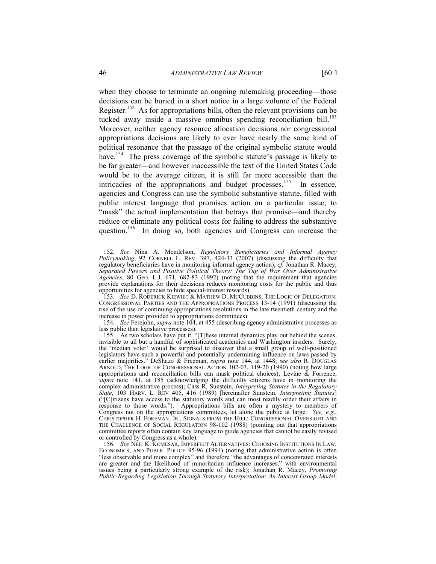when they choose to terminate an ongoing rulemaking proceeding—those decisions can be buried in a short notice in a large volume of the Federal Register.<sup>152</sup> As for appropriations bills, often the relevant provisions can be tucked away inside a massive omnibus spending reconciliation bill. $^{153}$ Moreover, neither agency resource allocation decisions nor congressional appropriations decisions are likely to ever have nearly the same kind of political resonance that the passage of the original symbolic statute would have.<sup>154</sup> The press coverage of the symbolic statute's passage is likely to be far greater—and however inaccessible the text of the United States Code would be to the average citizen, it is still far more accessible than the intricacies of the appropriations and budget processes.<sup>155</sup> In essence, agencies and Congress can use the symbolic substantive statute, filled with public interest language that promises action on a particular issue, to "mask" the actual implementation that betrays that promise—and thereby reduce or eliminate any political costs for failing to address the substantive question.<sup>156</sup> In doing so, both agencies and Congress can increase the

154*. See* Ferejohn, *supra* note 104, at 455 (describing agency administrative processes as less public than legislative processes).

<sup>152</sup>*. See* Nina A. Mendelson, *Regulatory Beneficiaries and Informal Agency Policymaking*, 92 CORNELL L. REV. 397, 424-33 (2007) (discussing the difficulty that regulatory beneficiaries have in monitoring informal agency action); *cf.* Jonathan R. Macey, *Separated Powers and Positive Political Theory: The Tug of War Over Administrative Agencies*, 80 GEO. L.J. 671, 682-83 (1992) (noting that the requirement that agencies provide explanations for their decisions reduces monitoring costs for the public and thus opportunities for agencies to hide special-interest rewards).

<sup>153</sup>*. See* D. RODERICK KIEWIET & MATHEW D. MCCUBBINS, THE LOGIC OF DELEGATION: CONGRESSIONAL PARTIES AND THE APPROPRIATIONS PROCESS 13-14 (1991) (discussing the rise of the use of continuing appropriations resolutions in the late twentieth century and the increase in power provided to appropriations committees).

 <sup>155.</sup> As two scholars have put it: "[T]hese internal dynamics play out behind the scenes, invisible to all but a handful of sophisticated academics and Washington insiders. Surely, the 'median voter' would be surprised to discover that a small group of well-positioned legislators have such a powerful and potentially undermining influence on laws passed by earlier majorities." DeShazo & Freeman, *supra* note 144, at 1448; *see also* R. DOUGLAS ARNOLD, THE LOGIC OF CONGRESSIONAL ACTION 102-03, 119-20 (1990) (noting how large appropriations and reconciliation bills can mask political choices); Levine & Forrence, *supra* note 141, at 185 (acknowledging the difficulty citizens have in monitoring the complex administrative process); Cass R. Sunstein, *Interpreting Statutes in the Regulatory State*, 103 HARV. L. REV 405, 416 (1989) [hereinafter Sunstein, *Interpreting Statutes*] ("[C]itizens have access to the statutory words and can most readily order their affairs in response to those words."). Appropriations bills are often a mystery to members of Congress not on the appropriations committees, let alone the public at large. *See, e.g*., CHRISTOPHER H. FOREMAN, JR., SIGNALS FROM THE HILL: CONGRESSIONAL OVERSIGHT AND THE CHALLENGE OF SOCIAL REGULATION 98-102 (1988) (pointing out that appropriations committee reports often contain key language to guide agencies that cannot be easily revised or controlled by Congress as a whole).

<sup>156</sup>*. See* NEIL K. KOMESAR, IMPERFECT ALTERNATIVES: CHOOSING INSTITUTIONS IN LAW, ECONOMICS, AND PUBLIC POLICY 95-96 (1994) (noting that administrative action is often "less observable and more complex" and therefore "the advantages of concentrated interests are greater and the likelihood of minoritarian influence increases," with environmental issues being a particularly strong example of the risk); Jonathan R. Macey, *Promoting Public-Regarding Legislation Through Statutory Interpretation: An Interest Group Model*,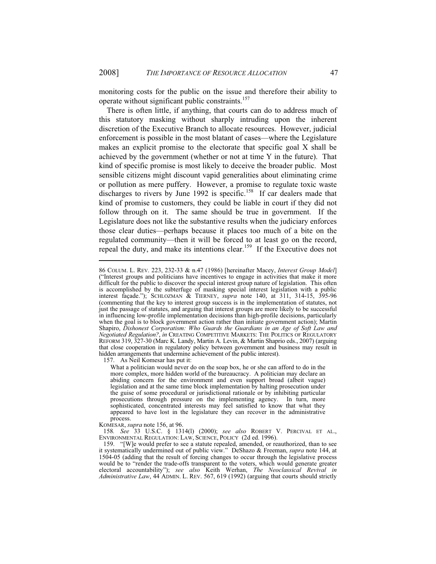monitoring costs for the public on the issue and therefore their ability to operate without significant public constraints.<sup>157</sup>

There is often little, if anything, that courts can do to address much of this statutory masking without sharply intruding upon the inherent discretion of the Executive Branch to allocate resources. However, judicial enforcement is possible in the most blatant of cases—where the Legislature makes an explicit promise to the electorate that specific goal X shall be achieved by the government (whether or not at time Y in the future). That kind of specific promise is most likely to deceive the broader public. Most sensible citizens might discount vapid generalities about eliminating crime or pollution as mere puffery. However, a promise to regulate toxic waste discharges to rivers by June 1992 is specific.<sup>158</sup> If car dealers made that kind of promise to customers, they could be liable in court if they did not follow through on it. The same should be true in government. If the Legislature does not like the substantive results when the judiciary enforces those clear duties—perhaps because it places too much of a bite on the regulated community—then it will be forced to at least go on the record, repeal the duty, and make its intentions clear.<sup>159</sup> If the Executive does not

157. As Neil Komesar has put it:

KOMESAR, *supra* note 156, at 96.

<sup>86</sup> COLUM. L. REV. 223, 232-33 & n.47 (1986) [hereinafter Macey, *Interest Group Model*] ("Interest groups and politicians have incentives to engage in activities that make it more difficult for the public to discover the special interest group nature of legislation. This often is accomplished by the subterfuge of masking special interest legislation with a public interest façade."); SCHLOZMAN & TIERNEY, *supra* note 140, at 311, 314-15, 395-96 (commenting that the key to interest group success is in the implementation of statutes, not just the passage of statutes, and arguing that interest groups are more likely to be successful in influencing low-profile implementation decisions than high-profile decisions, particularly when the goal is to block government action rather than initiate government action); Martin Shapiro, *Dishonest Corporatism: Who Guards the Guardians in an Age of Soft Law and Negotiated Regulation?*, *in* CREATING COMPETITIVE MARKETS: THE POLITICS OF REGULATORY REFORM 319, 327-30 (Marc K. Landy, Martin A. Levin, & Martin Shaprio eds., 2007) (arguing that close cooperation in regulatory policy between government and business may result in hidden arrangements that undermine achievement of the public interest).

What a politician would never do on the soap box, he or she can afford to do in the more complex, more hidden world of the bureaucracy. A politician may declare an abiding concern for the environment and even support broad (albeit vague) legislation and at the same time block implementation by halting prosecution under the guise of some procedural or jurisdictional rationale or by inhibiting particular prosecutions through pressure on the implementing agency. In turn, more sophisticated, concentrated interests may feel satisfied to know that what they appeared to have lost in the legislature they can recover in the administrative process.

<sup>158</sup>*. See* 33 U.S.C. § 1314(l) (2000); *see also* ROBERT V. PERCIVAL ET AL., ENVIRONMENTAL REGULATION: LAW, SCIENCE, POLICY (2d ed. 1996).

 <sup>159. &</sup>quot;[W]e would prefer to see a statute repealed, amended, or reauthorized, than to see it systematically undermined out of public view." DeShazo & Freeman, *supra* note 144, at 1504-05 (adding that the result of forcing changes to occur through the legislative process would be to "render the trade-offs transparent to the voters, which would generate greater electoral accountability"); *see also* Keith Werhan, *The Neoclassical Revival in Administrative Law*, 44 ADMIN. L. REV. 567, 619 (1992) (arguing that courts should strictly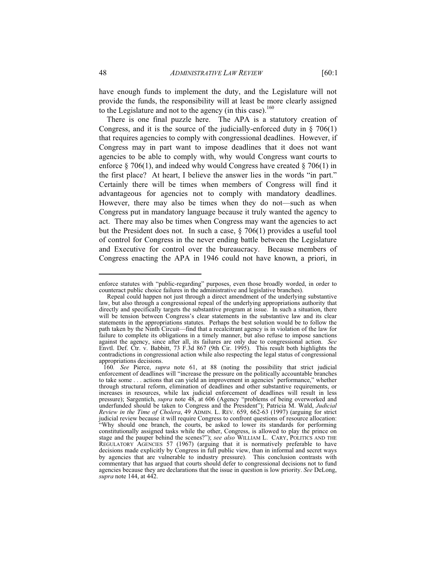have enough funds to implement the duty, and the Legislature will not provide the funds, the responsibility will at least be more clearly assigned to the Legislature and not to the agency (in this case).<sup>160</sup>

There is one final puzzle here. The APA is a statutory creation of Congress, and it is the source of the judicially-enforced duty in  $\S$  706(1) that requires agencies to comply with congressional deadlines. However, if Congress may in part want to impose deadlines that it does not want agencies to be able to comply with, why would Congress want courts to enforce  $\S 706(1)$ , and indeed why would Congress have created  $\S 706(1)$  in the first place? At heart, I believe the answer lies in the words "in part." Certainly there will be times when members of Congress will find it advantageous for agencies not to comply with mandatory deadlines. However, there may also be times when they do not—such as when Congress put in mandatory language because it truly wanted the agency to act. There may also be times when Congress may want the agencies to act but the President does not. In such a case, § 706(1) provides a useful tool of control for Congress in the never ending battle between the Legislature and Executive for control over the bureaucracy. Because members of Congress enacting the APA in 1946 could not have known, a priori, in

enforce statutes with "public-regarding" purposes, even those broadly worded, in order to counteract public choice failures in the administrative and legislative branches).

Repeal could happen not just through a direct amendment of the underlying substantive law, but also through a congressional repeal of the underlying appropriations authority that directly and specifically targets the substantive program at issue. In such a situation, there will be tension between Congress's clear statements in the substantive law and its clear statements in the appropriations statutes. Perhaps the best solution would be to follow the path taken by the Ninth Circuit—find that a recalcitrant agency is in violation of the law for failure to complete its obligations in a timely manner, but also refuse to impose sanctions against the agency, since after all, its failures are only due to congressional action. *See* Envtl. Def. Ctr. v. Babbitt, 73 F.3d 867 (9th Cir. 1995). This result both highlights the contradictions in congressional action while also respecting the legal status of congressional appropriations decisions.

<sup>160</sup>*. See* Pierce, *supra* note 61, at 88 (noting the possibility that strict judicial enforcement of deadlines will "increase the pressure on the politically accountable branches to take some . . . actions that can yield an improvement in agencies' performance," whether through structural reform, elimination of deadlines and other substantive requirements, or increases in resources, while lax judicial enforcement of deadlines will result in less pressure); Sargentich, *supra* note 48, at 606 (Agency "problems of being overworked and underfunded should be taken to Congress and the President"); Patricia M. Wald, *Judicial Review in the Time of Cholera*, 49 ADMIN. L. REV. 659, 662-63 (1997) (arguing for strict judicial review because it will require Congress to confront questions of resource allocation: "Why should one branch, the courts, be asked to lower its standards for performing constitutionally assigned tasks while the other, Congress, is allowed to play the prince on stage and the pauper behind the scenes?"); *see also* WILLIAM L. CARY, POLITICS AND THE REGULATORY AGENCIES 57 (1967) (arguing that it is normatively preferable to have decisions made explicitly by Congress in full public view, than in informal and secret ways by agencies that are vulnerable to industry pressure). This conclusion contrasts with commentary that has argued that courts should defer to congressional decisions not to fund agencies because they are declarations that the issue in question is low priority. *See* DeLong, *supra* note 144, at 442.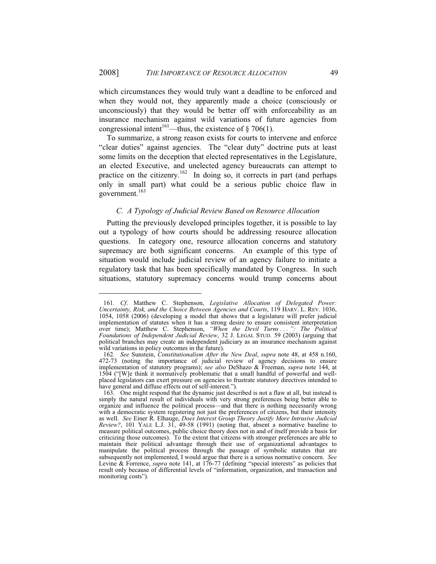which circumstances they would truly want a deadline to be enforced and when they would not, they apparently made a choice (consciously or unconsciously) that they would be better off with enforceability as an insurance mechanism against wild variations of future agencies from congressional intent<sup>161</sup>—thus, the existence of  $\S 706(1)$ .

To summarize, a strong reason exists for courts to intervene and enforce "clear duties" against agencies. The "clear duty" doctrine puts at least some limits on the deception that elected representatives in the Legislature, an elected Executive, and unelected agency bureaucrats can attempt to practice on the citizenry.<sup>162</sup> In doing so, it corrects in part (and perhaps only in small part) what could be a serious public choice flaw in government. $163$ 

#### *C. A Typology of Judicial Review Based on Resource Allocation*

Putting the previously developed principles together, it is possible to lay out a typology of how courts should be addressing resource allocation questions. In category one, resource allocation concerns and statutory supremacy are both significant concerns. An example of this type of situation would include judicial review of an agency failure to initiate a regulatory task that has been specifically mandated by Congress. In such situations, statutory supremacy concerns would trump concerns about

<sup>161</sup>*. Cf*. Matthew C. Stephenson, *Legislative Allocation of Delegated Power: Uncertainty, Risk, and the Choice Between Agencies and Courts*, 119 HARV. L. REV. 1036, 1054, 1058 (2006) (developing a model that shows that a legislature will prefer judicial implementation of statutes when it has a strong desire to ensure consistent interpretation over time); Matthew C. Stephenson, *"When the Devil Turns . . . ": The Political Foundations of Independent Judicial Review*, 32 J. LEGAL STUD. 59 (2003) (arguing that political branches may create an independent judiciary as an insurance mechanism against wild variations in policy outcomes in the future).

<sup>162</sup>*. See* Sunstein, *Constitutionalism After the New Deal*, *supra* note 48, at 458 n.160, 472-73 (noting the importance of judicial review of agency decisions to ensure implementation of statutory programs); *see also* DeShazo & Freeman, *supra* note 144, at 1504 ("[W]e think it normatively problematic that a small handful of powerful and wellplaced legislators can exert pressure on agencies to frustrate statutory directives intended to have general and diffuse effects out of self-interest.").

 <sup>163.</sup> One might respond that the dynamic just described is not a flaw at all, but instead is simply the natural result of individuals with very strong preferences being better able to organize and influence the political process—and that there is nothing necessarily wrong with a democratic system registering not just the preferences of citizens, but their intensity as well. *See* Einer R. Elhauge, *Does Interest Group Theory Justify More Intrusive Judicial Review?*, 101 YALE L.J. 31, 49-58 (1991) (noting that, absent a normative baseline to measure political outcomes, public choice theory does not in and of itself provide a basis for criticizing those outcomes). To the extent that citizens with stronger preferences are able to maintain their political advantage through their use of organizational advantages to manipulate the political process through the passage of symbolic statutes that are subsequently not implemented, I would argue that there is a serious normative concern. *See* Levine & Forrence, *supra* note 141, at 176-77 (defining "special interests" as policies that result only because of differential levels of "information, organization, and transaction and monitoring costs").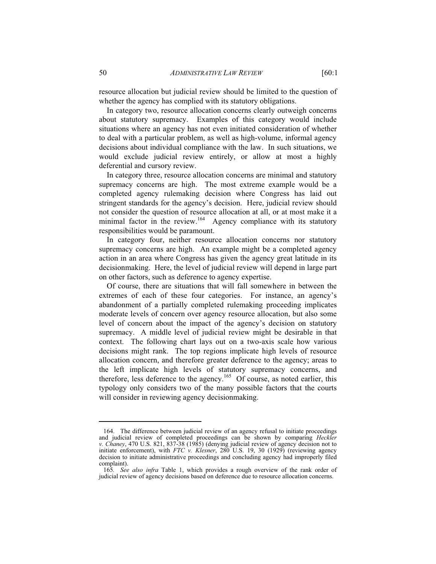resource allocation but judicial review should be limited to the question of whether the agency has complied with its statutory obligations.

In category two, resource allocation concerns clearly outweigh concerns about statutory supremacy. Examples of this category would include situations where an agency has not even initiated consideration of whether to deal with a particular problem, as well as high-volume, informal agency decisions about individual compliance with the law. In such situations, we would exclude judicial review entirely, or allow at most a highly deferential and cursory review.

In category three, resource allocation concerns are minimal and statutory supremacy concerns are high. The most extreme example would be a completed agency rulemaking decision where Congress has laid out stringent standards for the agency's decision. Here, judicial review should not consider the question of resource allocation at all, or at most make it a minimal factor in the review.<sup>164</sup> Agency compliance with its statutory responsibilities would be paramount.

In category four, neither resource allocation concerns nor statutory supremacy concerns are high. An example might be a completed agency action in an area where Congress has given the agency great latitude in its decisionmaking. Here, the level of judicial review will depend in large part on other factors, such as deference to agency expertise.

Of course, there are situations that will fall somewhere in between the extremes of each of these four categories. For instance, an agency's abandonment of a partially completed rulemaking proceeding implicates moderate levels of concern over agency resource allocation, but also some level of concern about the impact of the agency's decision on statutory supremacy. A middle level of judicial review might be desirable in that context. The following chart lays out on a two-axis scale how various decisions might rank. The top regions implicate high levels of resource allocation concern, and therefore greater deference to the agency; areas to the left implicate high levels of statutory supremacy concerns, and therefore, less deference to the agency.<sup>165</sup> Of course, as noted earlier, this typology only considers two of the many possible factors that the courts will consider in reviewing agency decision making.

 <sup>164.</sup> The difference between judicial review of an agency refusal to initiate proceedings and judicial review of completed proceedings can be shown by comparing *Heckler v. Chaney*, 470 U.S. 821, 837-38 (1985) (denying judicial review of agency decision not to initiate enforcement), with *FTC v. Klesner*, 280 U.S. 19, 30 (1929) (reviewing agency decision to initiate administrative proceedings and concluding agency had improperly filed complaint).

<sup>165</sup>*. See also infra* Table 1, which provides a rough overview of the rank order of judicial review of agency decisions based on deference due to resource allocation concerns.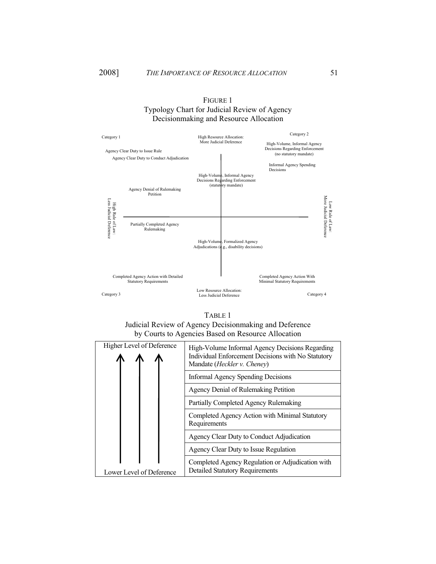# FIGURE 1 Typology Chart for Judicial Review of Agency Decisionmaking and Resource Allocation



# TABLE 1

Judicial Review of Agency Decisionmaking and Deference by Courts to Agencies Based on Resource Allocation

| Higher Level of Deference | High-Volume Informal Agency Decisions Regarding<br>Individual Enforcement Decisions with No Statutory<br>Mandate ( <i>Heckler v. Cheney</i> ) |
|---------------------------|-----------------------------------------------------------------------------------------------------------------------------------------------|
|                           | Informal Agency Spending Decisions                                                                                                            |
|                           | Agency Denial of Rulemaking Petition                                                                                                          |
|                           | Partially Completed Agency Rulemaking                                                                                                         |
|                           | Completed Agency Action with Minimal Statutory<br>Requirements                                                                                |
|                           | Agency Clear Duty to Conduct Adjudication                                                                                                     |
|                           | Agency Clear Duty to Issue Regulation                                                                                                         |
| Lower Level of Deference  | Completed Agency Regulation or Adjudication with<br><b>Detailed Statutory Requirements</b>                                                    |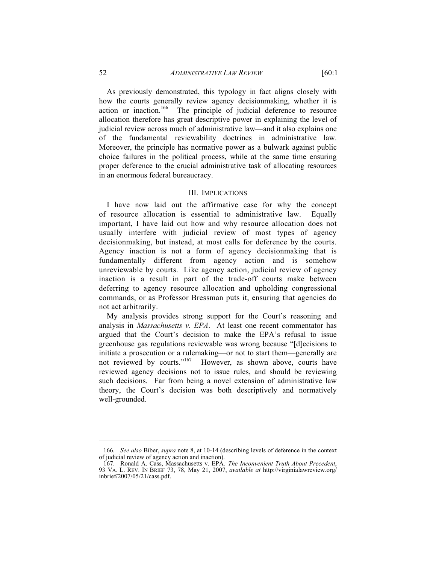As previously demonstrated, this typology in fact aligns closely with how the courts generally review agency decisionmaking, whether it is action or inaction.<sup>166</sup> The principle of judicial deference to resource allocation therefore has great descriptive power in explaining the level of judicial review across much of administrative law—and it also explains one of the fundamental reviewability doctrines in administrative law. Moreover, the principle has normative power as a bulwark against public choice failures in the political process, while at the same time ensuring proper deference to the crucial administrative task of allocating resources in an enormous federal bureaucracy.

#### III. IMPLICATIONS

I have now laid out the affirmative case for why the concept of resource allocation is essential to administrative law. Equally important, I have laid out how and why resource allocation does not usually interfere with judicial review of most types of agency decisionmaking, but instead, at most calls for deference by the courts. Agency inaction is not a form of agency decisionmaking that is fundamentally different from agency action and is somehow unreviewable by courts. Like agency action, judicial review of agency inaction is a result in part of the trade-off courts make between deferring to agency resource allocation and upholding congressional commands, or as Professor Bressman puts it, ensuring that agencies do not act arbitrarily.

My analysis provides strong support for the Court's reasoning and analysis in *Massachusetts v. EPA*. At least one recent commentator has argued that the Court's decision to make the EPA's refusal to issue greenhouse gas regulations reviewable was wrong because "[d]ecisions to initiate a prosecution or a rulemaking—or not to start them—generally are not reviewed by courts."<sup>167</sup> However, as shown above, courts have reviewed agency decisions not to issue rules, and should be reviewing such decisions. Far from being a novel extension of administrative law theory, the Court's decision was both descriptively and normatively well-grounded.

<sup>166</sup>*. See also* Biber, *supra* note 8, at 10-14 (describing levels of deference in the context of judicial review of agency action and inaction).

 <sup>167.</sup> Ronald A. Cass, Massachusetts v. EPA*: The Inconvenient Truth About Precedent*, 93 VA. L. REV. IN BRIEF 73, 78, May 21, 2007, *available at* http://virginialawreview.org/ inbrief/2007/05/21/cass.pdf.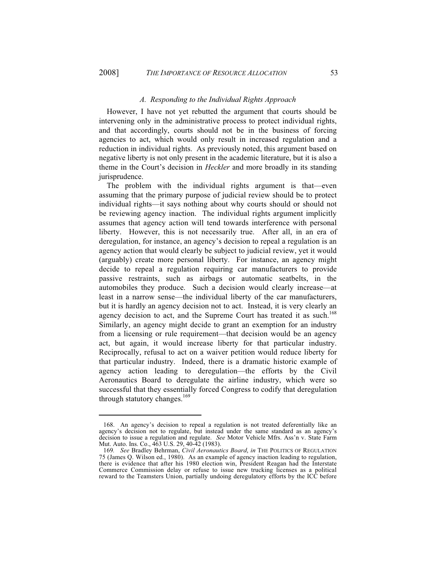#### *A. Responding to the Individual Rights Approach*

However, I have not yet rebutted the argument that courts should be intervening only in the administrative process to protect individual rights, and that accordingly, courts should not be in the business of forcing agencies to act, which would only result in increased regulation and a reduction in individual rights. As previously noted, this argument based on negative liberty is not only present in the academic literature, but it is also a theme in the Court's decision in *Heckler* and more broadly in its standing jurisprudence.

The problem with the individual rights argument is that—even assuming that the primary purpose of judicial review should be to protect individual rights—it says nothing about why courts should or should not be reviewing agency inaction. The individual rights argument implicitly assumes that agency action will tend towards interference with personal liberty. However, this is not necessarily true. After all, in an era of deregulation, for instance, an agency's decision to repeal a regulation is an agency action that would clearly be subject to judicial review, yet it would (arguably) create more personal liberty. For instance, an agency might decide to repeal a regulation requiring car manufacturers to provide passive restraints, such as airbags or automatic seatbelts, in the automobiles they produce. Such a decision would clearly increase—at least in a narrow sense—the individual liberty of the car manufacturers, but it is hardly an agency decision not to act. Instead, it is very clearly an agency decision to act, and the Supreme Court has treated it as such.<sup>168</sup> Similarly, an agency might decide to grant an exemption for an industry from a licensing or rule requirement—that decision would be an agency act, but again, it would increase liberty for that particular industry. Reciprocally, refusal to act on a waiver petition would reduce liberty for that particular industry. Indeed, there is a dramatic historic example of agency action leading to deregulation—the efforts by the Civil Aeronautics Board to deregulate the airline industry, which were so successful that they essentially forced Congress to codify that deregulation through statutory changes.<sup>169</sup>

 <sup>168.</sup> An agency's decision to repeal a regulation is not treated deferentially like an agency's decision not to regulate, but instead under the same standard as an agency's decision to issue a regulation and regulate. *See* Motor Vehicle Mfrs. Ass'n v. State Farm Mut. Auto. Ins. Co., 463 U.S. 29, 40-42 (1983).

<sup>169</sup>*. See* Bradley Behrman, *Civil Aeronautics Board*, *in* THE POLITICS OF REGULATION 75 (James Q. Wilson ed., 1980). As an example of agency inaction leading to regulation, there is evidence that after his 1980 election win, President Reagan had the Interstate Commerce Commission delay or refuse to issue new trucking licenses as a political reward to the Teamsters Union, partially undoing deregulatory efforts by the ICC before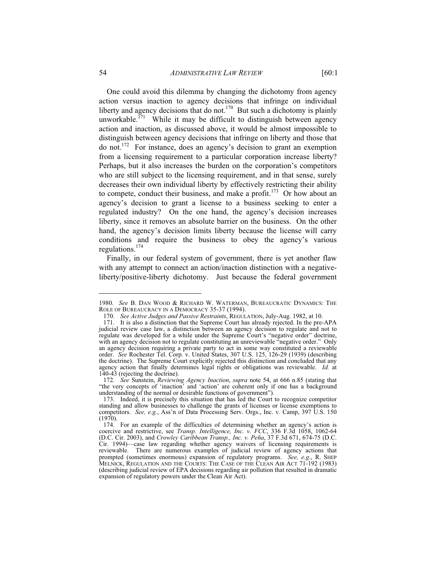One could avoid this dilemma by changing the dichotomy from agency action versus inaction to agency decisions that infringe on individual liberty and agency decisions that do not.<sup>170</sup> But such a dichotomy is plainly unworkable.<sup>171</sup> While it may be difficult to distinguish between agency action and inaction, as discussed above, it would be almost impossible to distinguish between agency decisions that infringe on liberty and those that do not.<sup>172</sup> For instance, does an agency's decision to grant an exemption from a licensing requirement to a particular corporation increase liberty? Perhaps, but it also increases the burden on the corporation's competitors who are still subject to the licensing requirement, and in that sense, surely decreases their own individual liberty by effectively restricting their ability to compete, conduct their business, and make a profit.<sup>173</sup> Or how about an agency's decision to grant a license to a business seeking to enter a regulated industry? On the one hand, the agency's decision increases liberty, since it removes an absolute barrier on the business. On the other hand, the agency's decision limits liberty because the license will carry conditions and require the business to obey the agency's various regulations.174

Finally, in our federal system of government, there is yet another flaw with any attempt to connect an action/inaction distinction with a negativeliberty/positive-liberty dichotomy. Just because the federal government

<sup>1980.</sup> *See* B. DAN WOOD & RICHARD W. WATERMAN, BUREAUCRATIC DYNAMICS: THE ROLE OF BUREAUCRACY IN A DEMOCRACY 35-37 (1994).

<sup>170</sup>*. See Active Judges and Passive Restraints*, REGULATION, July-Aug. 1982, at 10.

 <sup>171.</sup> It is also a distinction that the Supreme Court has already rejected. In the pre-APA judicial review case law, a distinction between an agency decision to regulate and not to regulate was developed for a while under the Supreme Court's "negative order" doctrine, with an agency decision not to regulate constituting an unreviewable "negative order." Only an agency decision requiring a private party to act in some way constituted a reviewable order. *See* Rochester Tel. Corp. v. United States, 307 U.S. 125, 126-29 (1939) (describing the doctrine). The Supreme Court explicitly rejected this distinction and concluded that any agency action that finally determines legal rights or obligations was reviewable. *Id.* at 140-43 (rejecting the doctrine).

<sup>172</sup>*. See* Sunstein, *Reviewing Agency Inaction*, *supra* note 54, at 666 n.85 (stating that "the very concepts of 'inaction' and 'action' are coherent only if one has a background understanding of the normal or desirable functions of government").

 <sup>173.</sup> Indeed, it is precisely this situation that has led the Court to recognize competitor standing and allow businesses to challenge the grants of licenses or license exemptions to competitors. *See, e.g.*, Ass'n of Data Processing Serv. Orgs., Inc. v. Camp, 397 U.S. 150 (1970).

 <sup>174.</sup> For an example of the difficulties of determining whether an agency's action is coercive and restrictive, see *Transp. Intelligence, Inc. v. FCC*, 336 F.3d 1058, 1062-64 (D.C. Cir. 2003), and *Crowley Caribbean Transp., Inc. v. Peña*, 37 F.3d 671, 674-75 (D.C. Cir. 1994)—case law regarding whether agency waivers of licensing requirements is reviewable. There are numerous examples of judicial review of agency actions that prompted (sometimes enormous) expansion of regulatory programs. *See, e.g*., R. SHEP MELNICK, REGULATION AND THE COURTS: THE CASE OF THE CLEAN AIR ACT 71-192 (1983) (describing judicial review of EPA decisions regarding air pollution that resulted in dramatic expansion of regulatory powers under the Clean Air Act).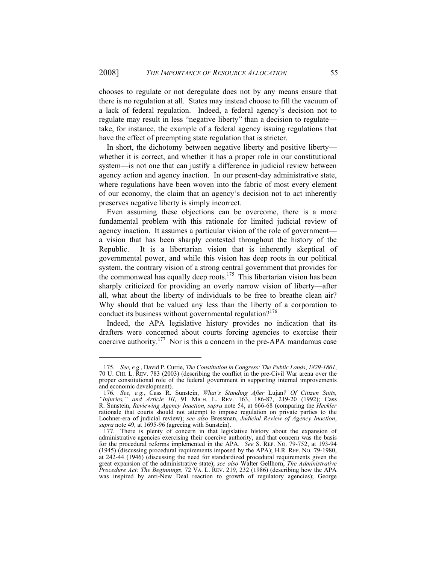chooses to regulate or not deregulate does not by any means ensure that there is no regulation at all. States may instead choose to fill the vacuum of a lack of federal regulation. Indeed, a federal agency's decision not to regulate may result in less "negative liberty" than a decision to regulate take, for instance, the example of a federal agency issuing regulations that have the effect of preempting state regulation that is stricter.

In short, the dichotomy between negative liberty and positive liberty whether it is correct, and whether it has a proper role in our constitutional system—is not one that can justify a difference in judicial review between agency action and agency inaction. In our present-day administrative state, where regulations have been woven into the fabric of most every element of our economy, the claim that an agency's decision not to act inherently preserves negative liberty is simply incorrect.

Even assuming these objections can be overcome, there is a more fundamental problem with this rationale for limited judicial review of agency inaction. It assumes a particular vision of the role of government a vision that has been sharply contested throughout the history of the Republic. It is a libertarian vision that is inherently skeptical of governmental power, and while this vision has deep roots in our political system, the contrary vision of a strong central government that provides for the commonweal has equally deep roots.<sup>175</sup> This libertarian vision has been sharply criticized for providing an overly narrow vision of liberty—after all, what about the liberty of individuals to be free to breathe clean air? Why should that be valued any less than the liberty of a corporation to conduct its business without governmental regulation?<sup>176</sup>

Indeed, the APA legislative history provides no indication that its drafters were concerned about courts forcing agencies to exercise their coercive authority.<sup>177</sup> Nor is this a concern in the pre-APA mandamus case

<sup>175</sup>*. See, e.g*., David P. Currie, *The Constitution in Congress: The Public Lands*, *1829-1861*,

<sup>70</sup> U. CHI. L. REV. 783 (2003) (describing the conflict in the pre-Civil War arena over the proper constitutional role of the federal government in supporting internal improvements and economic development).

<sup>176</sup>*. See, e.g.*, Cass R. Sunstein, *What's Standing After* Lujan*? Of Citizen Suits, "Injuries," and Article III*, 91 MICH. L. REV. 163, 186-87, 219-20 (1992); Cass R. Sunstein, *Reviewing Agency Inaction*, *supra* note 54, at 666-68 (comparing the *Heckler* rationale that courts should not attempt to impose regulation on private parties to the Lochner-era of judicial review); *see also* Bressman, *Judicial Review of Agency Inaction*, *supra* note 49, at 1695-96 (agreeing with Sunstein).

 <sup>177.</sup> There is plenty of concern in that legislative history about the expansion of administrative agencies exercising their coercive authority, and that concern was the basis for the procedural reforms implemented in the APA. *See* S. REP. NO. 79-752, at 193-94 (1945) (discussing procedural requirements imposed by the APA); H.R. REP. NO. 79-1980, at 242-44 (1946) (discussing the need for standardized procedural requirements given the great expansion of the administrative state); *see also* Walter Gellhorn, *The Administrative Procedure Act: The Beginnings*, 72 VA. L. REV. 219, 232 (1986) (describing how the APA was inspired by anti-New Deal reaction to growth of regulatory agencies); George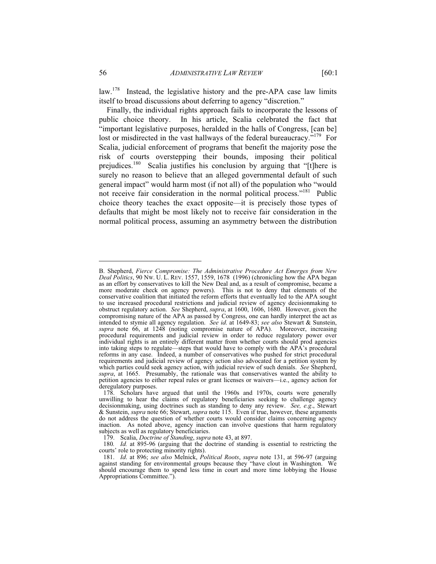law.<sup>178</sup> Instead, the legislative history and the pre-APA case law limits itself to broad discussions about deferring to agency "discretion."

Finally, the individual rights approach fails to incorporate the lessons of public choice theory. In his article, Scalia celebrated the fact that "important legislative purposes, heralded in the halls of Congress, [can be] lost or misdirected in the vast hallways of the federal bureaucracy."<sup>179</sup> For Scalia, judicial enforcement of programs that benefit the majority pose the risk of courts overstepping their bounds, imposing their political prejudices.<sup>180</sup> Scalia justifies his conclusion by arguing that "[t]here is surely no reason to believe that an alleged governmental default of such general impact" would harm most (if not all) of the population who "would not receive fair consideration in the normal political process."<sup>181</sup> Public choice theory teaches the exact opposite—it is precisely those types of defaults that might be most likely not to receive fair consideration in the normal political process, assuming an asymmetry between the distribution

B. Shepherd, *Fierce Compromise: The Administrative Procedure Act Emerges from New Deal Politics*, 90 NW. U. L. REV. 1557, 1559, 1678 (1996) (chronicling how the APA began as an effort by conservatives to kill the New Deal and, as a result of compromise, became a more moderate check on agency powers). This is not to deny that elements of the conservative coalition that initiated the reform efforts that eventually led to the APA sought to use increased procedural restrictions and judicial review of agency decisionmaking to obstruct regulatory action. *See* Shepherd, *supra*, at 1600, 1606, 1680. However, given the compromising nature of the APA as passed by Congress, one can hardly interpret the act as intended to stymie all agency regulation. *See id*. at 1649-83; *see also* Stewart & Sunstein, *supra* note 66, at 1248 (noting compromise nature of APA). Moreover, increasing procedural requirements and judicial review in order to reduce regulatory power over individual rights is an entirely different matter from whether courts should prod agencies into taking steps to regulate—steps that would have to comply with the APA's procedural reforms in any case. Indeed, a number of conservatives who pushed for strict procedural requirements and judicial review of agency action also advocated for a petition system by which parties could seek agency action, with judicial review of such denials. *See* Shepherd, *supra*, at 1665. Presumably, the rationale was that conservatives wanted the ability to petition agencies to either repeal rules or grant licenses or waivers—i.e., agency action for deregulatory purposes.

 <sup>178.</sup> Scholars have argued that until the 1960s and 1970s, courts were generally unwilling to hear the claims of regulatory beneficiaries seeking to challenge agency decisionmaking, using doctrines such as standing to deny any review. *See, e.g*., Stewart & Sunstein, *supra* note 66; Stewart, *supra* note 115. Even if true, however, these arguments do not address the question of whether courts would consider claims concerning agency inaction. As noted above, agency inaction can involve questions that harm regulatory subjects as well as regulatory beneficiaries.

 <sup>179.</sup> Scalia, *Doctrine of Standing*, *supra* note 43, at 897.

<sup>180</sup>*. Id.* at 895-96 (arguing that the doctrine of standing is essential to restricting the courts' role to protecting minority rights).

 <sup>181.</sup> *Id*. at 896; *see also* Melnick, *Political Roots*, *supra* note 131, at 596-97 (arguing against standing for environmental groups because they "have clout in Washington. We should encourage them to spend less time in court and more time lobbying the House Appropriations Committee.").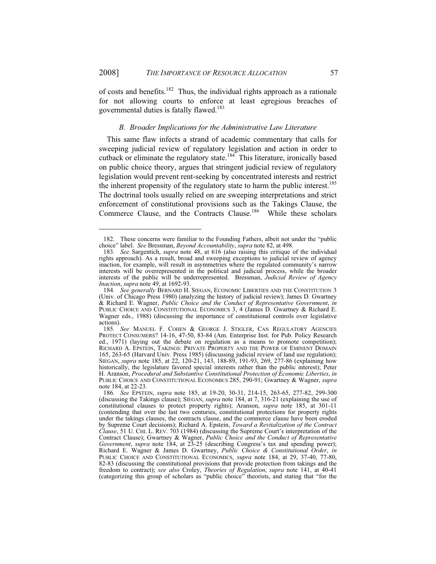of costs and benefits.<sup>182</sup> Thus, the individual rights approach as a rationale for not allowing courts to enforce at least egregious breaches of governmental duties is fatally flawed.<sup>183</sup>

#### *B. Broader Implications for the Administrative Law Literature*

This same flaw infects a strand of academic commentary that calls for sweeping judicial review of regulatory legislation and action in order to cutback or eliminate the regulatory state.<sup>184</sup> This literature, ironically based on public choice theory, argues that stringent judicial review of regulatory legislation would prevent rent-seeking by concentrated interests and restrict the inherent propensity of the regulatory state to harm the public interest.<sup>185</sup> The doctrinal tools usually relied on are sweeping interpretations and strict enforcement of constitutional provisions such as the Takings Clause, the Commerce Clause, and the Contracts Clause.<sup>186</sup> While these scholars

 <sup>182.</sup> These concerns were familiar to the Founding Fathers, albeit not under the "public choice" label. *See* Bressman, *Beyond Accountability*, *supra* note 82, at 498.

<sup>183</sup>*. See* Sargentich, *supra* note 48, at 616 (also raising this critique of the individual rights approach). As a result, broad and sweeping exceptions to judicial review of agency inaction, for example, will result in asymmetries where the regulated community's narrow interests will be overrepresented in the political and judicial process, while the broader interests of the public will be underrepresented. Bressman, *Judicial Review of Agency Inaction*, *supra* note 49, at 1692-93.

<sup>184</sup>*. See generally* BERNARD H. SIEGAN, ECONOMIC LIBERTIES AND THE CONSTITUTION 3 (Univ. of Chicago Press 1980) (analyzing the history of judicial review); James D. Gwartney & Richard E. Wagner, *Public Choice and the Conduct of Representative Government*, *in* PUBLIC CHOICE AND CONSTITUTIONAL ECONOMICS 3, 4 (James D. Gwartney & Richard E. Wagner eds., 1988) (discussing the importance of constitutional controls over legislative actions).

<sup>185</sup>*. See* MANUEL F. COHEN & GEORGE J. STIGLER, CAN REGULATORY AGENCIES PROTECT CONSUMERS? 14-16, 47-50, 83-84 (Am. Enterprise Inst. for Pub. Policy Research ed., 1971) (laying out the debate on regulation as a means to promote competition); RICHARD A. EPSTEIN, TAKINGS: PRIVATE PROPERTY AND THE POWER OF EMINENT DOMAIN 165, 263-65 (Harvard Univ. Press 1985) (discussing judicial review of land use regulation); SIEGAN, *supra* note 185, at 22, 120-21, 143, 188-89, 191-93, 269, 277-86 (explaining how historically, the legislature favored special interests rather than the public interest); Peter H. Aranson, *Procedural and Substantive Constitutional Protection of Economic Liberties*, *in* PUBLIC CHOICE AND CONSTITUTIONAL ECONOMICS 285, 290-91; Gwartney & Wagner, *supra* note 184, at 22-23.

<sup>186</sup>*. See* EPSTEIN, *supra* note 185, at 19-20, 30-31, 214-15, 263-65, 277-82, 299-300 (discussing the Takings clause); SIEGAN, *supra* note 184, at 7, 316-21 (explaining the use of constitutional clauses to protect property rights); Aranson, *supra* note 185, at 301-11 (contending that over the last two centuries, constitutional protections for property rights under the takings clauses, the contracts clause, and the commerce clause have been eroded by Supreme Court decisions); Richard A. Epstein, *Toward a Revitalization of the Contract Clause*, 51 U. CHI. L. REV. 703 (1984) (discussing the Supreme Court's interpretation of the Contract Clause); Gwartney & Wagner, *Public Choice and the Conduct of Representative Government*, *supra* note 184, at 23-25 (describing Congress's tax and spending power); Richard E. Wagner & James D. Gwartney, *Public Choice & Constitutional Order*, *in* PUBLIC CHOICE AND CONSTITUTIONAL ECONOMICS, *supra* note 184, at 29, 37-40, 77-80, 82-83 (discussing the constitutional provisions that provide protection from takings and the freedom to contract); *see also* Croley, *Theories of Regulation*, *supra* note 141, at 40-41 (categorizing this group of scholars as "public choice" theorists, and stating that "for the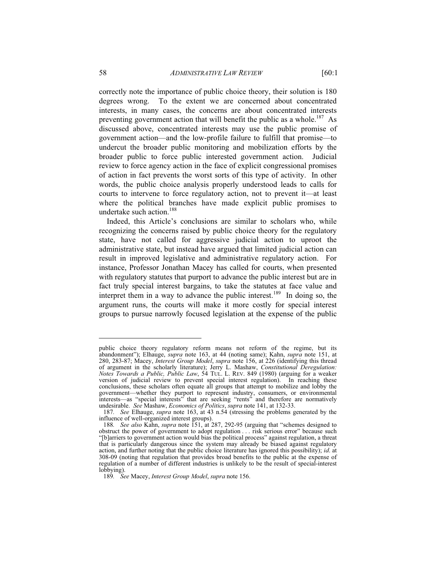correctly note the importance of public choice theory, their solution is 180 degrees wrong. To the extent we are concerned about concentrated interests, in many cases, the concerns are about concentrated interests preventing government action that will benefit the public as a whole.<sup>187</sup> As discussed above, concentrated interests may use the public promise of government action—and the low-profile failure to fulfill that promise—to undercut the broader public monitoring and mobilization efforts by the broader public to force public interested government action. Judicial review to force agency action in the face of explicit congressional promises of action in fact prevents the worst sorts of this type of activity. In other words, the public choice analysis properly understood leads to calls for courts to intervene to force regulatory action, not to prevent it—at least where the political branches have made explicit public promises to undertake such action.<sup>188</sup>

Indeed, this Article's conclusions are similar to scholars who, while recognizing the concerns raised by public choice theory for the regulatory state, have not called for aggressive judicial action to uproot the administrative state, but instead have argued that limited judicial action can result in improved legislative and administrative regulatory action. For instance, Professor Jonathan Macey has called for courts, when presented with regulatory statutes that purport to advance the public interest but are in fact truly special interest bargains, to take the statutes at face value and interpret them in a way to advance the public interest.<sup>189</sup> In doing so, the argument runs, the courts will make it more costly for special interest groups to pursue narrowly focused legislation at the expense of the public

public choice theory regulatory reform means not reform of the regime, but its abandonment"); Elhauge, *supra* note 163, at 44 (noting same); Kahn, *supra* note 151, at 280, 283-87; Macey, *Interest Group Model*, *supra* note 156, at 226 (identifying this thread of argument in the scholarly literature); Jerry L. Mashaw, *Constitutional Deregulation: Notes Towards a Public, Public Law*, 54 TUL. L. REV. 849 (1980) (arguing for a weaker version of judicial review to prevent special interest regulation). In reaching these conclusions, these scholars often equate all groups that attempt to mobilize and lobby the government—whether they purport to represent industry, consumers, or environmental interests—as "special interests" that are seeking "rents" and therefore are normatively undesirable. *See* Mashaw, *Economics of Politics*, *supra* note 141, at 132-33.

<sup>187</sup>*. See* Elhauge, *supra* note 163, at 43 n.54 (stressing the problems generated by the influence of well-organized interest groups).

<sup>188</sup>*. See also* Kahn, *supra* note 151, at 287, 292-95 (arguing that "schemes designed to obstruct the power of government to adopt regulation . . . risk serious error" because such "[b]arriers to government action would bias the political process" against regulation, a threat that is particularly dangerous since the system may already be biased against regulatory action, and further noting that the public choice literature has ignored this possibility); *id*. at 308-09 (noting that regulation that provides broad benefits to the public at the expense of regulation of a number of different industries is unlikely to be the result of special-interest lobbying).

<sup>189</sup>*. See* Macey, *Interest Group Model*, *supra* note 156.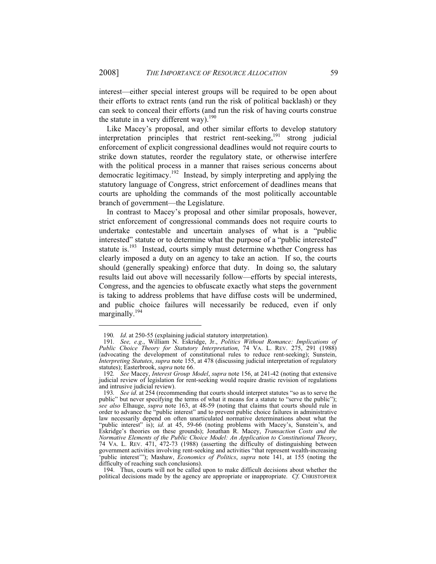interest—either special interest groups will be required to be open about their efforts to extract rents (and run the risk of political backlash) or they can seek to conceal their efforts (and run the risk of having courts construe the statute in a very different way).<sup>190</sup>

Like Macey's proposal, and other similar efforts to develop statutory interpretation principles that restrict rent-seeking, $191$  strong judicial enforcement of explicit congressional deadlines would not require courts to strike down statutes, reorder the regulatory state, or otherwise interfere with the political process in a manner that raises serious concerns about democratic legitimacy.<sup>192</sup> Instead, by simply interpreting and applying the statutory language of Congress, strict enforcement of deadlines means that courts are upholding the commands of the most politically accountable branch of government—the Legislature.

In contrast to Macey's proposal and other similar proposals, however, strict enforcement of congressional commands does not require courts to undertake contestable and uncertain analyses of what is a "public interested" statute or to determine what the purpose of a "public interested" statute is.<sup>193</sup> Instead, courts simply must determine whether Congress has clearly imposed a duty on an agency to take an action. If so, the courts should (generally speaking) enforce that duty. In doing so, the salutary results laid out above will necessarily follow—efforts by special interests, Congress, and the agencies to obfuscate exactly what steps the government is taking to address problems that have diffuse costs will be undermined, and public choice failures will necessarily be reduced, even if only marginally.<sup>194</sup>

 194. Thus, courts will not be called upon to make difficult decisions about whether the political decisions made by the agency are appropriate or inappropriate. *Cf*. CHRISTOPHER

<sup>190</sup>*. Id*. at 250-55 (explaining judicial statutory interpretation).

<sup>191</sup>*. See, e.g*., William N. Eskridge, Jr., *Politics Without Romance: Implications of Public Choice Theory for Statutory Interpretation*, 74 VA. L. REV. 275, 291 (1988) (advocating the development of constitutional rules to reduce rent-seeking); Sunstein, *Interpreting Statutes*, *supra* note 155, at 478 (discussing judicial interpretation of regulatory statutes); Easterbrook, *supra* note 66.

<sup>192</sup>*. See* Macey, *Interest Group Model*, *supra* note 156, at 241-42 (noting that extensive judicial review of legislation for rent-seeking would require drastic revision of regulations and intrusive judicial review).

<sup>193</sup>*. See id*. at 254 (recommending that courts should interpret statutes "so as to serve the public" but never specifying the terms of what it means for a statute to "serve the public"); *see also* Elhauge, *supra* note 163, at 48-59 (noting that claims that courts should rule in order to advance the "public interest" and to prevent public choice failures in administrative law necessarily depend on often unarticulated normative determinations about what the "public interest" is); *id.* at 45, 59-66 (noting problems with Macey's, Sunstein's, and Eskridge's theories on these grounds); Jonathan R. Macey, *Transaction Costs and the Normative Elements of the Public Choice Model: An Application to Constitutional Theory*, 74 VA. L. REV. 471, 472-73 (1988) (asserting the difficulty of distinguishing between government activities involving rent-seeking and activities "that represent wealth-increasing 'public interest'"); Mashaw, *Economics of Politics*, *supra* note 141, at 155 (noting the difficulty of reaching such conclusions).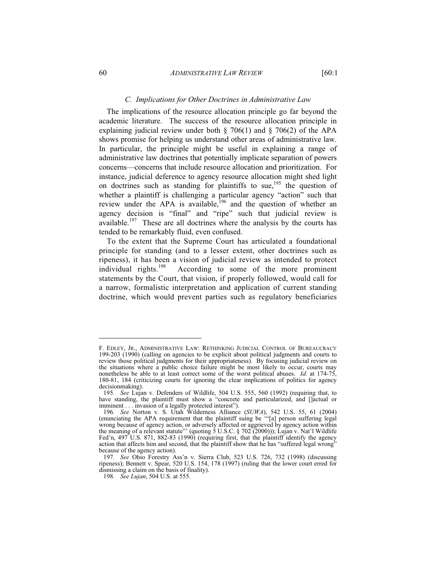#### *C. Implications for Other Doctrines in Administrative Law*

The implications of the resource allocation principle go far beyond the academic literature. The success of the resource allocation principle in explaining judicial review under both  $\S$  706(1) and  $\S$  706(2) of the APA shows promise for helping us understand other areas of administrative law. In particular, the principle might be useful in explaining a range of administrative law doctrines that potentially implicate separation of powers concerns—concerns that include resource allocation and prioritization. For instance, judicial deference to agency resource allocation might shed light on doctrines such as standing for plaintiffs to sue,<sup>195</sup> the question of whether a plaintiff is challenging a particular agency "action" such that review under the APA is available,  $^{196}$  and the question of whether an agency decision is "final" and "ripe" such that judicial review is available.<sup>197</sup> These are all doctrines where the analysis by the courts has tended to be remarkably fluid, even confused.

To the extent that the Supreme Court has articulated a foundational principle for standing (and to a lesser extent, other doctrines such as ripeness), it has been a vision of judicial review as intended to protect individual rights.<sup>198</sup> According to some of the more prominent statements by the Court, that vision, if properly followed, would call for a narrow, formalistic interpretation and application of current standing doctrine, which would prevent parties such as regulatory beneficiaries

F. EDLEY, JR., ADMINISTRATIVE LAW: RETHINKING JUDICIAL CONTROL OF BUREAUCRACY 199-203 (1990) (calling on agencies to be explicit about political judgments and courts to review those political judgments for their appropriateness). By focusing judicial review on the situations where a public choice failure might be most likely to occur, courts may nonetheless be able to at least correct some of the worst political abuses. *Id*. at 174-75, 180-81, 184 (criticizing courts for ignoring the clear implications of politics for agency decisionmaking).

<sup>195</sup>*. See* Lujan v. Defenders of Wildlife, 504 U.S. 555, 560 (1992) (requiring that, to have standing, the plaintiff must show a "concrete and particularized, and []actual or imminent . . . invasion of a legally protected interest").

<sup>196</sup>*. See* Norton v. S. Utah Wilderness Alliance (*SUWA*), 542 U.S. 55, 61 (2004) (enunciating the APA requirement that the plaintiff suing be '"[a] person suffering legal wrong because of agency action, or adversely affected or aggrieved by agency action within the meaning of a relevant statute"' (quoting 5 U.S.C. § 702 (2000))); Lujan v. Nat'l Wildlife Fed'n, 497 U.S. 871, 882-83 (1990) (requiring first, that the plaintiff identify the agency action that affects him and second, that the plaintiff show that he has "suffered legal wrong" because of the agency action).

<sup>197</sup>*. See* Ohio Forestry Ass'n v. Sierra Club, 523 U.S. 726, 732 (1998) (discussing ripeness); Bennett v. Spear, 520 U.S. 154, 178 (1997) (ruling that the lower court erred for dismissing a claim on the basis of finality).

<sup>198</sup>*. See Lujan*, 504 U.S. at 555.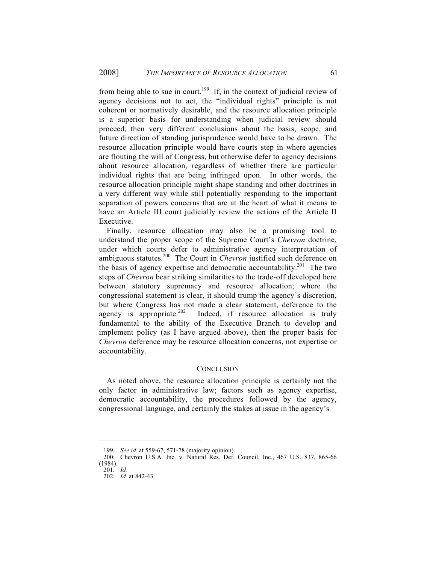from being able to sue in court.<sup>199</sup> If, in the context of judicial review of agency decisions not to act, the "individual rights" principle is not coherent or normatively desirable, and the resource allocation principle is a superior basis for understanding when judicial review should proceed, then very different conclusions about the basis, scope, and future direction of standing jurisprudence would have to be drawn. The resource allocation principle would have courts step in where agencies are flouting the will of Congress, but otherwise defer to agency decisions about resource allocation, regardless of whether there are particular individual rights that are being infringed upon. In other words, the resource allocation principle might shape standing and other doctrines in a very different way while still potentially responding to the important separation of powers concerns that are at the heart of what it means to have an Article III court judicially review the actions of the Article II Executive.

Finally, resource allocation may also be a promising tool to understand the proper scope of the Supreme Court's *Chevron* doctrine, under which courts defer to administrative agency interpretation of ambiguous statutes.<sup>200</sup> The Court in *Chevron* justified such deference on the basis of agency expertise and democratic accountability.<sup>201</sup> The two steps of *Chevron* bear striking similarities to the trade-off developed here between statutory supremacy and resource allocation; where the congressional statement is clear, it should trump the agency's discretion, but where Congress has not made a clear statement, deference to the agency is appropriate.<sup>202</sup> Indeed, if resource allocation is truly Indeed, if resource allocation is truly fundamental to the ability of the Executive Branch to develop and implement policy (as I have argued above), then the proper basis for *Chevron* deference may be resource allocation concerns, not expertise or accountability.

## **CONCLUSION**

As noted above, the resource allocation principle is certainly not the only factor in administrative law; factors such as agency expertise, democratic accountability, the procedures followed by the agency, congressional language, and certainly the stakes at issue in the agency's

<sup>199</sup>*. See id.* at 559-67, 571-78 (majority opinion).

 <sup>200.</sup> Chevron U.S.A. Inc. v. Natural Res. Def. Council, Inc., 467 U.S. 837, 865-66 (1984).

<sup>201</sup>*. Id.*

<sup>202</sup>*. Id.* at 842-43.